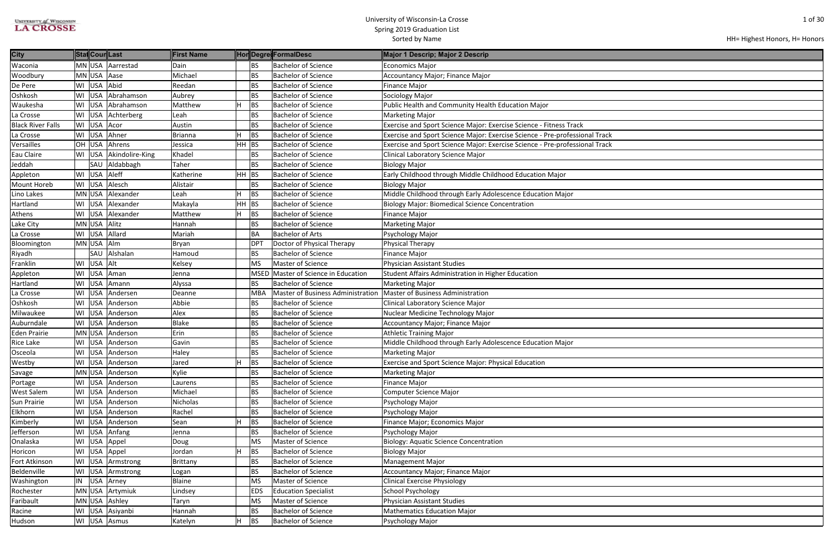| HH= Highest Honors, H= Honors |  |  |  |
|-------------------------------|--|--|--|
|-------------------------------|--|--|--|

| <b>City</b>              |    | Stat Cour Last |                     | <b>First Name</b> |       |                 | HonDegre FormalDesc                      | Major 1 Descrip; Major 2 Descrip                                            |
|--------------------------|----|----------------|---------------------|-------------------|-------|-----------------|------------------------------------------|-----------------------------------------------------------------------------|
| Waconia                  |    |                | MN USA Aarrestad    | Dain              |       | <b>BS</b>       | <b>Bachelor of Science</b>               | <b>Economics Major</b>                                                      |
| Woodbury                 |    | MN USA Aase    |                     | Michael           |       | <b>BS</b>       | <b>Bachelor of Science</b>               | Accountancy Major; Finance Major                                            |
| De Pere                  | WI | USA Abid       |                     | Reedan            |       | <b>BS</b>       | <b>Bachelor of Science</b>               | <b>Finance Major</b>                                                        |
| Oshkosh                  | WI | USA            | Abrahamson          | Aubrey            |       | <b>BS</b>       | <b>Bachelor of Science</b>               | Sociology Major                                                             |
| Waukesha                 |    |                | WI USA Abrahamson   | Matthew           | İΗ    | BS              | <b>Bachelor of Science</b>               | Public Health and Community Health Education Major                          |
| La Crosse                |    |                | WI USA Achterberg   | Leah              |       | <b>BS</b>       | <b>Bachelor of Science</b>               | <b>Marketing Major</b>                                                      |
| <b>Black River Falls</b> | WI | USA            | Acor                | Austin            |       | <b>BS</b>       | <b>Bachelor of Science</b>               | Exercise and Sport Science Major: Exercise Science - Fitness Track          |
| La Crosse                | WI | USA            | Ahner               | <b>Brianna</b>    | H     | <b>BS</b>       | <b>Bachelor of Science</b>               | Exercise and Sport Science Major: Exercise Science - Pre-professional Track |
| Versailles               |    | OH USA         | Ahrens              | Jessica           | HH BS |                 | <b>Bachelor of Science</b>               | Exercise and Sport Science Major: Exercise Science - Pre-professional Track |
| Eau Claire               | WI |                | USA Akindolire-King | Khadel            |       | <b>BS</b>       | <b>Bachelor of Science</b>               | Clinical Laboratory Science Major                                           |
| Jeddah                   |    | SAU            | Aldabbagh           | Taher             |       | <b>BS</b>       | <b>Bachelor of Science</b>               | <b>Biology Major</b>                                                        |
| Appleton                 | WI | USA            | Aleff               | Katherine         | HH BS |                 | <b>Bachelor of Science</b>               | Early Childhood through Middle Childhood Education Major                    |
| <b>Mount Horeb</b>       |    | WI USA         | Alesch              | Alistair          |       | <b>BS</b>       | <b>Bachelor of Science</b>               | <b>Biology Major</b>                                                        |
| Lino Lakes               |    |                | MN USA Alexander    | Leah              | H     | <b>BS</b>       | <b>Bachelor of Science</b>               | Middle Childhood through Early Adolescence Education Major                  |
| Hartland                 | WI |                | USA Alexander       | Makayla           | HH    | <b>BS</b>       | <b>Bachelor of Science</b>               | <b>Biology Major: Biomedical Science Concentration</b>                      |
| Athens                   |    |                | WI USA Alexander    | Matthew           | H.    | <b>BS</b>       | <b>Bachelor of Science</b>               | <b>Finance Major</b>                                                        |
| Lake City                |    | MN USA Alitz   |                     | Hannah            |       | <b>BS</b>       | <b>Bachelor of Science</b>               | <b>Marketing Major</b>                                                      |
| La Crosse                |    | WI USA         | Allard              | Mariah            |       | <b>BA</b>       | <b>Bachelor of Arts</b>                  | Psychology Major                                                            |
| Bloomington              |    | MN USA Alm     |                     | <b>Bryan</b>      |       | DP <sub>1</sub> | Doctor of Physical Therapy               | Physical Therapy                                                            |
| Riyadh                   |    | SAU            | Alshalan            | Hamoud            |       | <b>BS</b>       | <b>Bachelor of Science</b>               | <b>Finance Major</b>                                                        |
| Franklin                 | WI | USA Alt        |                     | Kelsey            |       | MS              | Master of Science                        | <b>Physician Assistant Studies</b>                                          |
| Appleton                 | WI | <b>USA</b>     | Aman                | Jenna             |       | <b>MSED</b>     | Master of Science in Education           | Student Affairs Administration in Higher Education                          |
| Hartland                 | WI | <b>USA</b>     | Amann               | Alyssa            |       | <b>BS</b>       | <b>Bachelor of Science</b>               | <b>Marketing Major</b>                                                      |
| La Crosse                | WI |                | USA Andersen        | Deanne            |       | <b>MBA</b>      | <b>Master of Business Administration</b> | <b>Master of Business Administration</b>                                    |
| Oshkosh                  | WI | <b>USA</b>     | Anderson            | Abbie             |       | <b>BS</b>       | <b>Bachelor of Science</b>               | Clinical Laboratory Science Major                                           |
| Milwaukee                | WI |                | USA Anderson        | Alex              |       | <b>BS</b>       | <b>Bachelor of Science</b>               | Nuclear Medicine Technology Major                                           |
| Auburndale               | WI | USA            | Anderson            | <b>Blake</b>      |       | <b>BS</b>       | <b>Bachelor of Science</b>               | Accountancy Major; Finance Major                                            |
| <b>Eden Prairie</b>      |    | MN USA         | Anderson            | Erin              |       | <b>BS</b>       | <b>Bachelor of Science</b>               | <b>Athletic Training Major</b>                                              |
| <b>Rice Lake</b>         | WI |                | USA Anderson        | Gavin             |       | <b>BS</b>       | <b>Bachelor of Science</b>               | Middle Childhood through Early Adolescence Education Major                  |
| Osceola                  |    |                | WI   USA   Anderson | Haley             |       | <b>BS</b>       | <b>Bachelor of Science</b>               | <b>Marketing Major</b>                                                      |
| Westby                   |    |                | WI USA Anderson     | Jared             | H     | BS              | <b>Bachelor of Science</b>               | Exercise and Sport Science Major: Physical Education                        |
| Savage                   |    |                | MN USA Anderson     | Kylie             |       | <b>BS</b>       | <b>Bachelor of Science</b>               | <b>Marketing Major</b>                                                      |
| Portage                  | WI |                | USA Anderson        | Laurens           |       | <b>BS</b>       | <b>Bachelor of Science</b>               | <b>Finance Major</b>                                                        |
| <b>West Salem</b>        | WI |                | USA Anderson        | Michael           |       | <b>BS</b>       | <b>Bachelor of Science</b>               | Computer Science Major                                                      |
| <b>Sun Prairie</b>       | WI |                | USA Anderson        | Nicholas          |       | <b>BS</b>       | <b>Bachelor of Science</b>               | Psychology Major                                                            |
| Elkhorn                  | WI |                | USA Anderson        | Rachel            |       | <b>BS</b>       | <b>Bachelor of Science</b>               | Psychology Major                                                            |
| Kimberly                 |    |                | WI USA Anderson     | Sean              | ΙH    | <b>BS</b>       | <b>Bachelor of Science</b>               | Finance Major; Economics Major                                              |
| Jefferson                | WI |                | USA Anfang          | Jenna             |       | <b>BS</b>       | <b>Bachelor of Science</b>               | Psychology Major                                                            |
| Onalaska                 | WI |                | USA Appel           | Doug              |       | MS              | Master of Science                        | <b>Biology: Aquatic Science Concentration</b>                               |
| Horicon                  |    |                | WI USA Appel        | Jordan            | H     | BS              | <b>Bachelor of Science</b>               | <b>Biology Major</b>                                                        |
| Fort Atkinson            | WI |                | USA Armstrong       | <b>Brittany</b>   |       | <b>BS</b>       | <b>Bachelor of Science</b>               | <b>Management Major</b>                                                     |
| Beldenville              |    |                | WI USA Armstrong    | Logan             |       | <b>BS</b>       | <b>Bachelor of Science</b>               | Accountancy Major; Finance Major                                            |
| Washington               | IN |                | USA Arney           | <b>Blaine</b>     |       | <b>MS</b>       | Master of Science                        | <b>Clinical Exercise Physiology</b>                                         |
| Rochester                |    |                | MN USA Artymiuk     | Lindsey           |       | <b>EDS</b>      | <b>Education Specialist</b>              | <b>School Psychology</b>                                                    |
| Faribault                |    |                | MN USA Ashley       | Taryn             |       | MS              | Master of Science                        | Physician Assistant Studies                                                 |
| Racine                   |    |                | WI USA Asiyanbi     | Hannah            |       | <b>BS</b>       | <b>Bachelor of Science</b>               | <b>Mathematics Education Major</b>                                          |
| Hudson                   |    |                | WI USA Asmus        | Katelyn           | Iн    | <b>BS</b>       | <b>Bachelor of Science</b>               | Psychology Major                                                            |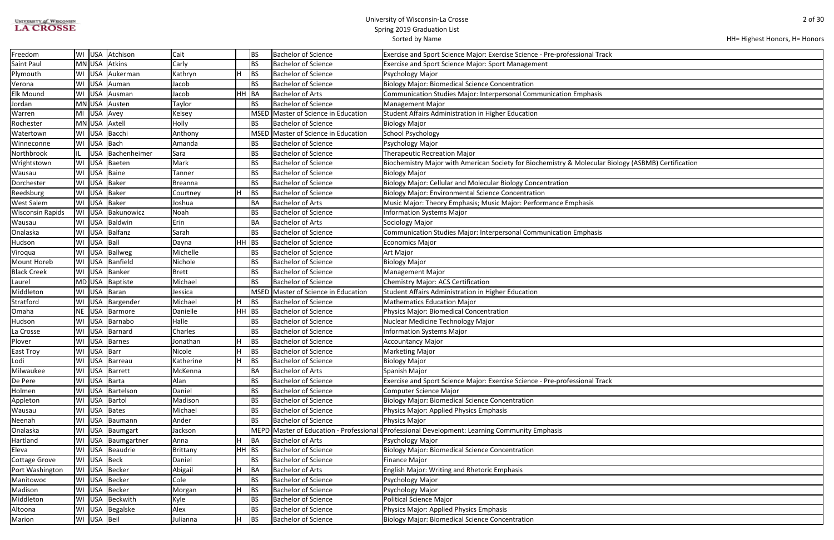| <b>UNIVERSITY of WISCONSIN</b> |  |
|--------------------------------|--|
| <b>LA CROSSE</b>               |  |

HH= Highest Honors, H= Honors

| iology (ASBMB) Certification |  |
|------------------------------|--|
|                              |  |
|                              |  |
|                              |  |
|                              |  |
|                              |  |
|                              |  |
|                              |  |
|                              |  |
|                              |  |
|                              |  |
|                              |  |
|                              |  |
|                              |  |
|                              |  |
|                              |  |
|                              |  |
|                              |  |
|                              |  |
|                              |  |
|                              |  |
|                              |  |
|                              |  |
|                              |  |
|                              |  |
|                              |  |
|                              |  |
|                              |  |
|                              |  |
|                              |  |
|                              |  |
|                              |  |
|                              |  |
|                              |  |
|                              |  |
|                              |  |
|                              |  |
|                              |  |

| Freedom                 |    |             | WI USA Atchison    | Cait      |         | BS          | <b>Bachelor of Science</b>          | Exercise and Sport Science Major: Exercise Science - Pre-professional Track                         |
|-------------------------|----|-------------|--------------------|-----------|---------|-------------|-------------------------------------|-----------------------------------------------------------------------------------------------------|
| Saint Paul              |    |             | MN USA Atkins      | Carly     |         | BS          | Bachelor of Science                 | Exercise and Sport Science Major: Sport Management                                                  |
| Plymouth                |    |             | WI USA Aukerman    | Kathryn   |         | <b>BS</b>   | <b>Bachelor of Science</b>          | Psychology Major                                                                                    |
| Verona                  |    |             | WI USA Auman       | Jacob     |         | <b>BS</b>   | <b>Bachelor of Science</b>          | <b>Biology Major: Biomedical Science Concentration</b>                                              |
| <b>Elk Mound</b>        |    |             | WI USA Ausman      | Jacob     | HH BA   |             | <b>Bachelor of Arts</b>             | Communication Studies Major: Interpersonal Communication Emphasis                                   |
| Jordan                  |    |             | MN USA Austen      | Taylor    |         | <b>BS</b>   | <b>Bachelor of Science</b>          | <b>Management Major</b>                                                                             |
| Warren                  | MI |             | USA Avey           | Kelsey    |         | MSED        | Master of Science in Education      | Student Affairs Administration in Higher Education                                                  |
| Rochester               |    |             | MN USA Axtell      | Holly     |         | <b>BS</b>   | Bachelor of Science                 | <b>Biology Major</b>                                                                                |
| Watertown               |    |             | WI USA Bacchi      | Anthony   |         |             | MSED Master of Science in Education | School Psychology                                                                                   |
| Winneconne              |    | WI USA Bach |                    | Amanda    |         | <b>BS</b>   | <b>Bachelor of Science</b>          | Psychology Major                                                                                    |
| Northbrook              |    | <b>USA</b>  | Bachenheimer       | Sara      |         | <b>BS</b>   | <b>Bachelor of Science</b>          | <b>Therapeutic Recreation Major</b>                                                                 |
| Wrightstown             | WI | <b>USA</b>  | Baeten             | Mark      |         | BS          | Bachelor of Science                 | Biochemistry Major with American Society for Biochemistry & Molecular Biology (ASBMB) Certification |
| Wausau                  | WI |             | USA Baine          | Tanner    |         | <b>BS</b>   | <b>Bachelor of Science</b>          | <b>Biology Major</b>                                                                                |
| Dorchester              |    |             | WI USA Baker       | Breanna   |         | <b>BS</b>   | Bachelor of Science                 | Biology Major: Cellular and Molecular Biology Concentration                                         |
| Reedsburg               |    |             | WI USA Baker       | Courtney  |         | BS          | <b>Bachelor of Science</b>          | Biology Major: Environmental Science Concentration                                                  |
| West Salem              |    |             | WI USA Baker       | Joshua    |         | BA          | Bachelor of Arts                    | Music Major: Theory Emphasis; Music Major: Performance Emphasis                                     |
| <b>Wisconsin Rapids</b> |    |             | WI USA Bakunowicz  | Noah      |         | BS          | <b>Bachelor of Science</b>          | <b>Information Systems Major</b>                                                                    |
| Wausau                  |    |             | WI USA Baldwin     | Erin      |         | BA          | <b>Bachelor of Arts</b>             | Sociology Major                                                                                     |
| Onalaska                |    |             | WI USA Balfanz     | Sarah     |         | <b>BS</b>   | <b>Bachelor of Science</b>          | <b>Communication Studies Major: Interpersonal Communication Emphasis</b>                            |
| Hudson                  |    | WI USA Ball |                    | Dayna     | $HH$ BS |             | <b>Bachelor of Science</b>          | <b>Economics Major</b>                                                                              |
| Viroqua                 |    | WI USA      | Ballweg            | Michelle  |         | BS          | Bachelor of Science                 | Art Major                                                                                           |
| Mount Horeb             |    |             | WI USA Banfield    | Nichole   |         | <b>BS</b>   | <b>Bachelor of Science</b>          | <b>Biology Major</b>                                                                                |
| <b>Black Creek</b>      |    |             | WI USA Banker      | Brett     |         | <b>BS</b>   | <b>Bachelor of Science</b>          | <b>Management Major</b>                                                                             |
| Laurel                  |    |             | MD USA Baptiste    | Michael   |         | <b>BS</b>   | <b>Bachelor of Science</b>          | Chemistry Major: ACS Certification                                                                  |
| Middleton               |    |             | WI USA Baran       | Jessica   |         | <b>MSED</b> | Master of Science in Education      | Student Affairs Administration in Higher Education                                                  |
| Stratford               |    |             | WI USA Bargender   | Michael   |         | <b>BS</b>   | <b>Bachelor of Science</b>          | <b>Mathematics Education Major</b>                                                                  |
| Omaha                   |    |             | NE USA Barmore     | Danielle  | $HH$ BS |             | <b>Bachelor of Science</b>          | Physics Major: Biomedical Concentration                                                             |
| Hudson                  |    |             | WI USA Barnabo     | Halle     |         | <b>BS</b>   | <b>Bachelor of Science</b>          | Nuclear Medicine Technology Major                                                                   |
| La Crosse               |    |             | WI USA Barnard     | Charles   |         | BS          | <b>Bachelor of Science</b>          | <b>Information Systems Major</b>                                                                    |
| Plover                  |    |             | WI USA Barnes      | Jonathan  |         | BS          | <b>Bachelor of Science</b>          | <b>Accountancy Major</b>                                                                            |
| East Troy               |    | WI USA Barr |                    | Nicole    |         | BS          | <b>Bachelor of Science</b>          | <b>Marketing Major</b>                                                                              |
| Lodi                    |    |             | WI   USA   Barreau | Katherine |         | <b>BS</b>   | <b>Bachelor of Science</b>          | <b>Biology Major</b>                                                                                |
| Milwaukee               |    |             | WI USA Barrett     | McKenna   |         | BA          | <b>Bachelor of Arts</b>             | Spanish Major                                                                                       |
| De Pere                 |    |             | WI USA Barta       | Alan      |         | BS          | <b>Bachelor of Science</b>          | Exercise and Sport Science Major: Exercise Science - Pre-professional Track                         |
| Holmen                  |    |             | WI USA Bartelson   | Daniel    |         | BS          | <b>Bachelor of Science</b>          | <b>Computer Science Major</b>                                                                       |
| Appleton                |    |             | WI USA Bartol      | Madison   |         | BS          | <b>Bachelor of Science</b>          | <b>Biology Major: Biomedical Science Concentration</b>                                              |
| Wausau                  |    |             | WI USA Bates       | Michael   |         | <b>BS</b>   | Bachelor of Science                 | <b>Physics Major: Applied Physics Emphasis</b>                                                      |
| Neenah                  |    |             | WI USA Baumann     | Ander     |         | <b>BS</b>   | Bachelor of Science                 | Physics Major                                                                                       |
| Onalaska                |    |             | WI USA Baumgart    | Jackson   |         |             |                                     | MEPD Master of Education - Professional I Professional Development: Learning Community Emphasis     |
| Hartland                |    |             | WI USA Baumgartner | Anna      |         | BA          | <b>Bachelor of Arts</b>             | Psychology Major                                                                                    |
| Eleva                   |    |             | WI USA Beaudrie    | Brittany  | $HH$ BS |             | <b>Bachelor of Science</b>          | <b>Biology Major: Biomedical Science Concentration</b>                                              |
| <b>Cottage Grove</b>    |    |             | WI USA Beck        | Daniel    |         | <b>BS</b>   | <b>Bachelor of Science</b>          | <b>Finance Major</b>                                                                                |
| Port Washington         |    |             | WI USA Becker      | Abigail   |         | BA          | <b>Bachelor of Arts</b>             | <b>English Major: Writing and Rhetoric Emphasis</b>                                                 |
| Manitowoc               |    |             | WI USA Becker      | Cole      |         | BS          | <b>Bachelor of Science</b>          | Psychology Major                                                                                    |
| Madison                 |    |             | WI USA Becker      | Morgan    |         | <b>BS</b>   | <b>Bachelor of Science</b>          | Psychology Major                                                                                    |
| Middleton               |    |             | WI USA Beckwith    | Kyle      |         | <b>BS</b>   | <b>Bachelor of Science</b>          | Political Science Major                                                                             |
| Altoona                 |    |             | WI USA Begalske    | Alex      |         | BS          | <b>Bachelor of Science</b>          | Physics Major: Applied Physics Emphasis                                                             |
| Marion                  |    | WI USA Beil |                    | Julianna  |         | <b>BS</b>   | <b>Bachelor of Science</b>          | <b>Biology Major: Biomedical Science Concentration</b>                                              |
|                         |    |             |                    |           |         |             |                                     |                                                                                                     |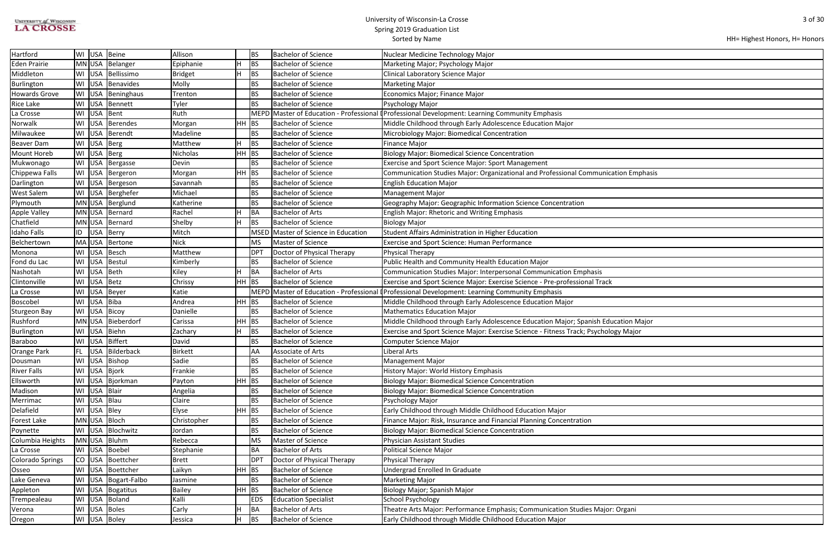| <b>UNIVERSITY of WISCONSIN</b> |
|--------------------------------|
| <b>LA CROSSE</b>               |

| HH= Highest Honors, H= Honors |  |  |  |
|-------------------------------|--|--|--|
|-------------------------------|--|--|--|

| ation Emphasis |
|----------------|
|                |
|                |
|                |
|                |
|                |
|                |
|                |
|                |
|                |
|                |
|                |
|                |
|                |
|                |
| Ication Major  |
| ogy Major      |
|                |
|                |
|                |
|                |
|                |
|                |
|                |
|                |
|                |
|                |
|                |
|                |
|                |
|                |
|                |
|                |
|                |
|                |
| : Organi       |
|                |

| Hartford                |     |             | WI USA Beine        | Allison        |         | BS              | <b>Bachelor of Science</b>         | Nuclear Medicine Technology Major                                                              |
|-------------------------|-----|-------------|---------------------|----------------|---------|-----------------|------------------------------------|------------------------------------------------------------------------------------------------|
| <b>Eden Prairie</b>     |     |             | MN USA Belanger     | Epiphanie      |         | <b>BS</b>       | <b>Bachelor of Science</b>         | Marketing Major; Psychology Major                                                              |
| Middleton               |     |             | WI USA Bellissimo   | <b>Bridget</b> |         | <b>BS</b>       | <b>Bachelor of Science</b>         | Clinical Laboratory Science Major                                                              |
| Burlington              | WI  |             | USA Benavides       | Molly          |         | <b>BS</b>       | <b>Bachelor of Science</b>         | <b>Marketing Major</b>                                                                         |
| <b>Howards Grove</b>    |     |             | WI USA Beninghaus   | Trenton        |         | <b>BS</b>       | <b>Bachelor of Science</b>         | Economics Major; Finance Major                                                                 |
| <b>Rice Lake</b>        | WI  |             | USA Bennett         | Tyler          |         | BS              | <b>Bachelor of Science</b>         | Psychology Major                                                                               |
| La Crosse               | WI  |             | USA Bent            | Ruth           |         |                 |                                    | MEPD Master of Education - Professional (Professional Development: Learning Community Emphasis |
| Norwalk                 | WI  |             | USA Berendes        | Morgan         | $HH$ BS |                 | <b>Bachelor of Science</b>         | Middle Childhood through Early Adolescence Education Major                                     |
| Milwaukee               |     |             | WI USA Berendt      | Madeline       |         | <b>BS</b>       | <b>Bachelor of Science</b>         | Microbiology Major: Biomedical Concentration                                                   |
| <b>Beaver Dam</b>       |     | WI USA Berg |                     | Matthew        |         | <b>BS</b>       | <b>Bachelor of Science</b>         | <b>Finance Major</b>                                                                           |
| <b>Mount Horeb</b>      |     | WI USA Berg |                     | Nicholas       | $HH$ BS |                 | <b>Bachelor of Science</b>         | <b>Biology Major: Biomedical Science Concentration</b>                                         |
| Mukwonago               |     |             | WI USA Bergasse     | Devin          |         | <b>BS</b>       | <b>Bachelor of Science</b>         | <b>Exercise and Sport Science Major: Sport Management</b>                                      |
| Chippewa Falls          | WI  |             | USA   Bergeron      | Morgan         | $HH$ BS |                 | <b>Bachelor of Science</b>         | Communication Studies Major: Organizational and Professional Communication Emphasis            |
| Darlington              |     |             | WI   USA   Bergeson | Savannah       |         | <b>BS</b>       | <b>Bachelor of Science</b>         | <b>English Education Major</b>                                                                 |
| <b>West Salem</b>       |     |             | WI USA Berghefer    | Michael        |         | BS              | <b>Bachelor of Science</b>         | <b>Management Major</b>                                                                        |
| Plymouth                |     |             | MN USA Berglund     | Katherine      |         | <b>BS</b>       | <b>Bachelor of Science</b>         | Geography Major: Geographic Information Science Concentration                                  |
| <b>Apple Valley</b>     |     |             | MN USA Bernard      | Rachel         |         | BA              | <b>Bachelor of Arts</b>            | English Major: Rhetoric and Writing Emphasis                                                   |
| Chatfield               |     |             | MN USA Bernard      | Shelby         |         | <b>BS</b>       | <b>Bachelor of Science</b>         | <b>Biology Major</b>                                                                           |
| <b>Idaho Falls</b>      | ID  | USA         | Berry               | Mitch          |         | <b>MSED</b>     | Master of Science in Education     | Student Affairs Administration in Higher Education                                             |
| Belchertown             |     |             | MA USA Bertone      | <b>Nick</b>    |         | MS              | Master of Science                  | <b>Exercise and Sport Science: Human Performance</b>                                           |
| Monona                  |     |             | WI USA Besch        | Matthew        |         | DP <sup>-</sup> | Doctor of Physical Therapy         | Physical Therapy                                                                               |
| Fond du Lac             |     |             | WI USA Bestul       | Kimberly       |         | BS              | <b>Bachelor of Science</b>         | Public Health and Community Health Education Major                                             |
| Nashotah                | WI  | USA Beth    |                     | Kiley          |         | BA              | <b>Bachelor of Arts</b>            | Communication Studies Major: Interpersonal Communication Emphasis                              |
| Clintonville            | WI  | USA Betz    |                     | Chrissy        | HH BS   |                 | <b>Bachelor of Science</b>         | Exercise and Sport Science Major: Exercise Science - Pre-professional Track                    |
| La Crosse               | WI  | <b>USA</b>  | Beyer               | Katie          |         | <b>MEPD</b>     | Master of Education - Professional | <b>I</b> Professional Development: Learning Community Emphasis                                 |
| Boscobel                | WI  | USA Biba    |                     | Andrea         | $HH$ BS |                 | <b>Bachelor of Science</b>         | Middle Childhood through Early Adolescence Education Major                                     |
| <b>Sturgeon Bay</b>     |     |             | WI USA Bicoy        | Danielle       |         | <b>BS</b>       | <b>Bachelor of Science</b>         | <b>Mathematics Education Major</b>                                                             |
| Rushford                |     |             | MN USA Bieberdorf   | Carissa        | $HH$ BS |                 | <b>Bachelor of Science</b>         | Middle Childhood through Early Adolescence Education Major; Spanish Education Major            |
| Burlington              |     |             | WI USA Biehn        | Zachary        |         | <b>BS</b>       | <b>Bachelor of Science</b>         | Exercise and Sport Science Major: Exercise Science - Fitness Track; Psychology Major           |
| Baraboo                 |     |             | WI USA Biffert      | David          |         | BS              | <b>Bachelor of Science</b>         | Computer Science Major                                                                         |
| <b>Orange Park</b>      | FL. |             | USA Bilderback      | <b>Birkett</b> |         | AA              | Associate of Arts                  | Liberal Arts                                                                                   |
| Dousman                 | WI  |             | USA Bishop          | Sadie          |         | BS              | <b>Bachelor of Science</b>         | <b>Management Major</b>                                                                        |
| <b>River Falls</b>      |     |             | WI USA Bjork        | Frankie        |         | <b>BS</b>       | <b>Bachelor of Science</b>         | History Major: World History Emphasis                                                          |
| Ellsworth               |     |             | WI USA Bjorkman     | Payton         | $HH$ BS |                 | <b>Bachelor of Science</b>         | <b>Biology Major: Biomedical Science Concentration</b>                                         |
| Madison                 | WI  | USA Blair   |                     | Angelia        |         | BS              | <b>Bachelor of Science</b>         | <b>Biology Major: Biomedical Science Concentration</b>                                         |
| Merrimac                |     | WI USA Blau |                     | Claire         |         | <b>BS</b>       | <b>Bachelor of Science</b>         | Psychology Major                                                                               |
| Delafield               |     | WI USA Bley |                     | Elyse          | $HH$ BS |                 | <b>Bachelor of Science</b>         | Early Childhood through Middle Childhood Education Major                                       |
| Forest Lake             |     |             | MN USA Bloch        | Christopher    |         | BS              | <b>Bachelor of Science</b>         | Finance Major: Risk, Insurance and Financial Planning Concentration                            |
| Poynette                |     |             | WI USA Blochwitz    | Jordan         |         | BS              | <b>Bachelor of Science</b>         | <b>Biology Major: Biomedical Science Concentration</b>                                         |
| Columbia Heights        |     |             | MN USA Bluhm        | Rebecca        |         | MS              | Master of Science                  | Physician Assistant Studies                                                                    |
| La Crosse               |     |             | WI USA Boebel       | Stephanie      |         | BA              | <b>Bachelor of Arts</b>            | <b>Political Science Major</b>                                                                 |
| <b>Colorado Springs</b> | CO  |             | USA Boettcher       | <b>Brett</b>   |         | DP <sup>-</sup> | Doctor of Physical Therapy         | <b>Physical Therapy</b>                                                                        |
| Osseo                   | WI  |             | USA Boettcher       | Laikyn         | $HH$ BS |                 | <b>Bachelor of Science</b>         | Undergrad Enrolled In Graduate                                                                 |
| Lake Geneva             | WI  |             | USA   Bogart-Falbo  | Jasmine        |         | BS              | <b>Bachelor of Science</b>         | <b>Marketing Major</b>                                                                         |
| Appleton                | WI  |             | USA Bogatitus       | Bailey         | $HH$ BS |                 | <b>Bachelor of Science</b>         | Biology Major; Spanish Major                                                                   |
| Trempealeau             |     |             | WI USA Boland       | Kalli          |         | <b>EDS</b>      | <b>Education Specialist</b>        | School Psychology                                                                              |
| Verona                  |     |             | WI USA Boles        | Carly          |         | BA              | <b>Bachelor of Arts</b>            | Theatre Arts Major: Performance Emphasis; Communication Studies Major: Organi                  |
| Oregon                  |     |             | WI USA Boley        | Jessica        | н       | BS              | <b>Bachelor of Science</b>         | Early Childhood through Middle Childhood Education Major                                       |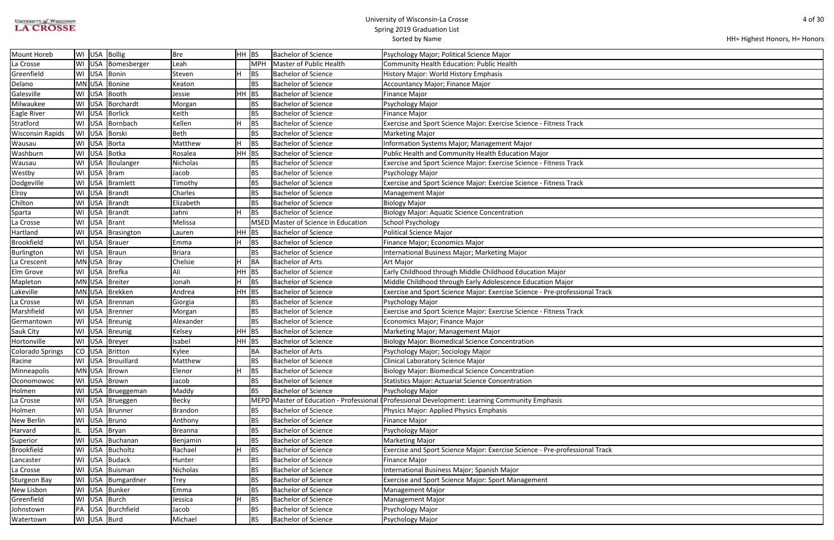| UNIVERSITY of WISCONSIN |
|-------------------------|
| <b>LA CROSSE</b>        |

| HH= Highest Honors, H= Honors |  |
|-------------------------------|--|
|-------------------------------|--|

| Mount Horeb             |    |             | WI USA Bollig         | <b>Bre</b>     | HH BS |           | <b>Bachelor of Science</b>          | Psychology Major; Political Science Major                                                 |
|-------------------------|----|-------------|-----------------------|----------------|-------|-----------|-------------------------------------|-------------------------------------------------------------------------------------------|
| La Crosse               | WI |             | USA Bomesberger       | Leah           |       | MPH       | Master of Public Health             | Community Health Education: Public Health                                                 |
| Greenfield              |    | WI USA      | Bonin                 | Steven         |       | <b>BS</b> | <b>Bachelor of Science</b>          | History Major: World History Emphasis                                                     |
| Delano                  |    |             | MN USA Bonine         | Keaton         |       | <b>BS</b> | <b>Bachelor of Science</b>          | Accountancy Major; Finance Major                                                          |
| Galesville              |    |             | WI USA Booth          | Jessie         | HH    | <b>BS</b> | <b>Bachelor of Science</b>          | <b>Finance Major</b>                                                                      |
| Milwaukee               |    | WI USA      | Borchardt             | Morgan         |       | BS        | <b>Bachelor of Science</b>          | Psychology Major                                                                          |
| <b>Eagle River</b>      |    |             | WI USA Borlick        | Keith          |       | BS        | <b>Bachelor of Science</b>          | <b>Finance Major</b>                                                                      |
| Stratford               |    |             | WI USA Bornbach       | Kellen         | lн    | BS        | <b>Bachelor of Science</b>          | Exercise and Sport Science Major: Exercise Science - Fitness Track                        |
| <b>Wisconsin Rapids</b> |    | WI USA      | Borski                | <b>Beth</b>    |       | BS        | <b>Bachelor of Science</b>          | <b>Marketing Major</b>                                                                    |
| Wausau                  | WI | <b>USA</b>  | Borta                 | Matthew        |       | BS        | <b>Bachelor of Science</b>          | Information Systems Major; Management Major                                               |
| Washburn                |    | WI USA      | Botka                 | Rosalea        | HH    | <b>BS</b> | <b>Bachelor of Science</b>          | Public Health and Community Health Education Major                                        |
| Wausau                  |    |             | WI   USA   Boulanger  | Nicholas       |       | BS        | <b>Bachelor of Science</b>          | Exercise and Sport Science Major: Exercise Science - Fitness Track                        |
| Westby                  |    | WI USA      | Bram                  | Jacob          |       | BS        | <b>Bachelor of Science</b>          | Psychology Major                                                                          |
| Dodgeville              | WI |             | USA Bramlett          | Timothy        |       | BS        | <b>Bachelor of Science</b>          | Exercise and Sport Science Major: Exercise Science - Fitness Track                        |
| Elroy                   | WI |             | USA Brandt            | Charles        |       | BS        | <b>Bachelor of Science</b>          | <b>Management Major</b>                                                                   |
| Chilton                 | WI |             | USA Brandt            | Elizabeth      |       | BS        | <b>Bachelor of Science</b>          | <b>Biology Major</b>                                                                      |
| Sparta                  | WI |             | USA Brandt            | Jahni          |       | BS        | Bachelor of Science                 | <b>Biology Major: Aquatic Science Concentration</b>                                       |
| La Crosse               |    |             | WI USA Brant          | Melissa        |       |           | MSED Master of Science in Education | <b>School Psychology</b>                                                                  |
| Hartland                |    |             | WI   USA   Brasington | Lauren         | HH    | <b>BS</b> | <b>Bachelor of Science</b>          | <b>Political Science Major</b>                                                            |
| <b>Brookfield</b>       |    |             | WI USA Brauer         | Emma           | ıн    | <b>BS</b> | <b>Bachelor of Science</b>          | Finance Major; Economics Major                                                            |
| Burlington              |    |             | WI USA Braun          | <b>Briara</b>  |       | <b>BS</b> | <b>Bachelor of Science</b>          | International Business Major; Marketing Major                                             |
| La Crescent             |    | MN USA Bray |                       | Chelsie        | H     | BA        | <b>Bachelor of Arts</b>             | Art Major                                                                                 |
| Elm Grove               |    |             | WI USA Brefka         | Ali            | HH    | BS        | Bachelor of Science                 | Early Childhood through Middle Childhood Education Major                                  |
| Mapleton                |    |             | MN USA Breiter        | Jonah          | lн    | <b>BS</b> | <b>Bachelor of Science</b>          | Middle Childhood through Early Adolescence Education Major                                |
| Lakeville               |    |             | MN USA   Brekken      | Andrea         | HH BS |           | <b>Bachelor of Science</b>          | Exercise and Sport Science Major: Exercise Science - Pre-professional Track               |
| La Crosse               |    |             | WI USA Brennan        | Giorgia        |       | BS        | <b>Bachelor of Science</b>          | Psychology Major                                                                          |
| Marshfield              |    |             | WI USA Brenner        | Morgan         |       | BS        | <b>Bachelor of Science</b>          | Exercise and Sport Science Major: Exercise Science - Fitness Track                        |
| Germantown              |    |             | WI USA Breunig        | Alexander      |       | BS        | <b>Bachelor of Science</b>          | Economics Major; Finance Major                                                            |
| <b>Sauk City</b>        |    |             | WI USA Breunig        | Kelsey         | HH BS |           | <b>Bachelor of Science</b>          | Marketing Major; Management Major                                                         |
| Hortonville             |    |             | WI USA Breyer         | Isabel         | HH BS |           | <b>Bachelor of Science</b>          | <b>Biology Major: Biomedical Science Concentration</b>                                    |
| Colorado Springs        |    |             | CO USA Britton        | Kylee          |       | BA        | <b>Bachelor of Arts</b>             | Psychology Major; Sociology Major                                                         |
| Racine                  |    |             | WI USA Brouillard     | Matthew        |       | BS        | <b>Bachelor of Science</b>          | Clinical Laboratory Science Major                                                         |
| Minneapolis             |    |             | MN USA Brown          | Elenor         | lН    | BS        | <b>Bachelor of Science</b>          | <b>Biology Major: Biomedical Science Concentration</b>                                    |
| Oconomowoc              |    |             | WI USA Brown          | Jacob          |       | BS        | Bachelor of Science                 | <b>Statistics Major: Actuarial Science Concentration</b>                                  |
| Holmen                  | WI |             | USA   Brueggeman      | Maddy          |       | BS        | <b>Bachelor of Science</b>          | Psychology Major                                                                          |
| La Crosse               | WI |             | USA   Brueggen        | Becky          |       | MEPD      |                                     | Master of Education - Professional (Professional Development: Learning Community Emphasis |
| Holmen                  | WI |             | USA Brunner           | <b>Brandon</b> |       | BS        | <b>Bachelor of Science</b>          | Physics Major: Applied Physics Emphasis                                                   |
| New Berlin              |    |             | WI USA Bruno          | Anthony        |       | BS        | <b>Bachelor of Science</b>          | <b>Finance Major</b>                                                                      |
| Harvard                 | IL |             | USA Bryan             | <b>Breanna</b> |       | BS        | <b>Bachelor of Science</b>          | Psychology Major                                                                          |
| Superior                | WI |             | USA Buchanan          | Benjamin       |       | BS        | <b>Bachelor of Science</b>          | <b>Marketing Major</b>                                                                    |
| <b>Brookfield</b>       | WI |             | USA Bucholtz          | Rachael        | lн    | BS        | <b>Bachelor of Science</b>          | Exercise and Sport Science Major: Exercise Science - Pre-professional Track               |
| Lancaster               | WI |             | USA Budack            | Hunter         |       | BS        | <b>Bachelor of Science</b>          | <b>Finance Major</b>                                                                      |
| La Crosse               |    |             | WI USA Buisman        | Nicholas       |       | <b>BS</b> | <b>Bachelor of Science</b>          | International Business Major; Spanish Major                                               |
| <b>Sturgeon Bay</b>     |    |             | WI USA Bumgardner     | Trey           |       | BS        | <b>Bachelor of Science</b>          | <b>Exercise and Sport Science Major: Sport Management</b>                                 |
| New Lisbon              |    |             | WI USA Bunker         | Emma           |       | BS        | <b>Bachelor of Science</b>          | <b>Management Major</b>                                                                   |
| Greenfield              | WI |             | USA Burch             | Jessica        | lн    | BS        | <b>Bachelor of Science</b>          | Management Major                                                                          |
| Johnstown               | PA |             | USA Burchfield        | Jacob          |       | BS        | <b>Bachelor of Science</b>          | Psychology Major                                                                          |
| Watertown               |    | WI USA Burd |                       | Michael        |       | BS        | <b>Bachelor of Science</b>          | Psychology Major                                                                          |
|                         |    |             |                       |                |       |           |                                     |                                                                                           |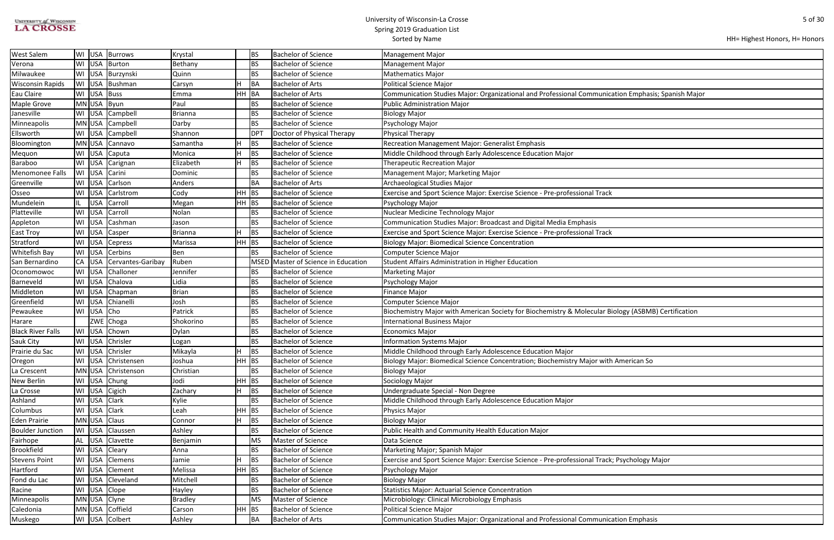| <b>UNIVERSITY of WISCONSIN</b> |  |
|--------------------------------|--|
| <b>LA CROSSE</b>               |  |

| HH= Highest Honors, H= Honors |  |
|-------------------------------|--|
|-------------------------------|--|

| ation Emphasis; Spanish Major |
|-------------------------------|
|                               |
|                               |
|                               |
|                               |
|                               |
|                               |
|                               |
|                               |
|                               |
|                               |
|                               |
|                               |
|                               |
|                               |
|                               |
|                               |
|                               |
|                               |
|                               |
|                               |
|                               |
|                               |
|                               |
|                               |
|                               |
|                               |
|                               |
|                               |
| iology (ASBMB) Certification  |
|                               |
|                               |
|                               |
|                               |
|                               |
| American So                   |
|                               |
|                               |
|                               |
|                               |
|                               |
|                               |
|                               |
|                               |
|                               |
|                               |
|                               |
|                               |
|                               |
| ; Psychology Major            |
|                               |
|                               |
|                               |
|                               |
|                               |
|                               |
|                               |

| West Salem               |           |            | WI   USA   Burrows | Krystal   |         | <b>BS</b>       | <b>Bachelor of Science</b>     | Management Major                                                                                    |
|--------------------------|-----------|------------|--------------------|-----------|---------|-----------------|--------------------------------|-----------------------------------------------------------------------------------------------------|
| Verona                   | WI        |            | USA Burton         | Bethany   |         | <b>BS</b>       | <b>Bachelor of Science</b>     | <b>Management Major</b>                                                                             |
| Milwaukee                |           | WI USA     | Burzynski          | Quinn     |         | <b>BS</b>       | <b>Bachelor of Science</b>     | <b>Mathematics Major</b>                                                                            |
| <b>Wisconsin Rapids</b>  | WI        | USA        | Bushman            | Carsyn    |         | BA              | <b>Bachelor of Arts</b>        | Political Science Major                                                                             |
| Eau Claire               |           | WI USA     | Buss               | Emma      | HH BA   |                 | <b>Bachelor of Arts</b>        | Communication Studies Major: Organizational and Professional Communication Emphasis; Spanish Major  |
| Maple Grove              |           | MN USA     | Byun               | Paul      |         | <b>BS</b>       | <b>Bachelor of Science</b>     | Public Administration Major                                                                         |
| Janesville               |           |            | WI USA Campbell    | Brianna   |         | <b>BS</b>       | <b>Bachelor of Science</b>     | <b>Biology Major</b>                                                                                |
| Minneapolis              |           |            | MN USA Campbell    | Darby     |         | <b>BS</b>       | <b>Bachelor of Science</b>     | Psychology Major                                                                                    |
| Ellsworth                |           |            | WI USA Campbell    | Shannon   |         | DP <sup>-</sup> | Doctor of Physical Therapy     | Physical Therapy                                                                                    |
| Bloomington              |           | MN USA     | Cannavo            | Samantha  |         | BS              | <b>Bachelor of Science</b>     | Recreation Management Major: Generalist Emphasis                                                    |
| Mequon                   |           | WI USA     | Caputa             | Monica    |         | BS              | <b>Bachelor of Science</b>     | Middle Childhood through Early Adolescence Education Major                                          |
| Baraboo                  |           | WI USA     | Carignan           | Elizabeth |         | BS              | <b>Bachelor of Science</b>     | Therapeutic Recreation Major                                                                        |
| Menomonee Falls          | WI        | USA        | Carini             | Dominic   |         | <b>BS</b>       | <b>Bachelor of Science</b>     | Management Major; Marketing Major                                                                   |
| Greenville               | WI        | USA        | Carlson            | Anders    |         | <b>BA</b>       | <b>Bachelor of Arts</b>        | Archaeological Studies Major                                                                        |
| Osseo                    | WI        | <b>USA</b> | Carlstrom          | Cody      | $HH$ BS |                 | <b>Bachelor of Science</b>     | Exercise and Sport Science Major: Exercise Science - Pre-professional Track                         |
| Mundelein                | IL.       | <b>USA</b> | Carroll            | Megan     | $HH$ BS |                 | <b>Bachelor of Science</b>     | Psychology Major                                                                                    |
| Platteville              | WI        | USA        | Carroll            | Nolan     |         | <b>BS</b>       | <b>Bachelor of Science</b>     | Nuclear Medicine Technology Major                                                                   |
| Appleton                 | WI        | USA        | Cashman            | Jason     |         | <b>BS</b>       | <b>Bachelor of Science</b>     | Communication Studies Major: Broadcast and Digital Media Emphasis                                   |
| East Troy                | WI        | <b>USA</b> | Casper             | Brianna   |         | BS              | <b>Bachelor of Science</b>     | Exercise and Sport Science Major: Exercise Science - Pre-professional Track                         |
| Stratford                | WI        | USA        | Cepress            | Marissa   | HH BS   |                 | <b>Bachelor of Science</b>     | <b>Biology Major: Biomedical Science Concentration</b>                                              |
| Whitefish Bay            |           | WI USA     | Cerbins            | Ben       |         | <b>BS</b>       | <b>Bachelor of Science</b>     | <b>Computer Science Major</b>                                                                       |
| San Bernardino           |           | $CA$ USA   | Cervantes-Garibay  | Ruben     |         | <b>MSED</b>     | Master of Science in Education | Student Affairs Administration in Higher Education                                                  |
| Oconomowoc               | WI        | <b>USA</b> | Challoner          | Jennifer  |         | <b>BS</b>       | <b>Bachelor of Science</b>     | <b>Marketing Major</b>                                                                              |
| Barneveld                |           | WI USA     | Chalova            | Lidia     |         | <b>BS</b>       | <b>Bachelor of Science</b>     | Psychology Major                                                                                    |
| Middleton                | WI        | USA        | Chapman            | Brian     |         | <b>BS</b>       | <b>Bachelor of Science</b>     | <b>Finance Major</b>                                                                                |
| Greenfield               | WI        | <b>USA</b> | Chianelli          | Josh      |         | <b>BS</b>       | <b>Bachelor of Science</b>     | <b>Computer Science Major</b>                                                                       |
| Pewaukee                 | WI        | <b>USA</b> | Cho                | Patrick   |         | <b>BS</b>       | <b>Bachelor of Science</b>     | Biochemistry Major with American Society for Biochemistry & Molecular Biology (ASBMB) Certification |
| Harare                   |           |            | ZWE Choga          | Shokorino |         | <b>BS</b>       | <b>Bachelor of Science</b>     | <b>International Business Major</b>                                                                 |
| <b>Black River Falls</b> |           |            | WI USA Chown       | Dylan     |         | <b>BS</b>       | <b>Bachelor of Science</b>     | <b>Economics Major</b>                                                                              |
| Sauk City                |           |            | WI USA Chrisler    | Logan     |         | <b>BS</b>       | <b>Bachelor of Science</b>     | <b>Information Systems Major</b>                                                                    |
| Prairie du Sac           |           |            | WI USA Chrisler    | Mikayla   | ιH.     | BS              | <b>Bachelor of Science</b>     | Middle Childhood through Early Adolescence Education Major                                          |
| Oregon                   |           | WI USA     | Christensen        | Joshua    | HH BS   |                 | <b>Bachelor of Science</b>     | Biology Major: Biomedical Science Concentration; Biochemistry Major with American So                |
| La Crescent              |           | MN USA     | Christenson        | Christian |         | <b>BS</b>       | <b>Bachelor of Science</b>     | <b>Biology Major</b>                                                                                |
| New Berlin               |           | WI USA     | Chung              | Jodi      | $HH$ BS |                 | <b>Bachelor of Science</b>     | Sociology Major                                                                                     |
| La Crosse                | WI        | USA        | Cigich             | Zachary   |         | BS              | <b>Bachelor of Science</b>     | Undergraduate Special - Non Degree                                                                  |
| Ashland                  |           |            | WI USA Clark       | Kylie     |         | <b>BS</b>       | <b>Bachelor of Science</b>     | Middle Childhood through Early Adolescence Education Major                                          |
| Columbus                 |           | WI USA     | Clark              | Leah      | $HH$ BS |                 | <b>Bachelor of Science</b>     | Physics Major                                                                                       |
| <b>Eden Prairie</b>      |           | MN USA     | Claus              | Connor    | н       | BS              | <b>Bachelor of Science</b>     | <b>Biology Major</b>                                                                                |
| <b>Boulder Junction</b>  |           | WI USA     | Claussen           | Ashley    |         | <b>BS</b>       | <b>Bachelor of Science</b>     | Public Health and Community Health Education Major                                                  |
| Fairhope                 | <b>AL</b> | USA        | Clavette           | Benjamin  |         | MS              | Master of Science              | Data Science                                                                                        |
| <b>Brookfield</b>        | WI        | USA        | Cleary             | Anna      |         | <b>BS</b>       | <b>Bachelor of Science</b>     | Marketing Major; Spanish Major                                                                      |
| <b>Stevens Point</b>     | WI        | USA        | Clemens            | Jamie     |         | <b>BS</b>       | <b>Bachelor of Science</b>     | Exercise and Sport Science Major: Exercise Science - Pre-professional Track; Psychology Major       |
| Hartford                 |           | WI USA     | Clement            | Melissa   | $HH$ BS |                 | <b>Bachelor of Science</b>     | Psychology Major                                                                                    |
| Fond du Lac              | WI        | USA        | Cleveland          | Mitchell  |         | <b>BS</b>       | <b>Bachelor of Science</b>     | <b>Biology Major</b>                                                                                |
| Racine                   | WI        | USA        | Clope              | Hayley    |         | <b>BS</b>       | <b>Bachelor of Science</b>     | Statistics Major: Actuarial Science Concentration                                                   |
| Minneapolis              |           |            | MN USA Clyne       | Bradley   |         | MS              | Master of Science              | Microbiology: Clinical Microbiology Emphasis                                                        |
| Caledonia                |           |            | MN USA Coffield    | Carson    | $HH$ BS |                 | <b>Bachelor of Science</b>     | Political Science Major                                                                             |
| Muskego                  |           |            | WI USA Colbert     | Ashley    |         | <b>BA</b>       | <b>Bachelor of Arts</b>        | Communication Studies Major: Organizational and Professional Communication Emphasis                 |
|                          |           |            |                    |           |         |                 |                                |                                                                                                     |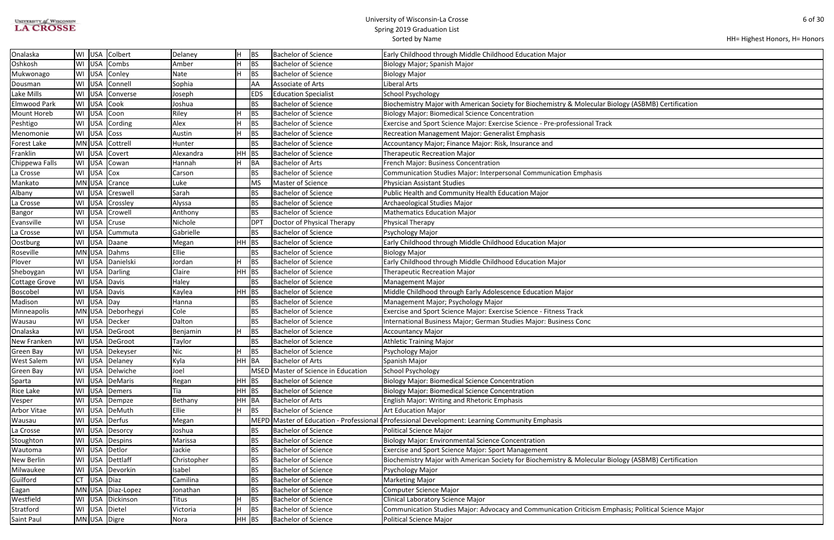| <b>UNIVERSITY of WISCONSIN</b> |
|--------------------------------|
| <b>LA CROSSE</b>               |

| HH= Highest Honors, H= Honors |  |
|-------------------------------|--|
|-------------------------------|--|

| iology (ASBMB) Certification    |
|---------------------------------|
|                                 |
|                                 |
|                                 |
|                                 |
|                                 |
|                                 |
|                                 |
|                                 |
|                                 |
|                                 |
|                                 |
|                                 |
|                                 |
|                                 |
|                                 |
|                                 |
|                                 |
|                                 |
|                                 |
|                                 |
|                                 |
|                                 |
|                                 |
|                                 |
|                                 |
|                                 |
|                                 |
|                                 |
|                                 |
|                                 |
|                                 |
|                                 |
|                                 |
|                                 |
|                                 |
|                                 |
|                                 |
|                                 |
|                                 |
|                                 |
|                                 |
|                                 |
|                                 |
|                                 |
|                                 |
|                                 |
|                                 |
| iology (ASBMB) Certification    |
|                                 |
|                                 |
|                                 |
|                                 |
|                                 |
|                                 |
| phasis; Political Science Major |
|                                 |

| Onalaska             |    | WI USA        | Colbert            | Delaney      | lн       | BS              | <b>Bachelor of Science</b>          | Early Childhood through Middle Childhood Education Major                                            |
|----------------------|----|---------------|--------------------|--------------|----------|-----------------|-------------------------------------|-----------------------------------------------------------------------------------------------------|
| Oshkosh              |    | WI USA        | Combs              | Amber        | lΗ       | <b>BS</b>       | <b>Bachelor of Science</b>          | Biology Major; Spanish Major                                                                        |
| Mukwonago            |    | WI USA        | Conley             | <b>Nate</b>  |          | <b>BS</b>       | <b>Bachelor of Science</b>          | <b>Biology Major</b>                                                                                |
| Dousman              |    | WI USA        | Connell            | Sophia       |          | AA              | Associate of Arts                   | Liberal Arts                                                                                        |
| Lake Mills           |    | WI USA        | Converse           | Joseph       |          | <b>EDS</b>      | <b>Education Specialist</b>         | <b>School Psychology</b>                                                                            |
| <b>Elmwood Park</b>  |    | WI USA Cook   |                    | Joshua       |          | <b>BS</b>       | <b>Bachelor of Science</b>          | Biochemistry Major with American Society for Biochemistry & Molecular Biology (ASBMB) Certification |
| Mount Horeb          |    | WI USA        | Coon               | Riley        |          | BS              | <b>Bachelor of Science</b>          | <b>Biology Major: Biomedical Science Concentration</b>                                              |
| Peshtigo             | WI | USA           | Cording            | Alex         |          | BS              | <b>Bachelor of Science</b>          | Exercise and Sport Science Major: Exercise Science - Pre-professional Track                         |
| Menomonie            |    | WI USA        | Coss               | Austin       |          | <b>BS</b>       | <b>Bachelor of Science</b>          | <b>Recreation Management Major: Generalist Emphasis</b>                                             |
| <b>Forest Lake</b>   |    | MN USA        | Cottrell           | Hunter       |          | <b>BS</b>       | <b>Bachelor of Science</b>          | Accountancy Major; Finance Major: Risk, Insurance and                                               |
| Franklin             |    | WI USA        | Covert             | Alexandra    | $HH$ BS  |                 | <b>Bachelor of Science</b>          | <b>Therapeutic Recreation Major</b>                                                                 |
| Chippewa Falls       |    |               | WI USA Cowan       | Hannah       | lн       | BA              | <b>Bachelor of Arts</b>             | French Major: Business Concentration                                                                |
| La Crosse            |    | WI USA Cox    |                    | Carson       |          | <b>BS</b>       | <b>Bachelor of Science</b>          | Communication Studies Major: Interpersonal Communication Emphasis                                   |
| Mankato              |    | $MN$ USA      | Crance             | Luke         |          | <b>MS</b>       | Master of Science                   | <b>Physician Assistant Studies</b>                                                                  |
| Albany               |    | WI USA        | <b>Creswell</b>    | Sarah        |          | <b>BS</b>       | <b>Bachelor of Science</b>          | Public Health and Community Health Education Major                                                  |
| La Crosse            |    | WI USA        | <b>Crossley</b>    | Alyssa       |          | <b>BS</b>       | <b>Bachelor of Science</b>          | Archaeological Studies Major                                                                        |
| <b>Bangor</b>        |    |               | WI USA Crowell     | Anthony      |          | <b>BS</b>       | <b>Bachelor of Science</b>          | <b>Mathematics Education Major</b>                                                                  |
| Evansville           |    | WI USA        | <b>Cruse</b>       | Nichole      |          | DP <sup>-</sup> | Doctor of Physical Therapy          | Physical Therapy                                                                                    |
| La Crosse            |    |               | WI USA Cummuta     | Gabrielle    |          | <b>BS</b>       | <b>Bachelor of Science</b>          | Psychology Major                                                                                    |
| Oostburg             |    |               | WI USA Daane       | Megan        | $HH$ BS  |                 | <b>Bachelor of Science</b>          | Early Childhood through Middle Childhood Education Major                                            |
| Roseville            |    |               | MN USA Dahms       | Ellie        |          | <b>BS</b>       | <b>Bachelor of Science</b>          | <b>Biology Major</b>                                                                                |
| Plover               |    |               | WI USA Danielski   | Jordan       | $\vdash$ | <b>BS</b>       | <b>Bachelor of Science</b>          | Early Childhood through Middle Childhood Education Major                                            |
| Sheboygan            |    |               | WI USA Darling     | Claire       | HH BS    |                 | <b>Bachelor of Science</b>          | <b>Therapeutic Recreation Major</b>                                                                 |
| <b>Cottage Grove</b> |    |               | WI USA Davis       | Haley        |          | <b>BS</b>       | <b>Bachelor of Science</b>          | Management Major                                                                                    |
| Boscobel             |    |               | WI USA Davis       | Kaylea       | $HH$ BS  |                 | <b>Bachelor of Science</b>          | Middle Childhood through Early Adolescence Education Major                                          |
| Madison              |    | WI USA Day    |                    | Hanna        |          | BS              | <b>Bachelor of Science</b>          | Management Major; Psychology Major                                                                  |
| Minneapolis          |    |               | MN USA Deborhegyi  | Cole         |          | <b>BS</b>       | <b>Bachelor of Science</b>          | Exercise and Sport Science Major: Exercise Science - Fitness Track                                  |
| Wausau               |    |               | WI USA Decker      | Dalton       |          | <b>BS</b>       | <b>Bachelor of Science</b>          | International Business Major; German Studies Major: Business Conc                                   |
| Onalaska             |    |               | WI USA DeGroot     | Benjamin     |          | <b>BS</b>       | <b>Bachelor of Science</b>          | <b>Accountancy Major</b>                                                                            |
| New Franken          |    |               | WI USA DeGroot     | Taylor       |          | <b>BS</b>       | <b>Bachelor of Science</b>          | <b>Athletic Training Major</b>                                                                      |
| <b>Green Bay</b>     |    |               | WI USA Dekeyser    | <b>Nic</b>   | Iш       | <b>BS</b>       | <b>Bachelor of Science</b>          | Psychology Major                                                                                    |
| <b>West Salem</b>    |    |               | WI USA Delaney     | Kyla         | HH BA    |                 | <b>Bachelor of Arts</b>             | Spanish Major                                                                                       |
| Green Bay            |    |               | WI USA Delwiche    | Joel         |          |                 | MSED Master of Science in Education | <b>School Psychology</b>                                                                            |
| Sparta               |    |               | WI   USA   DeMaris | Regan        | $HH$ BS  |                 | <b>Bachelor of Science</b>          | <b>Biology Major: Biomedical Science Concentration</b>                                              |
| Rice Lake            |    |               | WI USA Demers      | Tia          | $HH$ BS  |                 | <b>Bachelor of Science</b>          | <b>Biology Major: Biomedical Science Concentration</b>                                              |
| Vesper               |    |               | WI USA Dempze      | Bethany      | HH BA    |                 | <b>Bachelor of Arts</b>             | <b>English Major: Writing and Rhetoric Emphasis</b>                                                 |
| <b>Arbor Vitae</b>   |    |               | WI USA DeMuth      | Ellie        |          | <b>BS</b>       | <b>Bachelor of Science</b>          | <b>Art Education Major</b>                                                                          |
| Wausau               |    |               | WI USA Derfus      | Megan        |          |                 |                                     | MEPD Master of Education - Professional (Professional Development: Learning Community Emphasis      |
| La Crosse            |    |               | WI USA Desorcy     | Joshua       |          | <b>BS</b>       | <b>Bachelor of Science</b>          | Political Science Major                                                                             |
| Stoughton            |    |               | WI USA Despins     | Marissa      |          | BS              | <b>Bachelor of Science</b>          | <b>Biology Major: Environmental Science Concentration</b>                                           |
| Wautoma              |    |               | WI USA Detlor      | Jackie       |          | BS              | <b>Bachelor of Science</b>          | Exercise and Sport Science Major: Sport Management                                                  |
| New Berlin           |    |               | WI USA Dettlaff    | Christopher  |          | BS              | <b>Bachelor of Science</b>          | Biochemistry Major with American Society for Biochemistry & Molecular Biology (ASBMB) Certification |
| Milwaukee            |    |               | WI USA Devorkin    | Isabel       |          | BS              | <b>Bachelor of Science</b>          | Psychology Major                                                                                    |
| Guilford             |    | $CT$ USA Diaz |                    | Camilina     |          | <b>BS</b>       | <b>Bachelor of Science</b>          | <b>Marketing Major</b>                                                                              |
| Eagan                |    |               | MN USA Diaz-Lopez  | Jonathan     |          | <b>BS</b>       | <b>Bachelor of Science</b>          | <b>Computer Science Major</b>                                                                       |
| Westfield            |    |               | WI USA Dickinson   | <b>Titus</b> |          | <b>BS</b>       | <b>Bachelor of Science</b>          | Clinical Laboratory Science Major                                                                   |
| Stratford            |    |               | WI USA Dietel      | Victoria     |          | <b>BS</b>       | <b>Bachelor of Science</b>          | Communication Studies Major: Advocacy and Communication Criticism Emphasis; Political Science Major |
| Saint Paul           |    |               | MN USA Digre       | Nora         | HH BS    |                 | <b>Bachelor of Science</b>          | <b>Political Science Major</b>                                                                      |
|                      |    |               |                    |              |          |                 |                                     |                                                                                                     |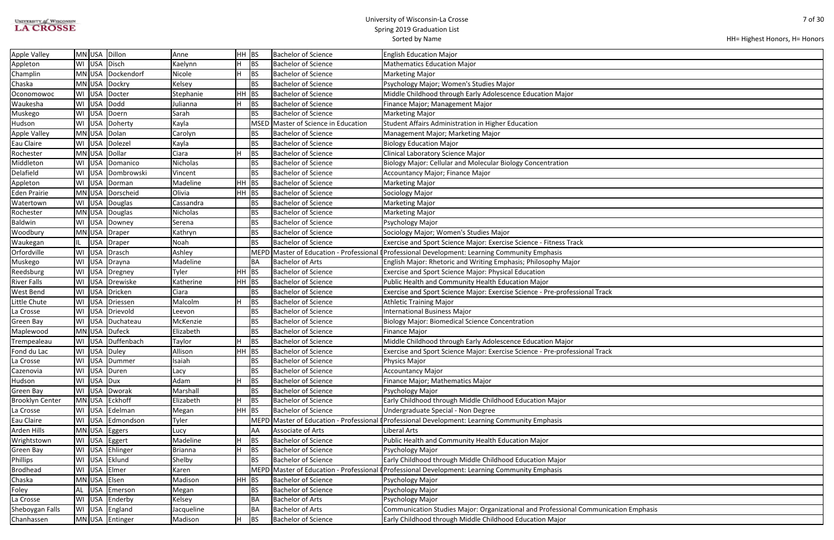| <b>UNIVERSITY of WISCONSIN</b> |
|--------------------------------|
| <b>LA CROSSE</b>               |

| ation Emphasis |  |
|----------------|--|
|                |  |

| HH BS<br>MN USA Dillon<br><b>Apple Valley</b><br>Bachelor of Science<br><b>English Education Major</b><br>Anne<br>WI USA Disch<br>BS<br><b>Bachelor of Science</b><br>Appleton<br>Kaelynn<br>н<br><b>Mathematics Education Major</b><br>MN USA Dockendorf<br>H<br><b>BS</b><br>Champlin<br>Nicole<br><b>Bachelor of Science</b><br><b>Marketing Major</b><br>Chaska<br>MN USA Dockry<br>Kelsey<br>BS<br><b>Bachelor of Science</b><br>Psychology Major; Women's Studies Major<br>WI USA Docter<br>HH<br> BS<br>Middle Childhood through Early Adolescence Education Major<br>Stephanie<br><b>Bachelor of Science</b><br>Oconomowoc<br>WI USA Dodd<br><b>BS</b><br>Waukesha<br><b>Bachelor of Science</b><br>Finance Major; Management Major<br>Julianna<br>WI USA Doern<br>Sarah<br><b>BS</b><br>Bachelor of Science<br>Muskego<br><b>Marketing Major</b><br>Hudson<br>WI USA Doherty<br>Kayla<br>MSED Master of Science in Education<br>Student Affairs Administration in Higher Education<br><b>Apple Valley</b><br>MN USA Dolan<br><b>Bachelor of Science</b><br>Carolyn<br>ВS<br>Management Major; Marketing Major<br>WI USA Dolezel<br><b>BS</b><br><b>Bachelor of Science</b><br>Eau Claire<br>Kayla<br><b>Biology Education Major</b><br>H<br><b>BS</b><br>Rochester<br>MN USA Dollar<br>Ciara<br><b>Bachelor of Science</b><br>Clinical Laboratory Science Major<br>Middleton<br>WI USA Domanico<br><b>BS</b><br><b>Bachelor of Science</b><br>Biology Major: Cellular and Molecular Biology Concentration<br><b>Nicholas</b><br>Delafield<br>WI USA Dombrowski<br><b>BS</b><br><b>Bachelor of Science</b><br>Vincent<br>Accountancy Major; Finance Major<br><b>BS</b><br>WI USA Dorman<br>Madeline<br>HH<br><b>Bachelor of Science</b><br>Appleton<br><b>Marketing Major</b><br>Olivia<br>$HH$ BS<br><b>Eden Prairie</b><br>MN USA Dorscheid<br><b>Bachelor of Science</b><br>Sociology Major<br>WI USA Douglas<br>BS<br><b>Bachelor of Science</b><br>Watertown<br>Cassandra<br><b>Marketing Major</b><br>MN USA Douglas<br><b>BS</b><br><b>Bachelor of Science</b><br>Rochester<br><b>Nicholas</b><br><b>Marketing Major</b><br>WI USA Downey<br><b>BS</b><br><b>Bachelor of Science</b><br><b>Baldwin</b><br>Serena<br>Psychology Major<br>MN USA Draper<br><b>BS</b><br>Bachelor of Science<br>Sociology Major; Women's Studies Major<br>Woodbury<br>Kathryn<br><b>BS</b><br>USA Draper<br>Noah<br><b>Bachelor of Science</b><br>Exercise and Sport Science Major: Exercise Science - Fitness Track<br>Waukegan<br>IL.<br>Orfordville<br>WI USA Drasch<br>MEPD Master of Education - Professional (Professional Development: Learning Community Emphasis<br>Ashley<br>WI USA Drayna<br>Madeline<br>Bachelor of Arts<br>Muskego<br><b>BA</b><br>English Major: Rhetoric and Writing Emphasis; Philosophy Major<br>HH<br><b>BS</b><br>Reedsburg<br>WI USA Dregney<br><b>Bachelor of Science</b><br>Exercise and Sport Science Major: Physical Education<br>Tyler<br>WI USA Drewiske<br>HH<br> BS<br><b>River Falls</b><br>Katherine<br><b>Bachelor of Science</b><br>Public Health and Community Health Education Major<br>West Bend<br>WI USA Dricken<br>Ciara<br><b>BS</b><br><b>Bachelor of Science</b><br>Exercise and Sport Science Major: Exercise Science - Pre-professional Track<br>Little Chute<br>WI USA Driessen<br>H<br><b>BS</b><br><b>Bachelor of Science</b><br><b>Athletic Training Major</b><br>Malcolm<br>WI USA Drievold<br><b>BS</b><br><b>Bachelor of Science</b><br><b>International Business Major</b><br>La Crosse<br>Leevon<br>WI USA Duchateau<br>BS<br><b>Bachelor of Science</b><br><b>Biology Major: Biomedical Science Concentration</b><br>Green Bay<br>McKenzie<br>MN USA Dufeck<br>Elizabeth<br><b>BS</b><br>Bachelor of Science<br>Maplewood<br><b>Finance Major</b><br>WI USA Duffenbach<br><b>BS</b><br>Trempealeau<br><b>Bachelor of Science</b><br>Middle Childhood through Early Adolescence Education Major<br>Taylor<br>WI USA Duley<br>$HH$ BS<br>Allison<br>Fond du Lac<br><b>Bachelor of Science</b><br>Exercise and Sport Science Major: Exercise Science - Pre-professional Track |
|---------------------------------------------------------------------------------------------------------------------------------------------------------------------------------------------------------------------------------------------------------------------------------------------------------------------------------------------------------------------------------------------------------------------------------------------------------------------------------------------------------------------------------------------------------------------------------------------------------------------------------------------------------------------------------------------------------------------------------------------------------------------------------------------------------------------------------------------------------------------------------------------------------------------------------------------------------------------------------------------------------------------------------------------------------------------------------------------------------------------------------------------------------------------------------------------------------------------------------------------------------------------------------------------------------------------------------------------------------------------------------------------------------------------------------------------------------------------------------------------------------------------------------------------------------------------------------------------------------------------------------------------------------------------------------------------------------------------------------------------------------------------------------------------------------------------------------------------------------------------------------------------------------------------------------------------------------------------------------------------------------------------------------------------------------------------------------------------------------------------------------------------------------------------------------------------------------------------------------------------------------------------------------------------------------------------------------------------------------------------------------------------------------------------------------------------------------------------------------------------------------------------------------------------------------------------------------------------------------------------------------------------------------------------------------------------------------------------------------------------------------------------------------------------------------------------------------------------------------------------------------------------------------------------------------------------------------------------------------------------------------------------------------------------------------------------------------------------------------------------------------------------------------------------------------------------------------------------------------------------------------------------------------------------------------------------------------------------------------------------------------------------------------------------------------------------------------------------------------------------------------------------------------------------------------------------------------------------------------------------------------------------------------------------------------------------------------------------------------------------------------------------------------------------------------------------------------------------------------------------------------------------------------------------------------------------------------------------------------------------------------------------------------------------------------------------------------------------------------------------------------------------|
|                                                                                                                                                                                                                                                                                                                                                                                                                                                                                                                                                                                                                                                                                                                                                                                                                                                                                                                                                                                                                                                                                                                                                                                                                                                                                                                                                                                                                                                                                                                                                                                                                                                                                                                                                                                                                                                                                                                                                                                                                                                                                                                                                                                                                                                                                                                                                                                                                                                                                                                                                                                                                                                                                                                                                                                                                                                                                                                                                                                                                                                                                                                                                                                                                                                                                                                                                                                                                                                                                                                                                                                                                                                                                                                                                                                                                                                                                                                                                                                                                                                                                                                                             |
|                                                                                                                                                                                                                                                                                                                                                                                                                                                                                                                                                                                                                                                                                                                                                                                                                                                                                                                                                                                                                                                                                                                                                                                                                                                                                                                                                                                                                                                                                                                                                                                                                                                                                                                                                                                                                                                                                                                                                                                                                                                                                                                                                                                                                                                                                                                                                                                                                                                                                                                                                                                                                                                                                                                                                                                                                                                                                                                                                                                                                                                                                                                                                                                                                                                                                                                                                                                                                                                                                                                                                                                                                                                                                                                                                                                                                                                                                                                                                                                                                                                                                                                                             |
|                                                                                                                                                                                                                                                                                                                                                                                                                                                                                                                                                                                                                                                                                                                                                                                                                                                                                                                                                                                                                                                                                                                                                                                                                                                                                                                                                                                                                                                                                                                                                                                                                                                                                                                                                                                                                                                                                                                                                                                                                                                                                                                                                                                                                                                                                                                                                                                                                                                                                                                                                                                                                                                                                                                                                                                                                                                                                                                                                                                                                                                                                                                                                                                                                                                                                                                                                                                                                                                                                                                                                                                                                                                                                                                                                                                                                                                                                                                                                                                                                                                                                                                                             |
|                                                                                                                                                                                                                                                                                                                                                                                                                                                                                                                                                                                                                                                                                                                                                                                                                                                                                                                                                                                                                                                                                                                                                                                                                                                                                                                                                                                                                                                                                                                                                                                                                                                                                                                                                                                                                                                                                                                                                                                                                                                                                                                                                                                                                                                                                                                                                                                                                                                                                                                                                                                                                                                                                                                                                                                                                                                                                                                                                                                                                                                                                                                                                                                                                                                                                                                                                                                                                                                                                                                                                                                                                                                                                                                                                                                                                                                                                                                                                                                                                                                                                                                                             |
|                                                                                                                                                                                                                                                                                                                                                                                                                                                                                                                                                                                                                                                                                                                                                                                                                                                                                                                                                                                                                                                                                                                                                                                                                                                                                                                                                                                                                                                                                                                                                                                                                                                                                                                                                                                                                                                                                                                                                                                                                                                                                                                                                                                                                                                                                                                                                                                                                                                                                                                                                                                                                                                                                                                                                                                                                                                                                                                                                                                                                                                                                                                                                                                                                                                                                                                                                                                                                                                                                                                                                                                                                                                                                                                                                                                                                                                                                                                                                                                                                                                                                                                                             |
|                                                                                                                                                                                                                                                                                                                                                                                                                                                                                                                                                                                                                                                                                                                                                                                                                                                                                                                                                                                                                                                                                                                                                                                                                                                                                                                                                                                                                                                                                                                                                                                                                                                                                                                                                                                                                                                                                                                                                                                                                                                                                                                                                                                                                                                                                                                                                                                                                                                                                                                                                                                                                                                                                                                                                                                                                                                                                                                                                                                                                                                                                                                                                                                                                                                                                                                                                                                                                                                                                                                                                                                                                                                                                                                                                                                                                                                                                                                                                                                                                                                                                                                                             |
|                                                                                                                                                                                                                                                                                                                                                                                                                                                                                                                                                                                                                                                                                                                                                                                                                                                                                                                                                                                                                                                                                                                                                                                                                                                                                                                                                                                                                                                                                                                                                                                                                                                                                                                                                                                                                                                                                                                                                                                                                                                                                                                                                                                                                                                                                                                                                                                                                                                                                                                                                                                                                                                                                                                                                                                                                                                                                                                                                                                                                                                                                                                                                                                                                                                                                                                                                                                                                                                                                                                                                                                                                                                                                                                                                                                                                                                                                                                                                                                                                                                                                                                                             |
|                                                                                                                                                                                                                                                                                                                                                                                                                                                                                                                                                                                                                                                                                                                                                                                                                                                                                                                                                                                                                                                                                                                                                                                                                                                                                                                                                                                                                                                                                                                                                                                                                                                                                                                                                                                                                                                                                                                                                                                                                                                                                                                                                                                                                                                                                                                                                                                                                                                                                                                                                                                                                                                                                                                                                                                                                                                                                                                                                                                                                                                                                                                                                                                                                                                                                                                                                                                                                                                                                                                                                                                                                                                                                                                                                                                                                                                                                                                                                                                                                                                                                                                                             |
|                                                                                                                                                                                                                                                                                                                                                                                                                                                                                                                                                                                                                                                                                                                                                                                                                                                                                                                                                                                                                                                                                                                                                                                                                                                                                                                                                                                                                                                                                                                                                                                                                                                                                                                                                                                                                                                                                                                                                                                                                                                                                                                                                                                                                                                                                                                                                                                                                                                                                                                                                                                                                                                                                                                                                                                                                                                                                                                                                                                                                                                                                                                                                                                                                                                                                                                                                                                                                                                                                                                                                                                                                                                                                                                                                                                                                                                                                                                                                                                                                                                                                                                                             |
|                                                                                                                                                                                                                                                                                                                                                                                                                                                                                                                                                                                                                                                                                                                                                                                                                                                                                                                                                                                                                                                                                                                                                                                                                                                                                                                                                                                                                                                                                                                                                                                                                                                                                                                                                                                                                                                                                                                                                                                                                                                                                                                                                                                                                                                                                                                                                                                                                                                                                                                                                                                                                                                                                                                                                                                                                                                                                                                                                                                                                                                                                                                                                                                                                                                                                                                                                                                                                                                                                                                                                                                                                                                                                                                                                                                                                                                                                                                                                                                                                                                                                                                                             |
|                                                                                                                                                                                                                                                                                                                                                                                                                                                                                                                                                                                                                                                                                                                                                                                                                                                                                                                                                                                                                                                                                                                                                                                                                                                                                                                                                                                                                                                                                                                                                                                                                                                                                                                                                                                                                                                                                                                                                                                                                                                                                                                                                                                                                                                                                                                                                                                                                                                                                                                                                                                                                                                                                                                                                                                                                                                                                                                                                                                                                                                                                                                                                                                                                                                                                                                                                                                                                                                                                                                                                                                                                                                                                                                                                                                                                                                                                                                                                                                                                                                                                                                                             |
|                                                                                                                                                                                                                                                                                                                                                                                                                                                                                                                                                                                                                                                                                                                                                                                                                                                                                                                                                                                                                                                                                                                                                                                                                                                                                                                                                                                                                                                                                                                                                                                                                                                                                                                                                                                                                                                                                                                                                                                                                                                                                                                                                                                                                                                                                                                                                                                                                                                                                                                                                                                                                                                                                                                                                                                                                                                                                                                                                                                                                                                                                                                                                                                                                                                                                                                                                                                                                                                                                                                                                                                                                                                                                                                                                                                                                                                                                                                                                                                                                                                                                                                                             |
|                                                                                                                                                                                                                                                                                                                                                                                                                                                                                                                                                                                                                                                                                                                                                                                                                                                                                                                                                                                                                                                                                                                                                                                                                                                                                                                                                                                                                                                                                                                                                                                                                                                                                                                                                                                                                                                                                                                                                                                                                                                                                                                                                                                                                                                                                                                                                                                                                                                                                                                                                                                                                                                                                                                                                                                                                                                                                                                                                                                                                                                                                                                                                                                                                                                                                                                                                                                                                                                                                                                                                                                                                                                                                                                                                                                                                                                                                                                                                                                                                                                                                                                                             |
|                                                                                                                                                                                                                                                                                                                                                                                                                                                                                                                                                                                                                                                                                                                                                                                                                                                                                                                                                                                                                                                                                                                                                                                                                                                                                                                                                                                                                                                                                                                                                                                                                                                                                                                                                                                                                                                                                                                                                                                                                                                                                                                                                                                                                                                                                                                                                                                                                                                                                                                                                                                                                                                                                                                                                                                                                                                                                                                                                                                                                                                                                                                                                                                                                                                                                                                                                                                                                                                                                                                                                                                                                                                                                                                                                                                                                                                                                                                                                                                                                                                                                                                                             |
|                                                                                                                                                                                                                                                                                                                                                                                                                                                                                                                                                                                                                                                                                                                                                                                                                                                                                                                                                                                                                                                                                                                                                                                                                                                                                                                                                                                                                                                                                                                                                                                                                                                                                                                                                                                                                                                                                                                                                                                                                                                                                                                                                                                                                                                                                                                                                                                                                                                                                                                                                                                                                                                                                                                                                                                                                                                                                                                                                                                                                                                                                                                                                                                                                                                                                                                                                                                                                                                                                                                                                                                                                                                                                                                                                                                                                                                                                                                                                                                                                                                                                                                                             |
|                                                                                                                                                                                                                                                                                                                                                                                                                                                                                                                                                                                                                                                                                                                                                                                                                                                                                                                                                                                                                                                                                                                                                                                                                                                                                                                                                                                                                                                                                                                                                                                                                                                                                                                                                                                                                                                                                                                                                                                                                                                                                                                                                                                                                                                                                                                                                                                                                                                                                                                                                                                                                                                                                                                                                                                                                                                                                                                                                                                                                                                                                                                                                                                                                                                                                                                                                                                                                                                                                                                                                                                                                                                                                                                                                                                                                                                                                                                                                                                                                                                                                                                                             |
|                                                                                                                                                                                                                                                                                                                                                                                                                                                                                                                                                                                                                                                                                                                                                                                                                                                                                                                                                                                                                                                                                                                                                                                                                                                                                                                                                                                                                                                                                                                                                                                                                                                                                                                                                                                                                                                                                                                                                                                                                                                                                                                                                                                                                                                                                                                                                                                                                                                                                                                                                                                                                                                                                                                                                                                                                                                                                                                                                                                                                                                                                                                                                                                                                                                                                                                                                                                                                                                                                                                                                                                                                                                                                                                                                                                                                                                                                                                                                                                                                                                                                                                                             |
|                                                                                                                                                                                                                                                                                                                                                                                                                                                                                                                                                                                                                                                                                                                                                                                                                                                                                                                                                                                                                                                                                                                                                                                                                                                                                                                                                                                                                                                                                                                                                                                                                                                                                                                                                                                                                                                                                                                                                                                                                                                                                                                                                                                                                                                                                                                                                                                                                                                                                                                                                                                                                                                                                                                                                                                                                                                                                                                                                                                                                                                                                                                                                                                                                                                                                                                                                                                                                                                                                                                                                                                                                                                                                                                                                                                                                                                                                                                                                                                                                                                                                                                                             |
|                                                                                                                                                                                                                                                                                                                                                                                                                                                                                                                                                                                                                                                                                                                                                                                                                                                                                                                                                                                                                                                                                                                                                                                                                                                                                                                                                                                                                                                                                                                                                                                                                                                                                                                                                                                                                                                                                                                                                                                                                                                                                                                                                                                                                                                                                                                                                                                                                                                                                                                                                                                                                                                                                                                                                                                                                                                                                                                                                                                                                                                                                                                                                                                                                                                                                                                                                                                                                                                                                                                                                                                                                                                                                                                                                                                                                                                                                                                                                                                                                                                                                                                                             |
|                                                                                                                                                                                                                                                                                                                                                                                                                                                                                                                                                                                                                                                                                                                                                                                                                                                                                                                                                                                                                                                                                                                                                                                                                                                                                                                                                                                                                                                                                                                                                                                                                                                                                                                                                                                                                                                                                                                                                                                                                                                                                                                                                                                                                                                                                                                                                                                                                                                                                                                                                                                                                                                                                                                                                                                                                                                                                                                                                                                                                                                                                                                                                                                                                                                                                                                                                                                                                                                                                                                                                                                                                                                                                                                                                                                                                                                                                                                                                                                                                                                                                                                                             |
|                                                                                                                                                                                                                                                                                                                                                                                                                                                                                                                                                                                                                                                                                                                                                                                                                                                                                                                                                                                                                                                                                                                                                                                                                                                                                                                                                                                                                                                                                                                                                                                                                                                                                                                                                                                                                                                                                                                                                                                                                                                                                                                                                                                                                                                                                                                                                                                                                                                                                                                                                                                                                                                                                                                                                                                                                                                                                                                                                                                                                                                                                                                                                                                                                                                                                                                                                                                                                                                                                                                                                                                                                                                                                                                                                                                                                                                                                                                                                                                                                                                                                                                                             |
|                                                                                                                                                                                                                                                                                                                                                                                                                                                                                                                                                                                                                                                                                                                                                                                                                                                                                                                                                                                                                                                                                                                                                                                                                                                                                                                                                                                                                                                                                                                                                                                                                                                                                                                                                                                                                                                                                                                                                                                                                                                                                                                                                                                                                                                                                                                                                                                                                                                                                                                                                                                                                                                                                                                                                                                                                                                                                                                                                                                                                                                                                                                                                                                                                                                                                                                                                                                                                                                                                                                                                                                                                                                                                                                                                                                                                                                                                                                                                                                                                                                                                                                                             |
|                                                                                                                                                                                                                                                                                                                                                                                                                                                                                                                                                                                                                                                                                                                                                                                                                                                                                                                                                                                                                                                                                                                                                                                                                                                                                                                                                                                                                                                                                                                                                                                                                                                                                                                                                                                                                                                                                                                                                                                                                                                                                                                                                                                                                                                                                                                                                                                                                                                                                                                                                                                                                                                                                                                                                                                                                                                                                                                                                                                                                                                                                                                                                                                                                                                                                                                                                                                                                                                                                                                                                                                                                                                                                                                                                                                                                                                                                                                                                                                                                                                                                                                                             |
|                                                                                                                                                                                                                                                                                                                                                                                                                                                                                                                                                                                                                                                                                                                                                                                                                                                                                                                                                                                                                                                                                                                                                                                                                                                                                                                                                                                                                                                                                                                                                                                                                                                                                                                                                                                                                                                                                                                                                                                                                                                                                                                                                                                                                                                                                                                                                                                                                                                                                                                                                                                                                                                                                                                                                                                                                                                                                                                                                                                                                                                                                                                                                                                                                                                                                                                                                                                                                                                                                                                                                                                                                                                                                                                                                                                                                                                                                                                                                                                                                                                                                                                                             |
|                                                                                                                                                                                                                                                                                                                                                                                                                                                                                                                                                                                                                                                                                                                                                                                                                                                                                                                                                                                                                                                                                                                                                                                                                                                                                                                                                                                                                                                                                                                                                                                                                                                                                                                                                                                                                                                                                                                                                                                                                                                                                                                                                                                                                                                                                                                                                                                                                                                                                                                                                                                                                                                                                                                                                                                                                                                                                                                                                                                                                                                                                                                                                                                                                                                                                                                                                                                                                                                                                                                                                                                                                                                                                                                                                                                                                                                                                                                                                                                                                                                                                                                                             |
|                                                                                                                                                                                                                                                                                                                                                                                                                                                                                                                                                                                                                                                                                                                                                                                                                                                                                                                                                                                                                                                                                                                                                                                                                                                                                                                                                                                                                                                                                                                                                                                                                                                                                                                                                                                                                                                                                                                                                                                                                                                                                                                                                                                                                                                                                                                                                                                                                                                                                                                                                                                                                                                                                                                                                                                                                                                                                                                                                                                                                                                                                                                                                                                                                                                                                                                                                                                                                                                                                                                                                                                                                                                                                                                                                                                                                                                                                                                                                                                                                                                                                                                                             |
|                                                                                                                                                                                                                                                                                                                                                                                                                                                                                                                                                                                                                                                                                                                                                                                                                                                                                                                                                                                                                                                                                                                                                                                                                                                                                                                                                                                                                                                                                                                                                                                                                                                                                                                                                                                                                                                                                                                                                                                                                                                                                                                                                                                                                                                                                                                                                                                                                                                                                                                                                                                                                                                                                                                                                                                                                                                                                                                                                                                                                                                                                                                                                                                                                                                                                                                                                                                                                                                                                                                                                                                                                                                                                                                                                                                                                                                                                                                                                                                                                                                                                                                                             |
|                                                                                                                                                                                                                                                                                                                                                                                                                                                                                                                                                                                                                                                                                                                                                                                                                                                                                                                                                                                                                                                                                                                                                                                                                                                                                                                                                                                                                                                                                                                                                                                                                                                                                                                                                                                                                                                                                                                                                                                                                                                                                                                                                                                                                                                                                                                                                                                                                                                                                                                                                                                                                                                                                                                                                                                                                                                                                                                                                                                                                                                                                                                                                                                                                                                                                                                                                                                                                                                                                                                                                                                                                                                                                                                                                                                                                                                                                                                                                                                                                                                                                                                                             |
|                                                                                                                                                                                                                                                                                                                                                                                                                                                                                                                                                                                                                                                                                                                                                                                                                                                                                                                                                                                                                                                                                                                                                                                                                                                                                                                                                                                                                                                                                                                                                                                                                                                                                                                                                                                                                                                                                                                                                                                                                                                                                                                                                                                                                                                                                                                                                                                                                                                                                                                                                                                                                                                                                                                                                                                                                                                                                                                                                                                                                                                                                                                                                                                                                                                                                                                                                                                                                                                                                                                                                                                                                                                                                                                                                                                                                                                                                                                                                                                                                                                                                                                                             |
|                                                                                                                                                                                                                                                                                                                                                                                                                                                                                                                                                                                                                                                                                                                                                                                                                                                                                                                                                                                                                                                                                                                                                                                                                                                                                                                                                                                                                                                                                                                                                                                                                                                                                                                                                                                                                                                                                                                                                                                                                                                                                                                                                                                                                                                                                                                                                                                                                                                                                                                                                                                                                                                                                                                                                                                                                                                                                                                                                                                                                                                                                                                                                                                                                                                                                                                                                                                                                                                                                                                                                                                                                                                                                                                                                                                                                                                                                                                                                                                                                                                                                                                                             |
|                                                                                                                                                                                                                                                                                                                                                                                                                                                                                                                                                                                                                                                                                                                                                                                                                                                                                                                                                                                                                                                                                                                                                                                                                                                                                                                                                                                                                                                                                                                                                                                                                                                                                                                                                                                                                                                                                                                                                                                                                                                                                                                                                                                                                                                                                                                                                                                                                                                                                                                                                                                                                                                                                                                                                                                                                                                                                                                                                                                                                                                                                                                                                                                                                                                                                                                                                                                                                                                                                                                                                                                                                                                                                                                                                                                                                                                                                                                                                                                                                                                                                                                                             |
| WI USA Dummer<br><b>BS</b><br><b>Bachelor of Science</b><br>La Crosse<br>Isaiah<br>Physics Major                                                                                                                                                                                                                                                                                                                                                                                                                                                                                                                                                                                                                                                                                                                                                                                                                                                                                                                                                                                                                                                                                                                                                                                                                                                                                                                                                                                                                                                                                                                                                                                                                                                                                                                                                                                                                                                                                                                                                                                                                                                                                                                                                                                                                                                                                                                                                                                                                                                                                                                                                                                                                                                                                                                                                                                                                                                                                                                                                                                                                                                                                                                                                                                                                                                                                                                                                                                                                                                                                                                                                                                                                                                                                                                                                                                                                                                                                                                                                                                                                                            |
| WI USA Duren<br><b>BS</b><br><b>Bachelor of Science</b><br><b>Accountancy Major</b><br>Cazenovia<br>Lacy                                                                                                                                                                                                                                                                                                                                                                                                                                                                                                                                                                                                                                                                                                                                                                                                                                                                                                                                                                                                                                                                                                                                                                                                                                                                                                                                                                                                                                                                                                                                                                                                                                                                                                                                                                                                                                                                                                                                                                                                                                                                                                                                                                                                                                                                                                                                                                                                                                                                                                                                                                                                                                                                                                                                                                                                                                                                                                                                                                                                                                                                                                                                                                                                                                                                                                                                                                                                                                                                                                                                                                                                                                                                                                                                                                                                                                                                                                                                                                                                                                    |
| WI USA Dux<br>Hudson<br>Adam<br>H<br> BS<br><b>Bachelor of Science</b><br>Finance Major; Mathematics Major                                                                                                                                                                                                                                                                                                                                                                                                                                                                                                                                                                                                                                                                                                                                                                                                                                                                                                                                                                                                                                                                                                                                                                                                                                                                                                                                                                                                                                                                                                                                                                                                                                                                                                                                                                                                                                                                                                                                                                                                                                                                                                                                                                                                                                                                                                                                                                                                                                                                                                                                                                                                                                                                                                                                                                                                                                                                                                                                                                                                                                                                                                                                                                                                                                                                                                                                                                                                                                                                                                                                                                                                                                                                                                                                                                                                                                                                                                                                                                                                                                  |
| WI USA Dworak<br>Marshall<br><b>BS</b><br><b>Bachelor of Science</b><br>Green Bay<br>Psychology Major                                                                                                                                                                                                                                                                                                                                                                                                                                                                                                                                                                                                                                                                                                                                                                                                                                                                                                                                                                                                                                                                                                                                                                                                                                                                                                                                                                                                                                                                                                                                                                                                                                                                                                                                                                                                                                                                                                                                                                                                                                                                                                                                                                                                                                                                                                                                                                                                                                                                                                                                                                                                                                                                                                                                                                                                                                                                                                                                                                                                                                                                                                                                                                                                                                                                                                                                                                                                                                                                                                                                                                                                                                                                                                                                                                                                                                                                                                                                                                                                                                       |
| <b>Brooklyn Center</b><br>MN USA Eckhoff<br>Elizabeth<br><b>BS</b><br><b>Bachelor of Science</b><br>Early Childhood through Middle Childhood Education Major                                                                                                                                                                                                                                                                                                                                                                                                                                                                                                                                                                                                                                                                                                                                                                                                                                                                                                                                                                                                                                                                                                                                                                                                                                                                                                                                                                                                                                                                                                                                                                                                                                                                                                                                                                                                                                                                                                                                                                                                                                                                                                                                                                                                                                                                                                                                                                                                                                                                                                                                                                                                                                                                                                                                                                                                                                                                                                                                                                                                                                                                                                                                                                                                                                                                                                                                                                                                                                                                                                                                                                                                                                                                                                                                                                                                                                                                                                                                                                                |
| WI USA Edelman<br>$HH$ BS<br><b>Bachelor of Science</b><br>Undergraduate Special - Non Degree<br>La Crosse<br>Megan                                                                                                                                                                                                                                                                                                                                                                                                                                                                                                                                                                                                                                                                                                                                                                                                                                                                                                                                                                                                                                                                                                                                                                                                                                                                                                                                                                                                                                                                                                                                                                                                                                                                                                                                                                                                                                                                                                                                                                                                                                                                                                                                                                                                                                                                                                                                                                                                                                                                                                                                                                                                                                                                                                                                                                                                                                                                                                                                                                                                                                                                                                                                                                                                                                                                                                                                                                                                                                                                                                                                                                                                                                                                                                                                                                                                                                                                                                                                                                                                                         |
| WI USA Edmondson<br>MEPD Master of Education - Professional (Professional Development: Learning Community Emphasis<br>Eau Claire<br>Tyler                                                                                                                                                                                                                                                                                                                                                                                                                                                                                                                                                                                                                                                                                                                                                                                                                                                                                                                                                                                                                                                                                                                                                                                                                                                                                                                                                                                                                                                                                                                                                                                                                                                                                                                                                                                                                                                                                                                                                                                                                                                                                                                                                                                                                                                                                                                                                                                                                                                                                                                                                                                                                                                                                                                                                                                                                                                                                                                                                                                                                                                                                                                                                                                                                                                                                                                                                                                                                                                                                                                                                                                                                                                                                                                                                                                                                                                                                                                                                                                                   |
| Arden Hills<br>MN USA Eggers<br>Associate of Arts<br>Liberal Arts<br>AA<br>Lucy                                                                                                                                                                                                                                                                                                                                                                                                                                                                                                                                                                                                                                                                                                                                                                                                                                                                                                                                                                                                                                                                                                                                                                                                                                                                                                                                                                                                                                                                                                                                                                                                                                                                                                                                                                                                                                                                                                                                                                                                                                                                                                                                                                                                                                                                                                                                                                                                                                                                                                                                                                                                                                                                                                                                                                                                                                                                                                                                                                                                                                                                                                                                                                                                                                                                                                                                                                                                                                                                                                                                                                                                                                                                                                                                                                                                                                                                                                                                                                                                                                                             |
| WI USA Eggert<br><b>Bachelor of Science</b><br>Wrightstown<br>Madeline<br><b>BS</b><br>Public Health and Community Health Education Major                                                                                                                                                                                                                                                                                                                                                                                                                                                                                                                                                                                                                                                                                                                                                                                                                                                                                                                                                                                                                                                                                                                                                                                                                                                                                                                                                                                                                                                                                                                                                                                                                                                                                                                                                                                                                                                                                                                                                                                                                                                                                                                                                                                                                                                                                                                                                                                                                                                                                                                                                                                                                                                                                                                                                                                                                                                                                                                                                                                                                                                                                                                                                                                                                                                                                                                                                                                                                                                                                                                                                                                                                                                                                                                                                                                                                                                                                                                                                                                                   |
| WI USA Ehlinger<br>H<br><b>BS</b><br><b>Bachelor of Science</b><br>Green Bay<br>Brianna<br>Psychology Major                                                                                                                                                                                                                                                                                                                                                                                                                                                                                                                                                                                                                                                                                                                                                                                                                                                                                                                                                                                                                                                                                                                                                                                                                                                                                                                                                                                                                                                                                                                                                                                                                                                                                                                                                                                                                                                                                                                                                                                                                                                                                                                                                                                                                                                                                                                                                                                                                                                                                                                                                                                                                                                                                                                                                                                                                                                                                                                                                                                                                                                                                                                                                                                                                                                                                                                                                                                                                                                                                                                                                                                                                                                                                                                                                                                                                                                                                                                                                                                                                                 |
| WI USA Eklund<br><b>Bachelor of Science</b><br>Early Childhood through Middle Childhood Education Major<br>Phillips<br>BS<br>Shelby                                                                                                                                                                                                                                                                                                                                                                                                                                                                                                                                                                                                                                                                                                                                                                                                                                                                                                                                                                                                                                                                                                                                                                                                                                                                                                                                                                                                                                                                                                                                                                                                                                                                                                                                                                                                                                                                                                                                                                                                                                                                                                                                                                                                                                                                                                                                                                                                                                                                                                                                                                                                                                                                                                                                                                                                                                                                                                                                                                                                                                                                                                                                                                                                                                                                                                                                                                                                                                                                                                                                                                                                                                                                                                                                                                                                                                                                                                                                                                                                         |
| WI USA Elmer<br>MEPD Master of Education - Professional (Professional Development: Learning Community Emphasis<br>Brodhead<br>Karen                                                                                                                                                                                                                                                                                                                                                                                                                                                                                                                                                                                                                                                                                                                                                                                                                                                                                                                                                                                                                                                                                                                                                                                                                                                                                                                                                                                                                                                                                                                                                                                                                                                                                                                                                                                                                                                                                                                                                                                                                                                                                                                                                                                                                                                                                                                                                                                                                                                                                                                                                                                                                                                                                                                                                                                                                                                                                                                                                                                                                                                                                                                                                                                                                                                                                                                                                                                                                                                                                                                                                                                                                                                                                                                                                                                                                                                                                                                                                                                                         |
| HH BS<br>MN USA Elsen<br><b>Bachelor of Science</b><br>Chaska<br>Madison<br>Psychology Major                                                                                                                                                                                                                                                                                                                                                                                                                                                                                                                                                                                                                                                                                                                                                                                                                                                                                                                                                                                                                                                                                                                                                                                                                                                                                                                                                                                                                                                                                                                                                                                                                                                                                                                                                                                                                                                                                                                                                                                                                                                                                                                                                                                                                                                                                                                                                                                                                                                                                                                                                                                                                                                                                                                                                                                                                                                                                                                                                                                                                                                                                                                                                                                                                                                                                                                                                                                                                                                                                                                                                                                                                                                                                                                                                                                                                                                                                                                                                                                                                                                |
| Foley<br>AL USA Emerson<br><b>Bachelor of Science</b><br>Psychology Major<br>ВS<br>Megan                                                                                                                                                                                                                                                                                                                                                                                                                                                                                                                                                                                                                                                                                                                                                                                                                                                                                                                                                                                                                                                                                                                                                                                                                                                                                                                                                                                                                                                                                                                                                                                                                                                                                                                                                                                                                                                                                                                                                                                                                                                                                                                                                                                                                                                                                                                                                                                                                                                                                                                                                                                                                                                                                                                                                                                                                                                                                                                                                                                                                                                                                                                                                                                                                                                                                                                                                                                                                                                                                                                                                                                                                                                                                                                                                                                                                                                                                                                                                                                                                                                    |
| WI USA Enderby<br>Kelsey<br><b>Bachelor of Arts</b><br>La Crosse<br><b>BA</b><br>Psychology Major                                                                                                                                                                                                                                                                                                                                                                                                                                                                                                                                                                                                                                                                                                                                                                                                                                                                                                                                                                                                                                                                                                                                                                                                                                                                                                                                                                                                                                                                                                                                                                                                                                                                                                                                                                                                                                                                                                                                                                                                                                                                                                                                                                                                                                                                                                                                                                                                                                                                                                                                                                                                                                                                                                                                                                                                                                                                                                                                                                                                                                                                                                                                                                                                                                                                                                                                                                                                                                                                                                                                                                                                                                                                                                                                                                                                                                                                                                                                                                                                                                           |
| Communication Studies Major: Organizational and Professional Communication Emphasis<br>Sheboygan Falls<br>WI USA England<br><b>Bachelor of Arts</b><br>BA<br>Jacqueline                                                                                                                                                                                                                                                                                                                                                                                                                                                                                                                                                                                                                                                                                                                                                                                                                                                                                                                                                                                                                                                                                                                                                                                                                                                                                                                                                                                                                                                                                                                                                                                                                                                                                                                                                                                                                                                                                                                                                                                                                                                                                                                                                                                                                                                                                                                                                                                                                                                                                                                                                                                                                                                                                                                                                                                                                                                                                                                                                                                                                                                                                                                                                                                                                                                                                                                                                                                                                                                                                                                                                                                                                                                                                                                                                                                                                                                                                                                                                                     |
| MN USA Entinger<br>H<br><b>BS</b><br><b>Bachelor of Science</b><br>Early Childhood through Middle Childhood Education Major<br>Chanhassen<br>Madison                                                                                                                                                                                                                                                                                                                                                                                                                                                                                                                                                                                                                                                                                                                                                                                                                                                                                                                                                                                                                                                                                                                                                                                                                                                                                                                                                                                                                                                                                                                                                                                                                                                                                                                                                                                                                                                                                                                                                                                                                                                                                                                                                                                                                                                                                                                                                                                                                                                                                                                                                                                                                                                                                                                                                                                                                                                                                                                                                                                                                                                                                                                                                                                                                                                                                                                                                                                                                                                                                                                                                                                                                                                                                                                                                                                                                                                                                                                                                                                        |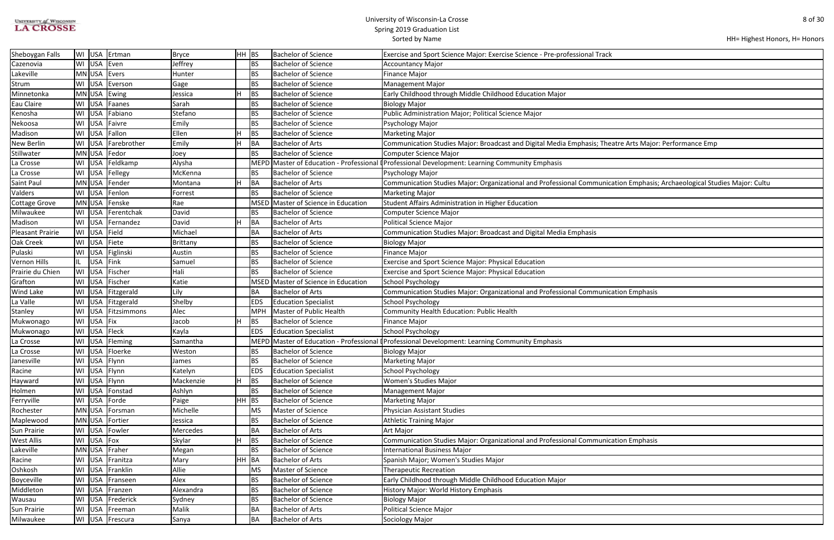| UNIVERSITY of WISCONSIN |
|-------------------------|
| <b>LA CROSSE</b>        |

| HH= Highest Honors, H= Honors |  |
|-------------------------------|--|
|-------------------------------|--|

| ί                                                   |
|-----------------------------------------------------|
|                                                     |
|                                                     |
|                                                     |
|                                                     |
|                                                     |
|                                                     |
|                                                     |
|                                                     |
|                                                     |
| atre Arts Major: Performance Emp                    |
|                                                     |
|                                                     |
|                                                     |
| ation Emphasis; Archaeological Studies Major: Cultu |
|                                                     |
|                                                     |
|                                                     |
|                                                     |
|                                                     |
|                                                     |
|                                                     |
|                                                     |
|                                                     |
|                                                     |
|                                                     |
| ation Emphasis                                      |
|                                                     |
|                                                     |
|                                                     |
|                                                     |
|                                                     |
|                                                     |
|                                                     |
|                                                     |
|                                                     |
|                                                     |
|                                                     |
|                                                     |
|                                                     |
|                                                     |
|                                                     |
| ation Emphasis                                      |
|                                                     |
|                                                     |
|                                                     |
|                                                     |
|                                                     |
|                                                     |
|                                                     |
|                                                     |
|                                                     |
|                                                     |

| Sheboygan Falls      |            | WI USA Ertman      | Bryce     | $HH$ BS    | <b>Bachelor of Science</b>          | Exercise and Sport Science Major: Exercise Science - Pre-professional Track                                              |
|----------------------|------------|--------------------|-----------|------------|-------------------------------------|--------------------------------------------------------------------------------------------------------------------------|
| Cazenovia            |            | WI USA Even        | Jeffrey   | <b>BS</b>  | <b>Bachelor of Science</b>          | <b>Accountancy Major</b>                                                                                                 |
| Lakeville            |            | MN USA Evers       | Hunter    | <b>BS</b>  | <b>Bachelor of Science</b>          | <b>Finance Major</b>                                                                                                     |
| Strum                |            | WI USA Everson     | Gage      | BS         | <b>Bachelor of Science</b>          | <b>Management Major</b>                                                                                                  |
| Minnetonka           |            | MN USA Ewing       | Jessica   | <b>BS</b>  | <b>Bachelor of Science</b>          | Early Childhood through Middle Childhood Education Major                                                                 |
| Eau Claire           |            | WI USA Faanes      | Sarah     | <b>BS</b>  | <b>Bachelor of Science</b>          | <b>Biology Major</b>                                                                                                     |
| Kenosha              |            | WI USA Fabiano     | Stefano   | <b>BS</b>  | <b>Bachelor of Science</b>          | Public Administration Major; Political Science Major                                                                     |
| Nekoosa              |            | WI USA Faivre      | Emily     | <b>BS</b>  | <b>Bachelor of Science</b>          | Psychology Major                                                                                                         |
| Madison              |            | WI USA Fallon      | Ellen     | <b>BS</b>  | Bachelor of Science                 | <b>Marketing Major</b>                                                                                                   |
| New Berlin           |            | WI USA Farebrother | Emily     | BA         | <b>Bachelor of Arts</b>             | Communication Studies Major: Broadcast and Digital Media Emphasis; Theatre Arts Major: Performance Emp                   |
| Stillwater           |            | MN USA   Fedor     | Joey      | <b>BS</b>  | <b>Bachelor of Science</b>          | Computer Science Major                                                                                                   |
| La Crosse            |            | WI USA Feldkamp    | Alysha    |            |                                     | MEPD Master of Education - Professional I Professional Development: Learning Community Emphasis                          |
| La Crosse            |            | WI USA Fellegy     | McKenna   | BS.        | <b>Bachelor of Science</b>          | Psychology Major                                                                                                         |
| Saint Paul           |            | MN USA Fender      | Montana   | <b>BA</b>  | <b>Bachelor of Arts</b>             | Communication Studies Major: Organizational and Professional Communication Emphasis; Archaeological Studies Major: Cultu |
| Valders              |            | WI USA Fenlon      | Forrest   | <b>BS</b>  | <b>Bachelor of Science</b>          | <b>Marketing Major</b>                                                                                                   |
| <b>Cottage Grove</b> |            | MN USA Fenske      | Rae       |            | MSED Master of Science in Education | Student Affairs Administration in Higher Education                                                                       |
| Milwaukee            |            | WI USA Ferentchak  | David     | <b>BS</b>  | <b>Bachelor of Science</b>          | Computer Science Major                                                                                                   |
| Madison              |            | WI USA Fernandez   | David     | <b>BA</b>  | <b>Bachelor of Arts</b>             | <b>Political Science Major</b>                                                                                           |
| Pleasant Prairie     |            | WI USA Field       | Michael   | BA         | Bachelor of Arts                    | Communication Studies Major: Broadcast and Digital Media Emphasis                                                        |
| Oak Creek            |            | WI USA Fiete       | Brittany  | <b>BS</b>  | Bachelor of Science                 | <b>Biology Major</b>                                                                                                     |
| Pulaski              |            | WI USA Figlinski   | Austin    | <b>BS</b>  | <b>Bachelor of Science</b>          | <b>Finance Major</b>                                                                                                     |
| Vernon Hills         |            | IL USA Fink        | Samuel    | <b>BS</b>  | <b>Bachelor of Science</b>          | Exercise and Sport Science Major: Physical Education                                                                     |
| Prairie du Chien     |            | WI USA Fischer     | Hali      | <b>BS</b>  | <b>Bachelor of Science</b>          | Exercise and Sport Science Major: Physical Education                                                                     |
| Grafton              |            | WI USA Fischer     | Katie     |            | MSED Master of Science in Education | <b>School Psychology</b>                                                                                                 |
| <b>Wind Lake</b>     |            | WI USA Fitzgerald  | Lily      | BA         | <b>Bachelor of Arts</b>             | Communication Studies Major: Organizational and Professional Communication Emphasis                                      |
| La Valle             |            | WI USA Fitzgerald  | Shelby    | <b>EDS</b> | <b>Education Specialist</b>         | <b>School Psychology</b>                                                                                                 |
| Stanley              |            | WI USA Fitzsimmons | Alec      | <b>MPH</b> | Master of Public Health             | Community Health Education: Public Health                                                                                |
| Mukwonago            | WI USA Fix |                    | Jacob     | <b>BS</b>  | <b>Bachelor of Science</b>          | <b>Finance Major</b>                                                                                                     |
| Mukwonago            |            | WI USA Fleck       | Kayla     | <b>EDS</b> | <b>Education Specialist</b>         | <b>School Psychology</b>                                                                                                 |
| La Crosse            |            | WI USA Fleming     | Samantha  |            |                                     | MEPD Master of Education - Professional (Professional Development: Learning Community Emphasis                           |
| La Crosse            |            | WI USA Floerke     | Weston    | <b>BS</b>  | <b>Bachelor of Science</b>          | <b>Biology Major</b>                                                                                                     |
| Janesville           |            | WI USA Flynn       | James     | BS.        | <b>Bachelor of Science</b>          | <b>Marketing Major</b>                                                                                                   |
| Racine               |            | WI USA Flynn       | Katelyn   | <b>EDS</b> | <b>Education Specialist</b>         | <b>School Psychology</b>                                                                                                 |
| Hayward              |            | WI USA Flynn       | Mackenzie | <b>BS</b>  | <b>Bachelor of Science</b>          | <b>Women's Studies Major</b>                                                                                             |
| Holmen               |            | WI USA Fonstad     | Ashlyn    | <b>BS</b>  | <b>Bachelor of Science</b>          | <b>Management Major</b>                                                                                                  |
| Ferryville           |            | WI USA Forde       | Paige     | $HH$ BS    | <b>Bachelor of Science</b>          | <b>Marketing Major</b>                                                                                                   |
| Rochester            |            | MN USA Forsman     | Michelle  | <b>MS</b>  | Master of Science                   | <b>Physician Assistant Studies</b>                                                                                       |
| Maplewood            |            | MN USA Fortier     | Jessica   | <b>BS</b>  | <b>Bachelor of Science</b>          | <b>Athletic Training Major</b>                                                                                           |
| Sun Prairie          |            | WI USA Fowler      | Mercedes  | BA         | Bachelor of Arts                    | Art Major                                                                                                                |
| <b>West Allis</b>    |            | WI USA Fox         | Skylar    | <b>BS</b>  | <b>Bachelor of Science</b>          | Communication Studies Major: Organizational and Professional Communication Emphasis                                      |
| Lakeville            |            | MN USA Fraher      | Megan     | BS         | <b>Bachelor of Science</b>          | <b>International Business Major</b>                                                                                      |
| Racine               |            | WI USA Franitza    | Mary      | HH BA      | Bachelor of Arts                    | Spanish Major; Women's Studies Major                                                                                     |
| Oshkosh              |            | WI USA Franklin    | Allie     | MS         | Master of Science                   | <b>Therapeutic Recreation</b>                                                                                            |
| Boyceville           |            | WI USA Franseen    | Alex      | <b>BS</b>  | <b>Bachelor of Science</b>          | Early Childhood through Middle Childhood Education Major                                                                 |
| Middleton            |            | WI USA Franzen     | Alexandra | BS         | <b>Bachelor of Science</b>          | History Major: World History Emphasis                                                                                    |
| Wausau               |            | WI USA Frederick   | Sydney    | <b>BS</b>  | Bachelor of Science                 | <b>Biology Major</b>                                                                                                     |
| Sun Prairie          |            | WI USA Freeman     | Malik     | BA         | Bachelor of Arts                    | <b>Political Science Major</b>                                                                                           |
| Milwaukee            |            | WI USA Frescura    | Sanya     | <b>BA</b>  | Bachelor of Arts                    | Sociology Major                                                                                                          |
|                      |            |                    |           |            |                                     |                                                                                                                          |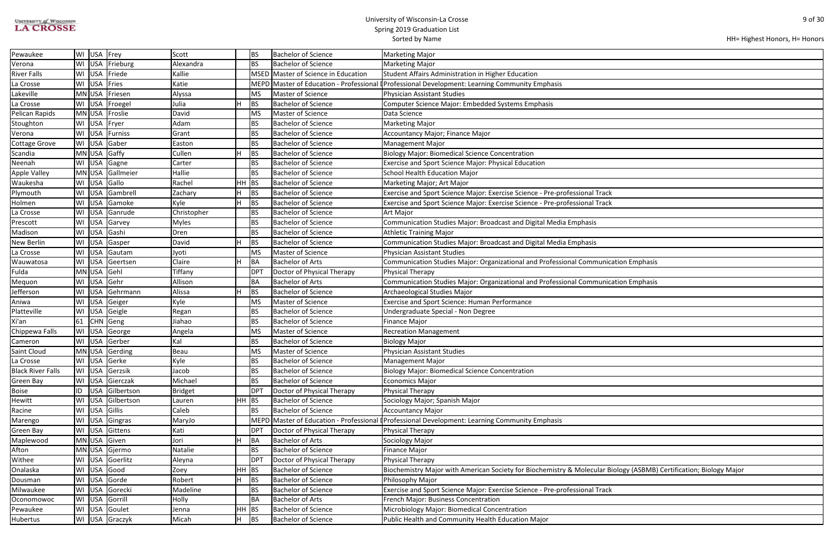| <b>UNIVERSITY of WISCONSIN</b> |
|--------------------------------|
| <b>LA CROSSE</b>               |

|  | HH= Highest Honors, H= Honors |
|--|-------------------------------|
|--|-------------------------------|

| ation Emphasis                             |
|--------------------------------------------|
|                                            |
|                                            |
| ation Emphasis                             |
|                                            |
|                                            |
|                                            |
|                                            |
|                                            |
|                                            |
|                                            |
|                                            |
|                                            |
|                                            |
|                                            |
|                                            |
|                                            |
|                                            |
|                                            |
|                                            |
|                                            |
|                                            |
|                                            |
|                                            |
|                                            |
|                                            |
|                                            |
|                                            |
|                                            |
|                                            |
|                                            |
| ology (ASBMB) Certification; Biology Major |
|                                            |
|                                            |
|                                            |
|                                            |
|                                            |
|                                            |

| Pewaukee                 |    | WI USA Frey  |                     | Scott          |       | BS.        | <b>Bachelor of Science</b>          | <b>Marketing Major</b>                                                                                             |
|--------------------------|----|--------------|---------------------|----------------|-------|------------|-------------------------------------|--------------------------------------------------------------------------------------------------------------------|
| Verona                   |    |              | WI USA Frieburg     | Alexandra      |       | <b>BS</b>  | <b>Bachelor of Science</b>          | <b>Marketing Major</b>                                                                                             |
| River Falls              |    |              | WI USA Friede       | Kallie         |       |            | MSED Master of Science in Education | Student Affairs Administration in Higher Education                                                                 |
| La Crosse                |    | WI USA Fries |                     | Katie          |       |            |                                     | MEPD Master of Education - Professional I Professional Development: Learning Community Emphasis                    |
| Lakeville                |    |              | MN USA Friesen      | Alyssa         |       | <b>MS</b>  | Master of Science                   | <b>Physician Assistant Studies</b>                                                                                 |
| La Crosse                |    |              | WI USA Froegel      | Julia          |       | <b>BS</b>  | <b>Bachelor of Science</b>          | Computer Science Major: Embedded Systems Emphasis                                                                  |
| Pelican Rapids           |    |              | MNUSA Froslie       | David          |       | MS         | Master of Science                   | Data Science                                                                                                       |
| Stoughton                |    |              | WI USA Fryer        | Adam           |       | BS.        | <b>Bachelor of Science</b>          | <b>Marketing Major</b>                                                                                             |
| Verona                   |    |              | WI USA Furniss      | Grant          |       | <b>BS</b>  | Bachelor of Science                 | <b>Accountancy Major; Finance Major</b>                                                                            |
| Cottage Grove            |    |              | WI USA Gaber        | Easton         |       | <b>BS</b>  | <b>Bachelor of Science</b>          | <b>Management Major</b>                                                                                            |
| Scandia                  |    |              | MN USA Gaffy        | Cullen         |       | <b>BS</b>  | <b>Bachelor of Science</b>          | <b>Biology Major: Biomedical Science Concentration</b>                                                             |
| Neenah                   |    |              | WI USA Gagne        | Carter         |       | <b>BS</b>  | <b>Bachelor of Science</b>          | <b>Exercise and Sport Science Major: Physical Education</b>                                                        |
| <b>Apple Valley</b>      |    |              | MN USA Gallmeier    | Hallie         |       | <b>BS</b>  | <b>Bachelor of Science</b>          | <b>School Health Education Major</b>                                                                               |
| Waukesha                 |    |              | WI USA Gallo        | Rachel         | HH BS |            | <b>Bachelor of Science</b>          | Marketing Major; Art Major                                                                                         |
| Plymouth                 |    |              | WI   USA   Gambrell | Zachary        |       | BS         | <b>Bachelor of Science</b>          | Exercise and Sport Science Major: Exercise Science - Pre-professional Track                                        |
| Holmen                   |    |              | WI USA Gamoke       | Kyle           | H     | BS         | <b>Bachelor of Science</b>          | Exercise and Sport Science Major: Exercise Science - Pre-professional Track                                        |
| La Crosse                |    |              | WI USA Ganrude      | Christopher    |       | ВS         | <b>Bachelor of Science</b>          | Art Major                                                                                                          |
| Prescott                 |    |              | WI USA Garvey       | <b>Myles</b>   |       | <b>BS</b>  | <b>Bachelor of Science</b>          | Communication Studies Major: Broadcast and Digital Media Emphasis                                                  |
| Madison                  |    |              | WI USA Gashi        | Dren           |       | <b>BS</b>  | <b>Bachelor of Science</b>          | <b>Athletic Training Major</b>                                                                                     |
| New Berlin               |    |              | WI USA Gasper       | David          |       | <b>BS</b>  | <b>Bachelor of Science</b>          | Communication Studies Major: Broadcast and Digital Media Emphasis                                                  |
| La Crosse                |    |              | WI USA Gautam       | Jyoti          |       | MS         | Master of Science                   | <b>Physician Assistant Studies</b>                                                                                 |
| Wauwatosa                |    |              | WI USA Geertsen     | Claire         |       | BA         | <b>Bachelor of Arts</b>             | Communication Studies Major: Organizational and Professional Communication Emphasis                                |
| Fulda                    |    | MN USA Gehl  |                     | Tiffany        |       | <b>DPT</b> | Doctor of Physical Therapy          | Physical Therapy                                                                                                   |
| Mequon                   |    |              | WI USA Gehr         | Allison        |       | BA         | <b>Bachelor of Arts</b>             | Communication Studies Major: Organizational and Professional Communication Emphasis                                |
| Jefferson                |    |              | WI USA Gehrmann     | Alissa         | н     | <b>BS</b>  | <b>Bachelor of Science</b>          | Archaeological Studies Major                                                                                       |
| Aniwa                    |    |              | WI USA Geiger       | Kyle           |       | <b>MS</b>  | Master of Science                   | Exercise and Sport Science: Human Performance                                                                      |
| Platteville              |    |              | WI USA Geigle       | Regan          |       | ВS         | <b>Bachelor of Science</b>          | Undergraduate Special - Non Degree                                                                                 |
| Xi'an                    |    |              | $61$ CHN Geng       | Jiahao         |       | <b>BS</b>  | <b>Bachelor of Science</b>          | <b>Finance Major</b>                                                                                               |
| Chippewa Falls           |    |              | WI USA George       | Angela         |       | MS         | Master of Science                   | <b>Recreation Management</b>                                                                                       |
| Cameron                  |    |              | WI USA Gerber       | Kal            |       | <b>BS</b>  | <b>Bachelor of Science</b>          | <b>Biology Major</b>                                                                                               |
| Saint Cloud              |    |              | MN USA Gerding      | Beau           |       | MS         | Master of Science                   | <b>Physician Assistant Studies</b>                                                                                 |
| La Crosse                |    |              | WI USA Gerke        | Kyle           |       | <b>BS</b>  | <b>Bachelor of Science</b>          | <b>Management Major</b>                                                                                            |
| <b>Black River Falls</b> |    |              | WI USA Gerzsik      | Jacob          |       | <b>BS</b>  | Bachelor of Science                 | <b>Biology Major: Biomedical Science Concentration</b>                                                             |
| Green Bay                |    |              | WI USA Gierczak     | Michael        |       | BS         | <b>Bachelor of Science</b>          | <b>Economics Major</b>                                                                                             |
| Boise                    | ID |              | USA Gilbertson      | <b>Bridget</b> |       | <b>DPT</b> | Doctor of Physical Therapy          | Physical Therapy                                                                                                   |
| Hewitt                   |    |              | WI USA Gilbertson   | Lauren         | HH    | <b>BS</b>  | <b>Bachelor of Science</b>          | Sociology Major; Spanish Major                                                                                     |
| Racine                   |    |              | WI USA Gillis       | Caleb          |       | BS.        | Bachelor of Science                 | <b>Accountancy Major</b>                                                                                           |
| Marengo                  |    |              | WI USA Gingras      | MaryJo         |       |            |                                     | MEPD Master of Education - Professional (Professional Development: Learning Community Emphasis                     |
| Green Bay                |    |              | WI USA Gittens      | Kati           |       | <b>DPT</b> | Doctor of Physical Therapy          | Physical Therapy                                                                                                   |
| Maplewood                |    |              | MN USA Given        | Jori           |       | BA         | <b>Bachelor of Arts</b>             | Sociology Major                                                                                                    |
| Afton                    |    |              | MN USA Gjermo       | Natalie        |       | ВS         | <b>Bachelor of Science</b>          | <b>Finance Major</b>                                                                                               |
| Withee                   |    |              | WI USA Goerlitz     | Aleyna         |       | <b>DPT</b> | Doctor of Physical Therapy          | Physical Therapy                                                                                                   |
| Onalaska                 |    |              | WI USA Good         | Zoey           | HH BS |            | <b>Bachelor of Science</b>          | Biochemistry Major with American Society for Biochemistry & Molecular Biology (ASBMB) Certification; Biology Major |
| Dousman                  |    |              | WI USA Gorde        | Robert         | н.    | <b>BS</b>  | <b>Bachelor of Science</b>          | Philosophy Major                                                                                                   |
| Milwaukee                |    |              | WI USA Gorecki      | Madeline       |       | <b>BS</b>  | <b>Bachelor of Science</b>          | Exercise and Sport Science Major: Exercise Science - Pre-professional Track                                        |
| Oconomowoc               |    |              | WI USA Gorrill      | Holly          |       | BA         | <b>Bachelor of Arts</b>             | French Major: Business Concentration                                                                               |
| Pewaukee                 |    |              | WI USA Goulet       | Jenna          | HH BS |            | <b>Bachelor of Science</b>          | Microbiology Major: Biomedical Concentration                                                                       |
| Hubertus                 |    |              | WI USA Graczyk      | Micah          | H.    | BS         | <b>Bachelor of Science</b>          | Public Health and Community Health Education Major                                                                 |
|                          |    |              |                     |                |       |            |                                     |                                                                                                                    |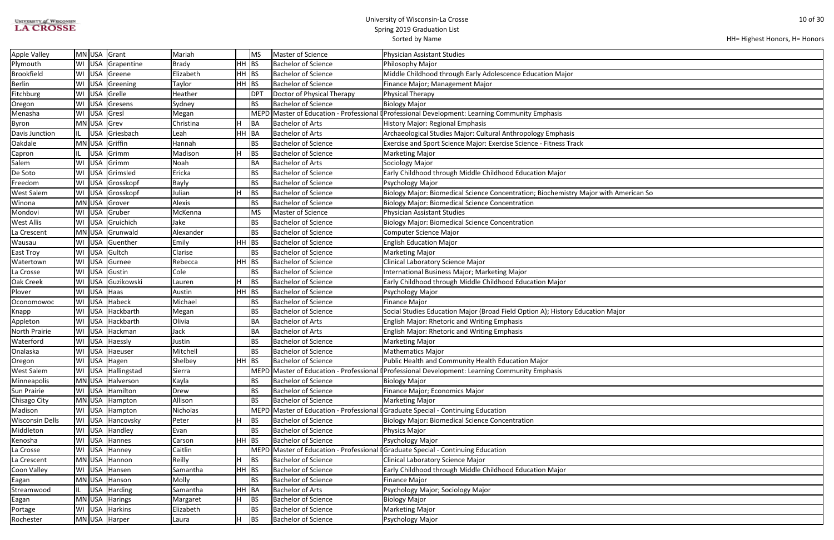| UNIVERSITY of WISCONSIN |  |
|-------------------------|--|
| <b>LA CROSSE</b>        |  |

| HH= Highest Honors, H= Honors |  |  |  |
|-------------------------------|--|--|--|
|-------------------------------|--|--|--|

| American So |  |
|-------------|--|
|             |  |
|             |  |
|             |  |
|             |  |
|             |  |
|             |  |
|             |  |
|             |  |
|             |  |
|             |  |
|             |  |
|             |  |
|             |  |
| lajor       |  |
|             |  |
|             |  |
|             |  |
|             |  |
|             |  |
|             |  |
|             |  |
|             |  |
|             |  |
|             |  |
|             |  |
|             |  |
|             |  |
|             |  |
|             |  |
|             |  |
|             |  |
|             |  |
|             |  |
|             |  |
|             |  |
|             |  |
|             |  |
|             |  |
|             |  |
|             |  |

| Apple Valley           |     |             | MN USA Grant       | Mariah         | <b>MS</b> | Master of Science                           | Physician Assistant Studies                                                                     |
|------------------------|-----|-------------|--------------------|----------------|-----------|---------------------------------------------|-------------------------------------------------------------------------------------------------|
| Plymouth               |     | WI USA      | Grapentine         | Brady          | $HH$ BS   | <b>Bachelor of Science</b>                  | Philosophy Major                                                                                |
| <b>Brookfield</b>      |     |             | WI USA Greene      | Elizabeth      | $HH$ BS   | <b>Bachelor of Science</b>                  | Middle Childhood through Early Adolescence Education Major                                      |
| <b>Berlin</b>          |     |             | WI USA Greening    | Taylor         | HH BS     | <b>Bachelor of Science</b>                  | Finance Major; Management Major                                                                 |
| Fitchburg              |     | WI USA      | Grelle             | Heather        | DPT       | Doctor of Physical Therapy                  | Physical Therapy                                                                                |
| Oregon                 |     | WI USA      | Gresens            | Sydney         | <b>BS</b> | <b>Bachelor of Science</b>                  | Biology Major                                                                                   |
| Menasha                |     | WI USA      | Gresl              | Megan          |           |                                             | MEPD Master of Education - Professional (Professional Development: Learning Community Emphasis  |
| Byron                  |     | MN USA Grev |                    | Н<br>Christina | BA        | <b>Bachelor of Arts</b>                     | History Major: Regional Emphasis                                                                |
| Davis Junction         | IL. | USA         | Griesbach          | Leah           | HH BA     | <b>Bachelor of Arts</b>                     | Archaeological Studies Major: Cultural Anthropology Emphasis                                    |
| Oakdale                |     |             | MN USA Griffin     | Hannah         | <b>BS</b> | <b>Bachelor of Science</b>                  | Exercise and Sport Science Major: Exercise Science - Fitness Track                              |
| Capron                 |     | <b>USA</b>  | Grimm              | Madison<br>н   | <b>BS</b> | <b>Bachelor of Science</b>                  | Marketing Major                                                                                 |
| Salem                  |     |             | WI USA Grimm       | Noah           | BA        | <b>Bachelor of Arts</b>                     | Sociology Major                                                                                 |
| De Soto                |     |             | WI USA Grimsled    | Ericka         | <b>BS</b> | <b>Bachelor of Science</b>                  | Early Childhood through Middle Childhood Education Major                                        |
| Freedom                |     | WI USA      | Grosskopf          | <b>Bayly</b>   | <b>BS</b> | <b>Bachelor of Science</b>                  | Psychology Major                                                                                |
| West Salem             |     | WI USA      | Grosskopf          | Julian         | <b>BS</b> | <b>Bachelor of Science</b>                  | Biology Major: Biomedical Science Concentration; Biochemistry Major with American Sc            |
| Winona                 |     | MN USA      | Grover             | Alexis         | <b>BS</b> | <b>Bachelor of Science</b>                  | Biology Major: Biomedical Science Concentration                                                 |
| Mondovi                |     |             | WI USA Gruber      | McKenna        | <b>MS</b> | Master of Science                           | Physician Assistant Studies                                                                     |
| West Allis             |     |             | WI USA Gruichich   | Jake           | <b>BS</b> | <b>Bachelor of Science</b>                  | Biology Major: Biomedical Science Concentration                                                 |
| La Crescent            |     |             | MN USA Grunwald    | Alexander      | <b>BS</b> | <b>Bachelor of Science</b>                  | Computer Science Major                                                                          |
| Wausau                 |     |             | WI USA Guenther    | Emily          | $HH$ BS   | <b>Bachelor of Science</b>                  | <b>English Education Major</b>                                                                  |
| East Troy              |     | WI USA      | Gultch             | Clarise        | <b>BS</b> | <b>Bachelor of Science</b>                  | Marketing Major                                                                                 |
| Watertown              |     |             | WI USA Gurnee      | Rebecca        | $HH$ BS   | <b>Bachelor of Science</b>                  | Clinical Laboratory Science Major                                                               |
| La Crosse              |     |             | WI USA Gustin      | Cole           | <b>BS</b> | <b>Bachelor of Science</b>                  | International Business Major; Marketing Major                                                   |
| Oak Creek              |     |             | WI USA Guzikowski  | Н<br>Lauren    | <b>BS</b> | <b>Bachelor of Science</b>                  | Early Childhood through Middle Childhood Education Major                                        |
| Plover                 |     | WI USA Haas |                    | Austin         | $HH$ BS   | <b>Bachelor of Science</b>                  | Psychology Major                                                                                |
| Oconomowoc             |     |             | WI USA Habeck      | Michael        | <b>BS</b> | <b>Bachelor of Science</b>                  | Finance Major                                                                                   |
| Knapp                  | WI  |             | USA Hackbarth      | Megan          | <b>BS</b> | <b>Bachelor of Science</b>                  | Social Studies Education Major (Broad Field Option A); History Education Major                  |
| Appleton               |     |             | WI USA Hackbarth   | Olivia         | BA        | Bachelor of Arts                            | <b>English Major: Rhetoric and Writing Emphasis</b>                                             |
| North Prairie          |     |             | WI USA Hackman     | Jack           | BA        | <b>Bachelor of Arts</b>                     | <b>English Major: Rhetoric and Writing Emphasis</b>                                             |
| Waterford              |     |             | WI USA Haessly     | Justin         | <b>BS</b> | <b>Bachelor of Science</b>                  | Marketing Major                                                                                 |
| Onalaska               |     |             | WI USA Haeuser     | Mitchell       | BS        | <b>Bachelor of Science</b>                  | Mathematics Major                                                                               |
| Oregon                 |     |             | WI USA Hagen       | Shelbey        | HH BS     | <b>Bachelor of Science</b>                  | Public Health and Community Health Education Major                                              |
| West Salem             |     |             | WI USA Hallingstad | Sierra         |           |                                             | MEPD Master of Education - Professional I Professional Development: Learning Community Emphasis |
| Minneapolis            |     |             | MN USA Halverson   | Kayla          | BS        | <b>Bachelor of Science</b>                  | Biology Major                                                                                   |
| Sun Prairie            |     |             | WI USA Hamilton    | <b>Drew</b>    | <b>BS</b> | <b>Bachelor of Science</b>                  | Finance Major; Economics Major                                                                  |
| Chisago City           |     |             | MN USA Hampton     | Allison        | BS        | <b>Bachelor of Science</b>                  | Marketing Major                                                                                 |
| Madison                |     |             | WI USA Hampton     | Nicholas       |           |                                             | MEPD Master of Education - Professional [Graduate Special - Continuing Education                |
| <b>Wisconsin Dells</b> |     |             | WI USA Hancovsky   | H<br>Peter     | <b>BS</b> | <b>Bachelor of Science</b>                  | Biology Major: Biomedical Science Concentration                                                 |
| Middleton              |     |             | WI USA Handley     | Evan           | <b>BS</b> | <b>Bachelor of Science</b>                  | <b>Physics Major</b>                                                                            |
| Kenosha                |     |             | WI USA Hannes      | Carson         | $HH$ BS   | <b>Bachelor of Science</b>                  | Psychology Major                                                                                |
| La Crosse              |     |             | WI USA Hanney      | Caitlin        |           |                                             | MEPD Master of Education - Professional I Graduate Special - Continuing Education               |
| La Crescent            |     |             | MN USA Hannon      | Reilly<br>Н    | <b>BS</b> | <b>Bachelor of Science</b>                  | Clinical Laboratory Science Major                                                               |
| Coon Valley            |     |             | WI USA Hansen      | Samantha       | $HH$ BS   | <b>Bachelor of Science</b>                  | Early Childhood through Middle Childhood Education Major                                        |
| Eagan                  |     |             | MN USA Hanson      | Molly          | <b>BS</b> | <b>Bachelor of Science</b><br>Finance Major |                                                                                                 |
| Streamwood             | IL. |             | USA Harding        | Samantha       | HH BA     | <b>Bachelor of Arts</b>                     | Psychology Major; Sociology Major                                                               |
| Eagan                  |     |             | MN USA Harings     | Η<br>Margaret  | <b>BS</b> | <b>Bachelor of Science</b>                  | Biology Major                                                                                   |
| Portage                |     |             | WI USA Harkins     | Elizabeth      | BS        | <b>Bachelor of Science</b>                  | Marketing Major                                                                                 |
| Rochester              |     |             | MN USA Harper      | H<br>Laura     | <b>BS</b> | <b>Bachelor of Science</b>                  | Psychology Major                                                                                |
|                        |     |             |                    |                |           |                                             |                                                                                                 |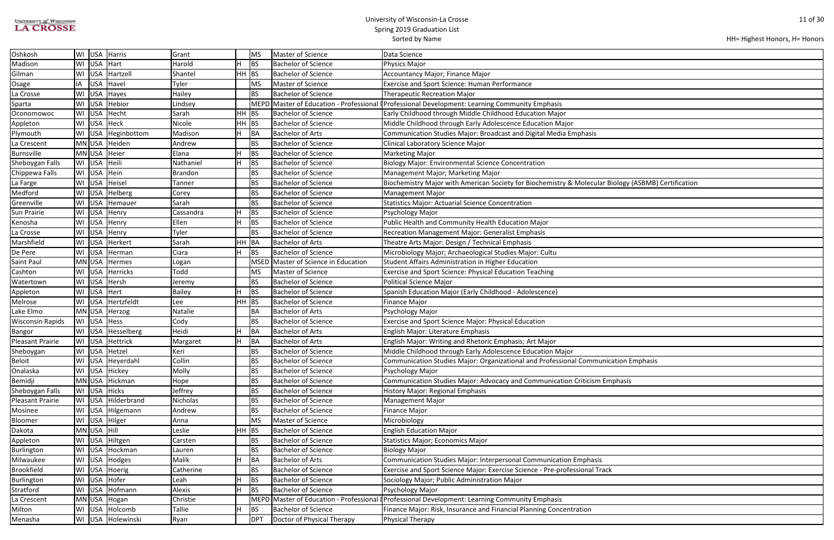| <b>UNIVERSITY of WISCONSIN</b> |  |
|--------------------------------|--|
| <b>LA CROSSE</b>               |  |

| ology (ASBMB) Certification |  |
|-----------------------------|--|
|                             |  |
|                             |  |
|                             |  |
|                             |  |
|                             |  |
|                             |  |
|                             |  |
|                             |  |
|                             |  |
|                             |  |
|                             |  |
|                             |  |
|                             |  |
|                             |  |
|                             |  |
|                             |  |
|                             |  |
| ation Emphasis              |  |
|                             |  |
| phasis                      |  |
|                             |  |
|                             |  |
|                             |  |
|                             |  |
|                             |  |
|                             |  |
|                             |  |
|                             |  |
|                             |  |
|                             |  |
|                             |  |
|                             |  |
|                             |  |
|                             |  |
|                             |  |

| Oshkosh                 | WI USA Harris       |                        | Grant     |         | MS          | Master of Science              | Data Science                                                                                        |  |
|-------------------------|---------------------|------------------------|-----------|---------|-------------|--------------------------------|-----------------------------------------------------------------------------------------------------|--|
| Madison                 | USA Hart<br>WI      |                        | Harold    |         | BS          | <b>Bachelor of Science</b>     | <b>Physics Major</b>                                                                                |  |
| Gilman                  | WI   USA   Hartzell |                        | Shantel   | $HH$ BS |             | <b>Bachelor of Science</b>     | Accountancy Major; Finance Major                                                                    |  |
| Osage                   | ΙA                  | USA   Havel            | Tyler     |         | <b>MS</b>   | Master of Science              | <b>Exercise and Sport Science: Human Performance</b>                                                |  |
| La Crosse               | WI                  | USA Hayes              | Hailey    |         | <b>BS</b>   | Bachelor of Science            | <b>Therapeutic Recreation Major</b>                                                                 |  |
| Sparta                  | WI<br><b>USA</b>    | Hebior                 | Lindsey   |         | <b>MEPD</b> |                                | Master of Education - Professional (Professional Development: Learning Community Emphasis           |  |
| Oconomowoc              | WI USA Hecht        |                        | Sarah     | HH BS   |             | <b>Bachelor of Science</b>     | Early Childhood through Middle Childhood Education Major                                            |  |
| Appleton                | WI USA Heck         |                        | Nicole    | $HH$ BS |             | <b>Bachelor of Science</b>     | Middle Childhood through Early Adolescence Education Major                                          |  |
| Plymouth                |                     | WI   USA   Heginbottom | Madison   |         | <b>BA</b>   | <b>Bachelor of Arts</b>        | Communication Studies Major: Broadcast and Digital Media Emphasis                                   |  |
| La Crescent             | MN USA Heiden       |                        | Andrew    |         | BS          | <b>Bachelor of Science</b>     | Clinical Laboratory Science Major                                                                   |  |
| <b>Burnsville</b>       | MN USA Heier        |                        | Elana     |         | BS          | <b>Bachelor of Science</b>     | <b>Marketing Major</b>                                                                              |  |
| Sheboygan Falls         | WI USA Heili        |                        | Nathaniel |         | BS          | <b>Bachelor of Science</b>     | <b>Biology Major: Environmental Science Concentration</b>                                           |  |
| Chippewa Falls          | WI<br>USA           | Hein                   | Brandon   |         | BS          | <b>Bachelor of Science</b>     | Management Major; Marketing Major                                                                   |  |
| La Farge                | WI USA Heisel       |                        | Tanner    |         | BS          | <b>Bachelor of Science</b>     | Biochemistry Major with American Society for Biochemistry & Molecular Biology (ASBMB) Certification |  |
| Medford                 | WI USA Helberg      |                        | Corey     |         | BS          | <b>Bachelor of Science</b>     | <b>Management Major</b>                                                                             |  |
| Greenville              | WI                  | USA Hemauer            | Sarah     |         | <b>BS</b>   | <b>Bachelor of Science</b>     | <b>Statistics Major: Actuarial Science Concentration</b>                                            |  |
| Sun Prairie             | WI USA Henry        |                        | Cassandra |         | <b>BS</b>   | <b>Bachelor of Science</b>     | Psychology Major                                                                                    |  |
| Kenosha                 | WI                  | USA Henry              | Ellen     |         | BS          | <b>Bachelor of Science</b>     | Public Health and Community Health Education Major                                                  |  |
| La Crosse               | WI USA Henry        |                        | Tyler     |         | <b>BS</b>   | <b>Bachelor of Science</b>     | Recreation Management Major: Generalist Emphasis                                                    |  |
| Marshfield              | WI                  | USA Herkert            | Sarah     | HH BA   |             | <b>Bachelor of Arts</b>        | Theatre Arts Major: Design / Technical Emphasis                                                     |  |
| De Pere                 | WI USA Herman       |                        | Ciara     |         | BS          | <b>Bachelor of Science</b>     | Microbiology Major; Archaeological Studies Major: Cultu                                             |  |
| Saint Paul              | MN USA Hermes       |                        | Logan     |         | <b>MSED</b> | Master of Science in Education | Student Affairs Administration in Higher Education                                                  |  |
| Cashton                 | WI                  | USA Herricks           | Todd      |         | <b>MS</b>   | Master of Science              | Exercise and Sport Science: Physical Education Teaching                                             |  |
| Watertown               | WI USA Hersh        |                        | Jeremy    |         | <b>BS</b>   | <b>Bachelor of Science</b>     | <b>Political Science Major</b>                                                                      |  |
| Appleton                | WI USA Hert         |                        | Bailey    |         | BS          | <b>Bachelor of Science</b>     | Spanish Education Major (Early Childhood - Adolescence)                                             |  |
| Melrose                 |                     | WI USA Hertzfeldt      | Lee       | HH BS   |             | <b>Bachelor of Science</b>     | <b>Finance Major</b>                                                                                |  |
| Lake Elmo               | MN USA Herzog       |                        | Natalie   |         | BA          | <b>Bachelor of Arts</b>        | Psychology Major                                                                                    |  |
| <b>Wisconsin Rapids</b> | WI USA Hess         |                        | Cody      |         | <b>BS</b>   | <b>Bachelor of Science</b>     | Exercise and Sport Science Major: Physical Education                                                |  |
| <b>Bangor</b>           |                     | WI   USA   Hesselberg  | Heidi     |         | BA          | <b>Bachelor of Arts</b>        | English Major: Literature Emphasis                                                                  |  |
| <b>Pleasant Prairie</b> | WI USA Hettrick     |                        | Margaret  |         | BA          | <b>Bachelor of Arts</b>        | English Major: Writing and Rhetoric Emphasis; Art Major                                             |  |
| Sheboygan               | WI USA Hetzel       |                        | Keri      |         | <b>BS</b>   | <b>Bachelor of Science</b>     | Middle Childhood through Early Adolescence Education Major                                          |  |
| <b>Beloit</b>           | WI                  | USA Heyerdahl          | Collin    |         | BS          | <b>Bachelor of Science</b>     | Communication Studies Major: Organizational and Professional Communication Emphasis                 |  |
| Onalaska                | WI USA Hickey       |                        | Molly     |         | BS          | <b>Bachelor of Science</b>     | Psychology Major                                                                                    |  |
| Bemidji                 | MN USA Hickman      |                        | Hope      |         | BS          | <b>Bachelor of Science</b>     | Communication Studies Major: Advocacy and Communication Criticism Emphasis                          |  |
| Sheboygan Falls         | WI USA Hicks        |                        | Jeffrey   |         | <b>BS</b>   | <b>Bachelor of Science</b>     | History Major: Regional Emphasis                                                                    |  |
| <b>Pleasant Prairie</b> |                     | WI USA Hilderbrand     | Nicholas  |         | BS          | <b>Bachelor of Science</b>     | <b>Management Major</b>                                                                             |  |
| Mosinee                 |                     | WI USA Hilgemann       | Andrew    |         | BS          | <b>Bachelor of Science</b>     | <b>Finance Major</b>                                                                                |  |
| Bloomer                 | WI USA Hilger       |                        | Anna      |         | <b>MS</b>   | Master of Science              | Microbiology                                                                                        |  |
| Dakota                  | MN USA Hill         |                        | Leslie    | HH BS   |             | <b>Bachelor of Science</b>     | <b>English Education Major</b>                                                                      |  |
| Appleton                | WI USA Hiltgen      |                        | Carsten   |         | <b>BS</b>   | <b>Bachelor of Science</b>     | Statistics Major; Economics Major                                                                   |  |
| Burlington              | WI USA Hockman      |                        | Lauren    |         | BS          | <b>Bachelor of Science</b>     | <b>Biology Major</b>                                                                                |  |
| Milwaukee               | WI                  | USA Hodges             | Malik     |         | BA          | <b>Bachelor of Arts</b>        | Communication Studies Major: Interpersonal Communication Emphasis                                   |  |
| <b>Brookfield</b>       | WI USA Hoerig       |                        | Catherine |         | <b>BS</b>   | <b>Bachelor of Science</b>     | Exercise and Sport Science Major: Exercise Science - Pre-professional Track                         |  |
| Burlington              | WI                  | USA Hofer              | Leah      |         | BS          | <b>Bachelor of Science</b>     | Sociology Major; Public Administration Major                                                        |  |
| Stratford               |                     | WI USA Hofmann         | Alexis    | н       | BS          | <b>Bachelor of Science</b>     | Psychology Major                                                                                    |  |
| La Crescent             | $MN$ USA Hogan      |                        | Christie  |         |             |                                | MEPD Master of Education - Professional (Professional Development: Learning Community Emphasis      |  |
| Milton                  | WI                  | USA Holcomb            | Tallie    |         | <b>BS</b>   | <b>Bachelor of Science</b>     | Finance Major: Risk, Insurance and Financial Planning Concentration                                 |  |
| Menasha                 |                     | WI USA Holewinski      | Ryan      |         | DPT         | Doctor of Physical Therapy     | Physical Therapy                                                                                    |  |
|                         |                     |                        |           |         |             |                                |                                                                                                     |  |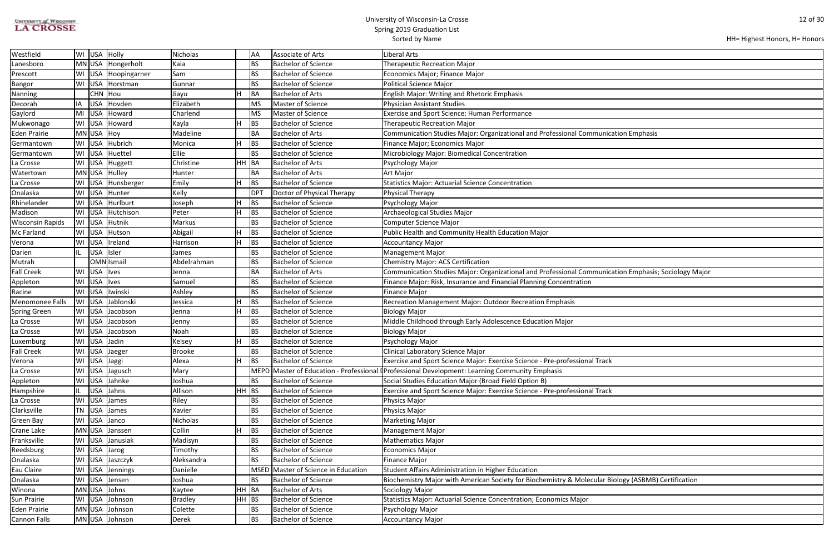| <b>UNIVERSITY of WISCONSIN</b> |  |
|--------------------------------|--|
| <b>LA CROSSE</b>               |  |

| ation Emphasis                  |
|---------------------------------|
|                                 |
|                                 |
|                                 |
|                                 |
|                                 |
|                                 |
|                                 |
|                                 |
|                                 |
|                                 |
|                                 |
|                                 |
|                                 |
|                                 |
|                                 |
|                                 |
|                                 |
|                                 |
|                                 |
|                                 |
| ation Emphasis; Sociology Major |
|                                 |
|                                 |
|                                 |
|                                 |
|                                 |
|                                 |
|                                 |
|                                 |
|                                 |
|                                 |
|                                 |
|                                 |
|                                 |
|                                 |
|                                 |
|                                 |
|                                 |
|                                 |
|                                 |
|                                 |
|                                 |
|                                 |
|                                 |
|                                 |
|                                 |
|                                 |
|                                 |
|                                 |
|                                 |
|                                 |
|                                 |
| ology (ASBMB) Certification     |
|                                 |
|                                 |
|                                 |
|                                 |
|                                 |
|                                 |
|                                 |

| Westfield               | WI USA<br>Holly                  | Nicholas                  | AA         | Associate of Arts                   | <b>Liberal Arts</b>                                                                                  |
|-------------------------|----------------------------------|---------------------------|------------|-------------------------------------|------------------------------------------------------------------------------------------------------|
| Lanesboro               | MN USA Hongerholt                | Kaia                      | <b>BS</b>  | <b>Bachelor of Science</b>          | <b>Therapeutic Recreation Major</b>                                                                  |
| Prescott                | WI USA<br>Hoopingarner           | Sam                       | BS         | Bachelor of Science                 | Economics Major; Finance Major                                                                       |
| Bangor                  | WI<br><b>USA</b><br>Horstman     | Gunnar                    | <b>BS</b>  | <b>Bachelor of Science</b>          | Political Science Major                                                                              |
| Nanning                 | CHN Hou                          | Jiayu                     | <b>BA</b>  | <b>Bachelor of Arts</b>             | <b>English Major: Writing and Rhetoric Emphasis</b>                                                  |
| Decorah                 | IA<br><b>USA</b><br>Hovden       | Elizabeth                 | <b>MS</b>  | Master of Science                   | <b>Physician Assistant Studies</b>                                                                   |
| Gaylord                 | MI<br><b>USA</b><br>Howard       | Charlend                  | <b>MS</b>  | Master of Science                   | <b>Exercise and Sport Science: Human Performance</b>                                                 |
| Mukwonago               | WI<br><b>USA</b><br>Howard       | Kayla<br>H.               | <b>BS</b>  | <b>Bachelor of Science</b>          | <b>Therapeutic Recreation Major</b>                                                                  |
| <b>Eden Prairie</b>     | MN USA Hoy                       | Madeline                  | <b>BA</b>  | <b>Bachelor of Arts</b>             | Communication Studies Major: Organizational and Professional Communication Emphasis                  |
| Germantown              | WI USA<br>Hubrich                | Monica                    | BS         | <b>Bachelor of Science</b>          | Finance Major; Economics Major                                                                       |
| Germantown              | <b>USA</b><br>WI<br>Huettel      | Ellie                     | <b>BS</b>  | <b>Bachelor of Science</b>          | Microbiology Major: Biomedical Concentration                                                         |
| La Crosse               | <b>USA</b><br>WI<br>Huggett      | HH.<br>Christine          | BA         | <b>Bachelor of Arts</b>             | Psychology Major                                                                                     |
| Watertown               | MN USA<br>Hulley                 | Hunter                    | <b>BA</b>  | <b>Bachelor of Arts</b>             | Art Major                                                                                            |
| La Crosse               | WI<br><b>USA</b><br>Hunsberger   | Emily                     | BS         | <b>Bachelor of Science</b>          | <b>Statistics Major: Actuarial Science Concentration</b>                                             |
| Onalaska                | WI<br><b>USA</b><br>Hunter       | Kelly                     | <b>DPT</b> | Doctor of Physical Therapy          | <b>Physical Therapy</b>                                                                              |
| Rhinelander             | WI<br><b>USA</b><br>Hurlburt     | Joseph                    | BS         | <b>Bachelor of Science</b>          | Psychology Major                                                                                     |
| Madison                 | WI<br><b>USA</b><br>Hutchison    | Peter                     | BS         | <b>Bachelor of Science</b>          | Archaeological Studies Major                                                                         |
| <b>Wisconsin Rapids</b> | <b>USA</b><br>WI<br>Hutnik       | Markus                    | <b>BS</b>  | <b>Bachelor of Science</b>          | Computer Science Major                                                                               |
| Mc Farland              | WI<br><b>USA</b><br>Hutson       | Abigail                   | BS         | <b>Bachelor of Science</b>          | Public Health and Community Health Education Major                                                   |
| Verona                  | WI<br><b>USA</b><br>Ireland      | Harrison<br>H             | BS         | <b>Bachelor of Science</b>          | <b>Accountancy Major</b>                                                                             |
| Darien                  | <b>USA</b><br>Isler<br>IL.       | James                     | <b>BS</b>  | <b>Bachelor of Science</b>          | <b>Management Major</b>                                                                              |
| Mutrah                  | OMN Ismail                       | Abdelrahman               | <b>BS</b>  | <b>Bachelor of Science</b>          | Chemistry Major: ACS Certification                                                                   |
| <b>Fall Creek</b>       | WI<br>USA   Ives                 | Jenna                     | BA         | <b>Bachelor of Arts</b>             | Communication Studies Major: Organizational and Professional Communication Emphasis; Sociology Major |
| Appleton                | <b>USA</b><br>WI<br><b>Ives</b>  | Samuel                    | BS         | <b>Bachelor of Science</b>          | Finance Major: Risk, Insurance and Financial Planning Concentration                                  |
| Racine                  | WI<br><b>USA</b><br>Iwinski      | Ashley                    | <b>BS</b>  | <b>Bachelor of Science</b>          | <b>Finance Major</b>                                                                                 |
| Menomonee Falls         | WI<br><b>USA</b><br>Jablonski    | Jessica                   | BS         | <b>Bachelor of Science</b>          | Recreation Management Major: Outdoor Recreation Emphasis                                             |
| <b>Spring Green</b>     | <b>USA</b><br>WI<br>Jacobson     | H.<br>Jenna               | <b>BS</b>  | <b>Bachelor of Science</b>          | <b>Biology Major</b>                                                                                 |
| La Crosse               | WI<br><b>USA</b><br>Jacobson     | Jenny                     | <b>BS</b>  | <b>Bachelor of Science</b>          | Middle Childhood through Early Adolescence Education Major                                           |
| La Crosse               | WI USA<br>Jacobson               | Noah                      | <b>BS</b>  | Bachelor of Science                 | <b>Biology Major</b>                                                                                 |
| Luxemburg               | USA Jadin<br>WI                  | н<br>Kelsey               | BS         | <b>Bachelor of Science</b>          | Psychology Major                                                                                     |
| <b>Fall Creek</b>       | WI USA Jaeger                    | Brooke                    | ВS         | Bachelor of Science                 | Clinical Laboratory Science Major                                                                    |
| Verona                  | USA Jaggi<br>WI                  | Alexa<br>H                | BS         | <b>Bachelor of Science</b>          | Exercise and Sport Science Major: Exercise Science - Pre-professional Track                          |
| La Crosse               | WI<br><b>USA</b><br>Jagusch      | Mary                      |            |                                     | MEPD Master of Education - Professional (Professional Development: Learning Community Emphasis       |
| Appleton                | <b>USA</b><br>WI<br>Jahnke       | Joshua                    | <b>BS</b>  | <b>Bachelor of Science</b>          | Social Studies Education Major (Broad Field Option B)                                                |
| Hampshire               | Jahns<br>IL.<br><b>USA</b>       | $HH$ BS<br>Allison        |            | <b>Bachelor of Science</b>          | Exercise and Sport Science Major: Exercise Science - Pre-professional Track                          |
| La Crosse               | WI<br>USA<br>James               | Riley                     | <b>BS</b>  | <b>Bachelor of Science</b>          | Physics Major                                                                                        |
| Clarksville             | TN<br><b>USA</b><br>James        | Xavier                    | BS         | Bachelor of Science                 | Physics Major                                                                                        |
| Green Bay               | <b>WI</b><br><b>USA</b><br>Janco | Nicholas                  | BS         | Bachelor of Science                 | <b>Marketing Major</b>                                                                               |
| Crane Lake              | MN USA<br>Janssen                | Collin<br>H               | BS         | <b>Bachelor of Science</b>          | <b>Management Major</b>                                                                              |
| Franksville             | WI<br><b>USA</b><br>Janusiak     | Madisyn                   | <b>BS</b>  | <b>Bachelor of Science</b>          | <b>Mathematics Major</b>                                                                             |
| Reedsburg               | WI USA<br>Jarog                  | Timothy                   | <b>BS</b>  | Bachelor of Science                 | <b>Economics Major</b>                                                                               |
| Onalaska                | USA Jaszczyk<br>WI               | Aleksandra                | <b>BS</b>  | <b>Bachelor of Science</b>          | <b>Finance Major</b>                                                                                 |
| Eau Claire              | WI USA<br>Jennings               | Danielle                  |            | MSED Master of Science in Education | Student Affairs Administration in Higher Education                                                   |
| Onalaska                | <b>USA</b><br>WI<br>Jensen       | Joshua                    | BS         | <b>Bachelor of Science</b>          | Biochemistry Major with American Society for Biochemistry & Molecular Biology (ASBMB) Certification  |
| Winona                  | MN USA Johns                     | HH BA<br>Kaytee           |            | <b>Bachelor of Arts</b>             | Sociology Major                                                                                      |
| Sun Prairie             | WI USA<br>Johnson                | <b>Bradley</b><br>$HH$ BS |            | <b>Bachelor of Science</b>          | Statistics Major: Actuarial Science Concentration; Economics Major                                   |
| Eden Prairie            | MN USA Johnson                   | Colette                   | <b>BS</b>  | <b>Bachelor of Science</b>          | Psychology Major                                                                                     |
| Cannon Falls            | MN USA Johnson                   | Derek                     | <b>BS</b>  | Bachelor of Science                 | <b>Accountancy Major</b>                                                                             |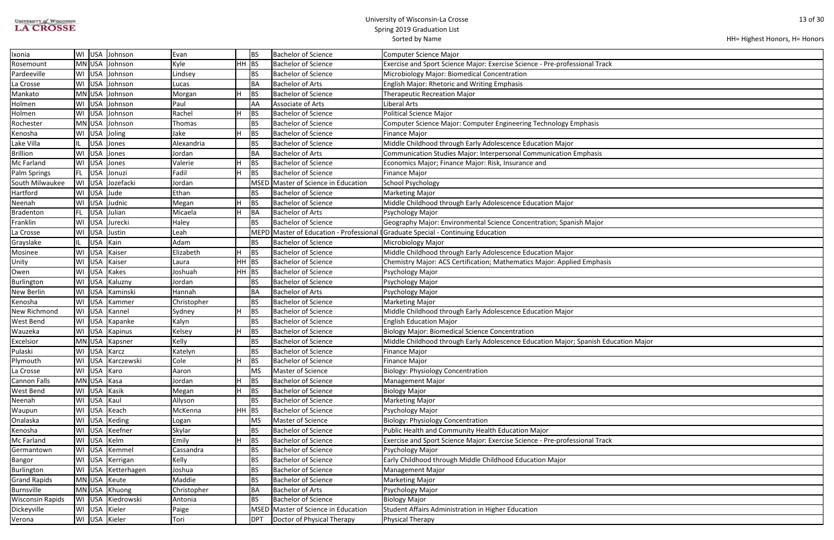| UNIVERSITY of WISCONSIN |  |
|-------------------------|--|
| <b>LA CROSSE</b>        |  |

| HH= Highest Honors, H= Honors |  |  |
|-------------------------------|--|--|
|-------------------------------|--|--|

| cation Major |  |
|--------------|--|
|              |  |
|              |  |
|              |  |
|              |  |
|              |  |
|              |  |
|              |  |
|              |  |
|              |  |
|              |  |
|              |  |
|              |  |
|              |  |
|              |  |
|              |  |
|              |  |
|              |  |
|              |  |
|              |  |
|              |  |
|              |  |
|              |  |
|              |  |
|              |  |
|              |  |
|              |  |
|              |  |
|              |  |
|              |  |
|              |  |

| Ixonia                  | WI        |             | USA Johnson       | Evan        |         | <b>BS</b>   | <b>Bachelor of Science</b>          | Computer Science Major                                                              |
|-------------------------|-----------|-------------|-------------------|-------------|---------|-------------|-------------------------------------|-------------------------------------------------------------------------------------|
| Rosemount               |           |             | MN USA Johnson    | Kyle        | $HH$ BS |             | <b>Bachelor of Science</b>          | Exercise and Sport Science Major: Exercise Science - Pre-professional Track         |
| Pardeeville             |           |             | WI USA Johnson    | Lindsey     |         | <b>BS</b>   | <b>Bachelor of Science</b>          | Microbiology Major: Biomedical Concentration                                        |
| La Crosse               |           |             | WI USA Johnson    | Lucas       |         | <b>BA</b>   | <b>Bachelor of Arts</b>             | <b>English Major: Rhetoric and Writing Emphasis</b>                                 |
| Mankato                 |           |             | MN USA Johnson    | Morgan      |         | BS          | <b>Bachelor of Science</b>          | <b>Therapeutic Recreation Major</b>                                                 |
| Holmen                  | WI        | <b>USA</b>  | Johnson           | Paul        |         | AA          | <b>Associate of Arts</b>            | Liberal Arts                                                                        |
| Holmen                  | WI        |             | USA Johnson       | Rachel      |         | BS          | <b>Bachelor of Science</b>          | <b>Political Science Major</b>                                                      |
| Rochester               |           |             | MN USA Johnson    | Thomas      |         | <b>BS</b>   | <b>Bachelor of Science</b>          | Computer Science Major: Computer Engineering Technology Emphasis                    |
| Kenosha                 |           |             | WI USA Joling     | Jake        |         | BS          | <b>Bachelor of Science</b>          | Finance Major                                                                       |
| Lake Villa              |           |             | USA Jones         | Alexandria  |         | <b>BS</b>   | <b>Bachelor of Science</b>          | Middle Childhood through Early Adolescence Education Major                          |
| <b>Brillion</b>         | WI        |             | USA Jones         | Jordan      |         | BA          | <b>Bachelor of Arts</b>             | Communication Studies Major: Interpersonal Communication Emphasis                   |
| Mc Farland              | WI        |             | USA Jones         | Valerie     |         | BS          | <b>Bachelor of Science</b>          | Economics Major; Finance Major: Risk, Insurance and                                 |
| Palm Springs            | FL.       | <b>USA</b>  | Jonuzi            | Fadil       |         | <b>BS</b>   | <b>Bachelor of Science</b>          | <b>Finance Major</b>                                                                |
| South Milwaukee         | <b>WI</b> |             | USA Jozefacki     | Jordan      |         | <b>MSED</b> | Master of Science in Education      | School Psychology                                                                   |
| Hartford                | WI        | USA Jude    |                   | Ethan       |         | <b>BS</b>   | <b>Bachelor of Science</b>          | Marketing Major                                                                     |
| Neenah                  | WI        |             | USA Judnic        | Megan       |         | BS          | <b>Bachelor of Science</b>          | Middle Childhood through Early Adolescence Education Major                          |
| Bradenton               | FL.       |             | USA Julian        | Micaela     |         | BA          | <b>Bachelor of Arts</b>             | Psychology Major                                                                    |
| Franklin                | WI        |             | USA Jurecki       | Haley       |         | <b>BS</b>   | <b>Bachelor of Science</b>          | Geography Major: Environmental Science Concentration; Spanish Major                 |
| La Crosse               | WI        | <b>USA</b>  | Justin            | Leah        |         |             |                                     | MEPD Master of Education - Professional I Graduate Special - Continuing Education   |
| Grayslake               |           | <b>USA</b>  | Kain              | Adam        |         | <b>BS</b>   | <b>Bachelor of Science</b>          | Microbiology Major                                                                  |
| Mosinee                 | WI        | <b>USA</b>  | Kaiser            | Elizabeth   |         | BS          | <b>Bachelor of Science</b>          | Middle Childhood through Early Adolescence Education Major                          |
| Unity                   | <b>WI</b> | USA         | Kaiser            | Laura       | $HH$ BS |             | <b>Bachelor of Science</b>          | Chemistry Major: ACS Certification; Mathematics Major: Applied Emphasis             |
| Owen                    | WI        | <b>USA</b>  | Kakes             | Joshuah     | $HH$ BS |             | <b>Bachelor of Science</b>          | Psychology Major                                                                    |
| Burlington              | WI        |             | USA Kaluzny       | Jordan      |         | <b>BS</b>   | <b>Bachelor of Science</b>          | Psychology Major                                                                    |
| <b>New Berlin</b>       | WI        | <b>USA</b>  | Kaminski          | Hannah      |         | <b>BA</b>   | <b>Bachelor of Arts</b>             | Psychology Major                                                                    |
| Kenosha                 | WI        | <b>USA</b>  | Kammer            | Christopher |         | <b>BS</b>   | <b>Bachelor of Science</b>          | Marketing Major                                                                     |
| New Richmond            | WI        | <b>USA</b>  | Kannel            | Sydney      |         | BS          | <b>Bachelor of Science</b>          | Middle Childhood through Early Adolescence Education Major                          |
| West Bend               | WI        |             | USA Kapanke       | Kalyn       |         | <b>BS</b>   | <b>Bachelor of Science</b>          | <b>English Education Major</b>                                                      |
| Wauzeka                 |           |             | WI USA Kapinus    | Kelsey      |         | BS          | <b>Bachelor of Science</b>          | Biology Major: Biomedical Science Concentration                                     |
| Excelsior               |           |             | MN USA Kapsner    | Kelly       |         | <b>BS</b>   | <b>Bachelor of Science</b>          | Middle Childhood through Early Adolescence Education Major; Spanish Education Major |
| Pulaski                 |           |             | WI USA Karcz      | Katelyn     |         | BS          | <b>Bachelor of Science</b>          | Finance Major                                                                       |
| Plymouth                | WI        |             | USA Karczewski    | Cole        |         | BS          | <b>Bachelor of Science</b>          | <b>Finance Major</b>                                                                |
| La Crosse               |           | WI USA Karo |                   | Aaron       |         | <b>MS</b>   | Master of Science                   | Biology: Physiology Concentration                                                   |
| <b>Cannon Falls</b>     |           | MN USA Kasa |                   | Jordan      |         | BS          | <b>Bachelor of Science</b>          | Management Major                                                                    |
| <b>West Bend</b>        |           |             | WI USA Kasik      | Megan       |         | <b>BS</b>   | <b>Bachelor of Science</b>          | <b>Biology Major</b>                                                                |
| Neenah                  | WI        | USA Kaul    |                   | Allyson     |         | <b>BS</b>   | <b>Bachelor of Science</b>          | Marketing Major                                                                     |
| Waupun                  | WI        | <b>USA</b>  | Keach             | McKenna     | HH BS   |             | <b>Bachelor of Science</b>          | Psychology Major                                                                    |
| Onalaska                | WI I      |             | USA Keding        | Logan       |         | <b>MS</b>   | Master of Science                   | <b>Biology: Physiology Concentration</b>                                            |
| Kenosha                 | WI        |             | USA Keefner       | Skylar      |         | <b>BS</b>   | <b>Bachelor of Science</b>          | Public Health and Community Health Education Major                                  |
| Mc Farland              | WI        |             | USA Kelm          | Emily       |         | BS          | <b>Bachelor of Science</b>          | Exercise and Sport Science Major: Exercise Science - Pre-professional Track         |
| Germantown              |           |             | WI USA Kemmel     | Cassandra   |         | <b>BS</b>   | <b>Bachelor of Science</b>          | Psychology Major                                                                    |
| Bangor                  |           |             | WI USA Kerrigan   | Kelly       |         | BS          | <b>Bachelor of Science</b>          | Early Childhood through Middle Childhood Education Major                            |
| Burlington              | WI        |             | USA Ketterhagen   | Joshua      |         | <b>BS</b>   | <b>Bachelor of Science</b>          | Management Major                                                                    |
| <b>Grand Rapids</b>     |           |             | MN USA Keute      | Maddie      |         | <b>BS</b>   | <b>Bachelor of Science</b>          | <b>Marketing Major</b>                                                              |
| Burnsville              |           |             | MN USA Khuong     | Christopher |         | <b>BA</b>   | <b>Bachelor of Arts</b>             | Psychology Major                                                                    |
| <b>Wisconsin Rapids</b> |           |             | WI USA Kiedrowski | Antonia     |         | <b>BS</b>   | <b>Bachelor of Science</b>          | <b>Biology Major</b>                                                                |
| Dickeyville             |           |             | WI USA Kieler     | Paige       |         |             | MSED Master of Science in Education | Student Affairs Administration in Higher Education                                  |
| Verona                  |           |             | WI USA Kieler     | Tori        |         | <b>DPT</b>  | Doctor of Physical Therapy          | Physical Therapy                                                                    |
|                         |           |             |                   |             |         |             |                                     |                                                                                     |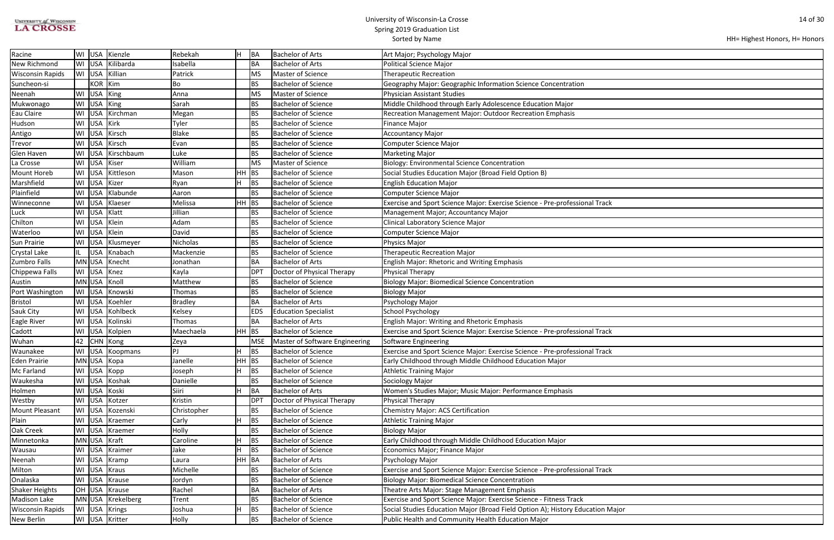| <b>UNIVERSITY of WISCONSIN</b> |
|--------------------------------|
| <b>LA CROSSE</b>               |

| ajor |  |
|------|--|
|      |  |

| Racine                  | WI        |            | USA Kienzle       | Rebekah        |         | BA         | <b>Bachelor of Arts</b>        | Art Major; Psychology Major                                                    |
|-------------------------|-----------|------------|-------------------|----------------|---------|------------|--------------------------------|--------------------------------------------------------------------------------|
| <b>New Richmond</b>     | WI        | <b>USA</b> | Kilibarda         | Isabella       |         | <b>BA</b>  | <b>Bachelor of Arts</b>        | Political Science Major                                                        |
| <b>Wisconsin Rapids</b> | WI        |            | USA Killian       | Patrick        |         | <b>MS</b>  | Master of Science              | <b>Therapeutic Recreation</b>                                                  |
| Suncheon-si             |           | KOR Kim    |                   | Bo             |         | <b>BS</b>  | <b>Bachelor of Science</b>     | Geography Major: Geographic Information Science Concentration                  |
| Neenah                  | WI        | USA King   |                   | Anna           |         | <b>MS</b>  | Master of Science              | Physician Assistant Studies                                                    |
| Mukwonago               | WI        | USA King   |                   | Sarah          |         | <b>BS</b>  | <b>Bachelor of Science</b>     | Middle Childhood through Early Adolescence Education Major                     |
| Eau Claire              | WI        |            | USA Kirchman      | Megan          |         | <b>BS</b>  | <b>Bachelor of Science</b>     | Recreation Management Major: Outdoor Recreation Emphasis                       |
| Hudson                  | WI        | <b>USA</b> | Kirk              | Tyler          |         | <b>BS</b>  | <b>Bachelor of Science</b>     | <b>Finance Major</b>                                                           |
| Antigo                  | WI        | <b>USA</b> | Kirsch            | <b>Blake</b>   |         | <b>BS</b>  | <b>Bachelor of Science</b>     | <b>Accountancy Major</b>                                                       |
| <b>Trevor</b>           | WI        | <b>USA</b> | Kirsch            | Evan           |         | <b>BS</b>  | <b>Bachelor of Science</b>     | Computer Science Major                                                         |
| Glen Haven              | WI        | <b>USA</b> | Kirschbaum        | Luke           |         | <b>BS</b>  | <b>Bachelor of Science</b>     | Marketing Major                                                                |
| La Crosse               | WI        |            | USA Kiser         | William        |         | <b>MS</b>  | Master of Science              | <b>Biology: Environmental Science Concentration</b>                            |
| <b>Mount Horeb</b>      | WI        |            | USA Kittleson     | Mason          | HH      | BS         | <b>Bachelor of Science</b>     | Social Studies Education Major (Broad Field Option B)                          |
| Marshfield              | WI        | <b>USA</b> | Kizer             | Ryan           |         | <b>BS</b>  | <b>Bachelor of Science</b>     | <b>English Education Major</b>                                                 |
| Plainfield              | WI        | <b>USA</b> | Klabunde          | Aaron          |         | <b>BS</b>  | <b>Bachelor of Science</b>     | <b>Computer Science Major</b>                                                  |
| Winneconne              | WI        | <b>USA</b> | Klaeser           | Melissa        | HH      | BS         | <b>Bachelor of Science</b>     | Exercise and Sport Science Major: Exercise Science - Pre-professional Track    |
| Luck                    | WI        |            | USA Klatt         | Jillian        |         | BS         | <b>Bachelor of Science</b>     | Management Major; Accountancy Major                                            |
| Chilton                 | WI        |            | USA Klein         | Adam           |         | <b>BS</b>  | <b>Bachelor of Science</b>     | Clinical Laboratory Science Major                                              |
| Waterloo                | WI        |            | USA Klein         | David          |         | <b>BS</b>  | <b>Bachelor of Science</b>     | Computer Science Major                                                         |
| <b>Sun Prairie</b>      | WI        |            | USA Klusmeyer     | Nicholas       |         | <b>BS</b>  | <b>Bachelor of Science</b>     | Physics Major                                                                  |
| <b>Crystal Lake</b>     | IL.       | <b>USA</b> | Knabach           | Mackenzie      |         | <b>BS</b>  | <b>Bachelor of Science</b>     | <b>Therapeutic Recreation Major</b>                                            |
| Zumbro Falls            | <b>MN</b> | USA        | Knecht            | Jonathan       |         | <b>BA</b>  | <b>Bachelor of Arts</b>        | <b>English Major: Rhetoric and Writing Emphasis</b>                            |
| Chippewa Falls          | WI        | <b>USA</b> | Knez              | Kayla          |         | <b>DPT</b> | Doctor of Physical Therapy     | Physical Therapy                                                               |
| Austin                  |           |            | MN USA Knoll      | Matthew        |         | <b>BS</b>  | <b>Bachelor of Science</b>     | <b>Biology Major: Biomedical Science Concentration</b>                         |
| Port Washington         | WI        |            | USA Knowski       | Thomas         |         | <b>BS</b>  | <b>Bachelor of Science</b>     | <b>Biology Major</b>                                                           |
| <b>Bristol</b>          | WI        |            | USA Koehler       | <b>Bradley</b> |         | <b>BA</b>  | <b>Bachelor of Arts</b>        | Psychology Major                                                               |
| Sauk City               | WI        | <b>USA</b> | Kohlbeck          | Kelsey         |         | <b>EDS</b> | <b>Education Specialist</b>    | School Psychology                                                              |
| Eagle River             | WI        | <b>USA</b> | Kolinski          | Thomas         |         | BA         | <b>Bachelor of Arts</b>        | <b>English Major: Writing and Rhetoric Emphasis</b>                            |
| Cadott                  | WI        |            | USA Kolpien       | Maechaela      | HH      | BS         | <b>Bachelor of Science</b>     | Exercise and Sport Science Major: Exercise Science - Pre-professional Track    |
| Wuhan                   | 42        |            | CHN Kong          | Zeya           |         | <b>MSE</b> | Master of Software Engineering | Software Engineering                                                           |
| Waunakee                |           |            | WI USA Koopmans   | PJ             |         | <b>BS</b>  | Bachelor of Science            | Exercise and Sport Science Major: Exercise Science - Pre-professional Track    |
| Eden Prairie            |           |            | MN USA Kopa       | Janelle        | $HH$ BS |            | <b>Bachelor of Science</b>     | Early Childhood through Middle Childhood Education Major                       |
| Mc Farland              | WI        |            | USA Kopp          | Joseph         |         | <b>BS</b>  | <b>Bachelor of Science</b>     | <b>Athletic Training Major</b>                                                 |
| Waukesha                | WI        | <b>USA</b> | Koshak            | Danielle       |         | <b>BS</b>  | <b>Bachelor of Science</b>     | Sociology Major                                                                |
| Holmen                  | WI        | <b>USA</b> | Koski             | Siiri          |         | BA         | <b>Bachelor of Arts</b>        | Women's Studies Major; Music Major: Performance Emphasis                       |
| Westby                  | WI        | <b>USA</b> | Kotzer            | Kristin        |         | <b>DPT</b> | Doctor of Physical Therapy     | Physical Therapy                                                               |
| <b>Mount Pleasant</b>   | WI        | <b>USA</b> | Kozenski          | Christopher    |         | <b>BS</b>  | <b>Bachelor of Science</b>     | Chemistry Major: ACS Certification                                             |
| Plain                   | WI        |            | USA Kraemer       | Carly          |         | <b>BS</b>  | <b>Bachelor of Science</b>     | <b>Athletic Training Major</b>                                                 |
| Oak Creek               | WI        |            | USA Kraemer       | Holly          |         | <b>BS</b>  | <b>Bachelor of Science</b>     | <b>Biology Major</b>                                                           |
| Minnetonka              | <b>MN</b> |            | USA Kraft         | Caroline       |         | BS         | <b>Bachelor of Science</b>     | Early Childhood through Middle Childhood Education Major                       |
| Wausau                  | WI        | USA        | Kraimer           | Jake           |         | BS         | <b>Bachelor of Science</b>     | Economics Major; Finance Major                                                 |
| Neenah                  | WI        | <b>USA</b> | Kramp             | Laura          | HH BA   |            | <b>Bachelor of Arts</b>        | Psychology Major                                                               |
| Milton                  | WI        |            | USA Kraus         | Michelle       |         | BS         | <b>Bachelor of Science</b>     | Exercise and Sport Science Major: Exercise Science - Pre-professional Track    |
| Onalaska                | WI        |            | USA Krause        | Jordyn         |         | <b>BS</b>  | <b>Bachelor of Science</b>     | <b>Biology Major: Biomedical Science Concentration</b>                         |
| <b>Shaker Heights</b>   |           |            | OH USA Krause     | Rachel         |         | <b>BA</b>  | <b>Bachelor of Arts</b>        | Theatre Arts Major: Stage Management Emphasis                                  |
| <b>Madison Lake</b>     |           |            | MN USA Krekelberg | Trent          |         | <b>BS</b>  | <b>Bachelor of Science</b>     | Exercise and Sport Science Major: Exercise Science - Fitness Track             |
| <b>Wisconsin Rapids</b> | WI        | <b>USA</b> | Krings            | Joshua         |         | BS         | <b>Bachelor of Science</b>     | Social Studies Education Major (Broad Field Option A); History Education Major |
| New Berlin              | WI        |            | USA Kritter       | Holly          |         | BS         | <b>Bachelor of Science</b>     | Public Health and Community Health Education Major                             |
|                         |           |            |                   |                |         |            |                                |                                                                                |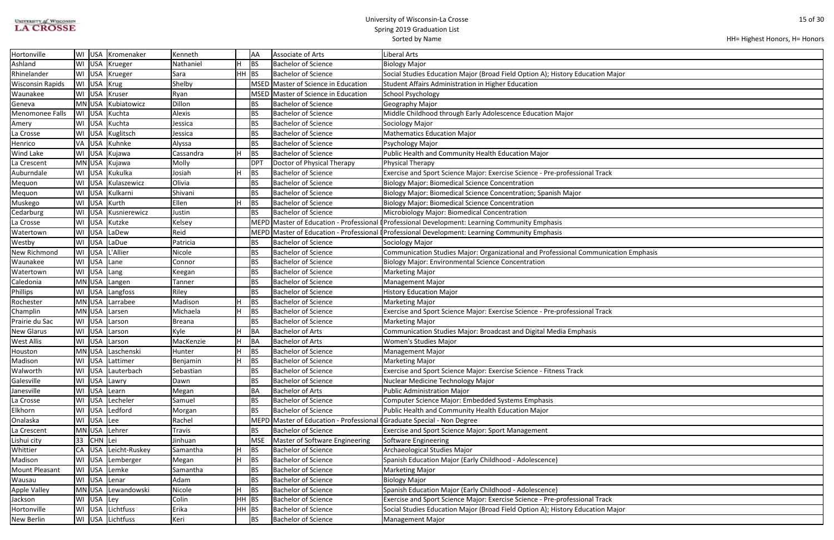| <b>UNIVERSITY of WISCONSIN</b> |  |
|--------------------------------|--|
| <b>LA CROSSE</b>               |  |

```
HH= Highest Honors, H= Honors
```

| lajor          |
|----------------|
|                |
|                |
|                |
|                |
|                |
|                |
|                |
|                |
|                |
|                |
|                |
|                |
|                |
|                |
|                |
|                |
|                |
|                |
|                |
| ation Emphasis |
|                |
|                |
|                |
|                |
|                |
|                |
|                |
|                |
|                |
|                |
|                |
|                |
|                |
|                |
|                |
|                |
|                |
|                |
|                |
|                |
|                |
|                |
|                |
|                |
|                |
|                |
|                |
|                |
|                |
| lajor          |
|                |

| Hortonville             | WI USA     | Kromenaker           | Kenneth       |                          | AA              | <b>Associate of Arts</b>                                                | Liberal Arts                                                                                   |
|-------------------------|------------|----------------------|---------------|--------------------------|-----------------|-------------------------------------------------------------------------|------------------------------------------------------------------------------------------------|
| Ashland                 | WI USA     | Krueger              | Nathaniel     |                          | BS              | <b>Bachelor of Science</b>                                              | <b>Biology Major</b>                                                                           |
| Rhinelander             | WI USA     | Krueger              | Sara          | $HH$ BS                  |                 | <b>Bachelor of Science</b>                                              | Social Studies Education Major (Broad Field Option A); History Education Major                 |
| <b>Wisconsin Rapids</b> | WI USA     | Krug                 | Shelby        |                          |                 | MSED Master of Science in Education                                     | Student Affairs Administration in Higher Education                                             |
| Waunakee                | WI USA     | Kruser               | Ryan          |                          |                 | MSED Master of Science in Education                                     | School Psychology                                                                              |
| Geneva                  | MN USA     | Kubiatowicz          | Dillon        |                          | <b>BS</b>       | <b>Bachelor of Science</b>                                              | Geography Major                                                                                |
| <b>Menomonee Falls</b>  | WI USA     | Kuchta               | Alexis        |                          | <b>BS</b>       | Bachelor of Science                                                     | Middle Childhood through Early Adolescence Education Major                                     |
| Amery                   | WI USA     | Kuchta               | Jessica       |                          | <b>BS</b>       | Bachelor of Science                                                     | Sociology Major                                                                                |
| La Crosse               | WI USA     | Kuglitsch            | Jessica       |                          | <b>BS</b>       | <b>Bachelor of Science</b>                                              | Mathematics Education Major                                                                    |
| Henrico                 | VA USA     | Kuhnke               | Alyssa        |                          | BS              | <b>Bachelor of Science</b>                                              | Psychology Major                                                                               |
| <b>Wind Lake</b>        | WI USA     | Kujawa               | Cassandra     |                          | BS              | <b>Bachelor of Science</b>                                              | Public Health and Community Health Education Major                                             |
| La Crescent             | MN USA     | Kujawa               | Molly         |                          | DP <sup>-</sup> | Doctor of Physical Therapy                                              | Physical Therapy                                                                               |
| Auburndale              | WI USA     | Kukulka              | Josiah        |                          | BS              | <b>Bachelor of Science</b>                                              | Exercise and Sport Science Major: Exercise Science - Pre-professional Track                    |
| Mequon                  | WI USA     | Kulaszewicz          | Olivia        |                          | BS              | <b>Bachelor of Science</b>                                              | <b>Biology Major: Biomedical Science Concentration</b>                                         |
| Mequon                  | WI USA     | Kulkarni             | Shivani       |                          | <b>BS</b>       | <b>Bachelor of Science</b>                                              | Biology Major: Biomedical Science Concentration; Spanish Major                                 |
| Muskego                 | WI USA     | Kurth                | Ellen         |                          | <b>BS</b>       | <b>Bachelor of Science</b>                                              | <b>Biology Major: Biomedical Science Concentration</b>                                         |
| Cedarburg               | WI USA     | Kusnierewicz         | Justin        |                          | <b>BS</b>       | <b>Bachelor of Science</b>                                              | Microbiology Major: Biomedical Concentration                                                   |
| La Crosse               | WI USA     | Kutzke               | Kelsey        |                          |                 |                                                                         | MEPD Master of Education - Professional (Professional Development: Learning Community Emphasis |
| Watertown               | WI USA     | LaDew                | Reid          |                          |                 |                                                                         | MEPD Master of Education - Professional (Professional Development: Learning Community Emphasis |
| Westby                  | WI USA     | LaDue                | Patricia      |                          | <b>BS</b>       | <b>Bachelor of Science</b>                                              | Sociology Major                                                                                |
| New Richmond            | WI USA     | L'Allier             | Nicole        |                          | <b>BS</b>       | <b>Bachelor of Science</b>                                              | Communication Studies Major: Organizational and Professional Communication Emphasis            |
| Waunakee                | WI USA     | Lane                 | Connor        |                          | <b>BS</b>       | <b>Bachelor of Science</b>                                              | <b>Biology Major: Environmental Science Concentration</b>                                      |
| Watertown               | WI USA     | Lang                 | Keegan        |                          | <b>BS</b>       | <b>Bachelor of Science</b>                                              | Marketing Major                                                                                |
| Caledonia               | MN USA     | Langen               | Tanner        |                          | BS              | <b>Bachelor of Science</b>                                              | Management Major                                                                               |
| Phillips                | WI USA     | Langfoss             | Riley         |                          | BS              | <b>Bachelor of Science</b>                                              | <b>History Education Major</b>                                                                 |
| Rochester               | $MN$ USA   | Larrabee             | Madison       |                          | <b>BS</b>       | <b>Bachelor of Science</b>                                              | <b>Marketing Major</b>                                                                         |
| Champlin                | MN USA     | Larsen               | Michaela      |                          | BS              | <b>Bachelor of Science</b>                                              | Exercise and Sport Science Major: Exercise Science - Pre-professional Track                    |
| Prairie du Sac          | WI USA     | Larson               | <b>Breana</b> |                          | BS              | Bachelor of Science                                                     | Marketing Major                                                                                |
| <b>New Glarus</b>       | WI USA     | Larson               | Kyle          |                          | BA              | <b>Bachelor of Arts</b>                                                 | Communication Studies Major: Broadcast and Digital Media Emphasis                              |
| <b>West Allis</b>       | WI USA     | Larson               | MacKenzie     | Η                        | BA              | <b>Bachelor of Arts</b>                                                 | <b>Women's Studies Major</b>                                                                   |
| Houston                 |            | MN USA Laschenski    | Hunter        | $\mathbf{H}$<br><u>п</u> | <b>BS</b>       | Bachelor of Science                                                     | Management Major                                                                               |
| Madison                 | WI USA     | Lattimer             | Benjamin      |                          | BS              | <b>Bachelor of Science</b>                                              | <b>Marketing Major</b>                                                                         |
| Walworth                | WI USA     | Lauterbach           | Sebastian     |                          | <b>BS</b>       | <b>Bachelor of Science</b>                                              | Exercise and Sport Science Major: Exercise Science - Fitness Track                             |
| Galesville              | WI USA     | Lawry                | Dawn          |                          | <b>BS</b>       | <b>Bachelor of Science</b>                                              | Nuclear Medicine Technology Major                                                              |
| Janesville              | WI USA     | Learn                | Megan         |                          | BA              | <b>Bachelor of Arts</b>                                                 | Public Administration Major                                                                    |
| La Crosse               | WI USA     | Lecheler             | Samuel        |                          | <b>BS</b>       | <b>Bachelor of Science</b>                                              | Computer Science Major: Embedded Systems Emphasis                                              |
| Elkhorn                 | WI USA     | Ledford              | Morgan        |                          | <b>BS</b>       | <b>Bachelor of Science</b>                                              | Public Health and Community Health Education Major                                             |
| Onalaska                | WI USA     | Lee                  | Rachel        |                          |                 | MEPD Master of Education - Professional I Graduate Special - Non Degree |                                                                                                |
| La Crescent             | MN USA     | Lehrer               | <b>Travis</b> |                          | BS              | <b>Bachelor of Science</b>                                              | Exercise and Sport Science Major: Sport Management                                             |
| Lishui city             | 33 CHN Lei |                      | Jinhuan       |                          | MSE             | Master of Software Engineering                                          | Software Engineering                                                                           |
| Whittier                | $CA$ USA   | Leicht-Ruskey        | Samantha      |                          | <b>BS</b>       | <b>Bachelor of Science</b>                                              | Archaeological Studies Major                                                                   |
| Madison                 | WI USA     | Lemberger            | Megan         | H                        | <b>BS</b>       | <b>Bachelor of Science</b>                                              | Spanish Education Major (Early Childhood - Adolescence)                                        |
| <b>Mount Pleasant</b>   | WI USA     | Lemke                | Samantha      |                          | <b>BS</b>       | <b>Bachelor of Science</b>                                              | Marketing Major                                                                                |
| Wausau                  | WI USA     | Lenar                | Adam          |                          | <b>BS</b>       | <b>Bachelor of Science</b>                                              | <b>Biology Major</b>                                                                           |
| <b>Apple Valley</b>     | MN USA     | Lewandowski          | Nicole        |                          | BS              | <b>Bachelor of Science</b>                                              | Spanish Education Major (Early Childhood - Adolescence)                                        |
| Jackson                 | WI USA     | Ley                  | Colin         | $HH$ BS                  |                 | <b>Bachelor of Science</b>                                              | Exercise and Sport Science Major: Exercise Science - Pre-professional Track                    |
| Hortonville             | WI USA     | Lichtfuss            | Erika         | HH BS                    |                 | <b>Bachelor of Science</b>                                              | Social Studies Education Major (Broad Field Option A); History Education Major                 |
| New Berlin              |            | WI   USA   Lichtfuss | Keri          |                          | <b>BS</b>       | <b>Bachelor of Science</b>                                              | Management Major                                                                               |
|                         |            |                      |               |                          |                 |                                                                         |                                                                                                |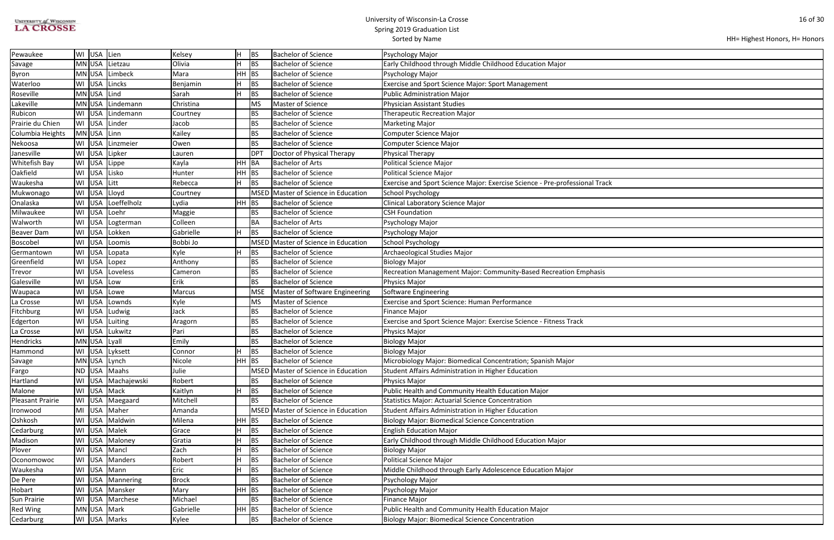| <b>UNIVERSITY of WISCONSIN</b> |
|--------------------------------|
| <b>LA CROSSE</b>               |

```
HH= Highest Honors, H= Honors
```

| Pewaukee                |    | WI USA Lien  |                    | Kelsey       | н       | <b>BS</b>       | <b>Bachelor of Science</b>     | Psychology Major                                                            |
|-------------------------|----|--------------|--------------------|--------------|---------|-----------------|--------------------------------|-----------------------------------------------------------------------------|
| Savage                  |    |              | MN USA Lietzau     | Olivia       | Η       | <b>BS</b>       | <b>Bachelor of Science</b>     | Early Childhood through Middle Childhood Education Major                    |
| <b>Byron</b>            |    |              | MN USA Limbeck     | Mara         | HH      | <b>BS</b>       | <b>Bachelor of Science</b>     | Psychology Major                                                            |
| Waterloo                |    |              | WI USA Lincks      | Benjamin     |         | <b>BS</b>       | <b>Bachelor of Science</b>     | Exercise and Sport Science Major: Sport Management                          |
| Roseville               |    | MN USA Lind  |                    | Sarah        | Η       | BS              | <b>Bachelor of Science</b>     | <b>Public Administration Major</b>                                          |
| Lakeville               |    | MN USA       | Lindemann          | Christina    |         | <b>MS</b>       | <b>Master of Science</b>       | <b>Physician Assistant Studies</b>                                          |
| Rubicon                 |    |              | WI USA Lindemann   | Courtney     |         | <b>BS</b>       | <b>Bachelor of Science</b>     | <b>Therapeutic Recreation Major</b>                                         |
| Prairie du Chien        |    | WI USA       | Linder             | Jacob        |         | <b>BS</b>       | <b>Bachelor of Science</b>     | <b>Marketing Major</b>                                                      |
| Columbia Heights        |    | MN USA Linn  |                    | Kailey       |         | <b>BS</b>       | <b>Bachelor of Science</b>     | Computer Science Major                                                      |
| Nekoosa                 |    | WI USA       | Linzmeier          | Owen         |         | BS              | <b>Bachelor of Science</b>     | <b>Computer Science Major</b>                                               |
| Janesville              |    | WI USA       | Lipker             | Lauren       |         | DP <sub>1</sub> | Doctor of Physical Therapy     | <b>Physical Therapy</b>                                                     |
| Whitefish Bay           |    | WI USA       | Lippe              | Kayla        | HH      | BA              | <b>Bachelor of Arts</b>        | <b>Political Science Major</b>                                              |
| Oakfield                | WI | USA Lisko    |                    | Hunter       | HН      | <b>BS</b>       | <b>Bachelor of Science</b>     | <b>Political Science Major</b>                                              |
| Waukesha                | WI | USA Litt     |                    | Rebecca      | Н       | <b>BS</b>       | <b>Bachelor of Science</b>     | Exercise and Sport Science Major: Exercise Science - Pre-professional Track |
| Mukwonago               | WI | <b>USA</b>   | Lloyd              | Courtney     |         | <b>MSED</b>     | Master of Science in Education | School Psychology                                                           |
| Onalaska                | WI |              | USA Loeffelholz    | Lydia        | HH      | BS              | <b>Bachelor of Science</b>     | Clinical Laboratory Science Major                                           |
| Milwaukee               |    | WI USA       | Loehr              | Maggie       |         | BS              | <b>Bachelor of Science</b>     | <b>CSH Foundation</b>                                                       |
| Walworth                |    | WI USA       | Logterman          | Colleen      |         | BA              | <b>Bachelor of Arts</b>        | Psychology Major                                                            |
| <b>Beaver Dam</b>       | WI | USA          | Lokken             | Gabrielle    |         | BS              | <b>Bachelor of Science</b>     | Psychology Major                                                            |
| <b>Boscobel</b>         | WI | <b>USA</b>   | Loomis             | Bobbi Jo     |         | <b>MSED</b>     | Master of Science in Education | School Psychology                                                           |
| Germantown              | WI | USA          | Lopata             | Kyle         | H       | BS              | <b>Bachelor of Science</b>     | Archaeological Studies Major                                                |
| Greenfield              | WI | <b>USA</b>   | Lopez              | Anthony      |         | BS              | <b>Bachelor of Science</b>     | <b>Biology Major</b>                                                        |
| Trevor                  | WI | <b>USA</b>   | Loveless           | Cameron      |         | <b>BS</b>       | <b>Bachelor of Science</b>     | Recreation Management Major: Community-Based Recreation Emphasis            |
| Galesville              | WI | USA          | Low                | Erik         |         | BS              | <b>Bachelor of Science</b>     | <b>Physics Major</b>                                                        |
| Waupaca                 | WI | <b>USA</b>   | Lowe               | Marcus       |         | <b>MSE</b>      | Master of Software Engineering | Software Engineering                                                        |
| La Crosse               | WI | USA          | Lownds             | Kyle         |         | MS              | Master of Science              | <b>Exercise and Sport Science: Human Performance</b>                        |
| Fitchburg               | WI | USA          | Ludwig             | Jack         |         | <b>BS</b>       | <b>Bachelor of Science</b>     | <b>Finance Major</b>                                                        |
| Edgerton                | WI | USA          | Luiting            | Aragorn      |         | <b>BS</b>       | <b>Bachelor of Science</b>     | Exercise and Sport Science Major: Exercise Science - Fitness Track          |
| La Crosse               | WI | <b>USA</b>   | Lukwitz            | Pari         |         | BS              | <b>Bachelor of Science</b>     | <b>Physics Major</b>                                                        |
| <b>Hendricks</b>        |    | MN USA Lyall |                    | Emily        |         | BS              | <b>Bachelor of Science</b>     | <b>Biology Major</b>                                                        |
| Hammond                 |    |              | WI USA Lyksett     | Connor       | п.      | BS              | <b>Bachelor of Science</b>     | <b>Biology Major</b>                                                        |
| Savage                  |    |              | MN USA Lynch       | Nicole       | $HH$ BS |                 | <b>Bachelor of Science</b>     | Microbiology Major: Biomedical Concentration; Spanish Major                 |
| Fargo                   |    |              | ND USA Maahs       | Julie        |         | <b>MSED</b>     | Master of Science in Education | Student Affairs Administration in Higher Education                          |
| Hartland                |    |              | WI USA Machajewski | Robert       |         | BS              | <b>Bachelor of Science</b>     | Physics Major                                                               |
| Malone                  | WI | USA Mack     |                    | Kaitlyn      |         | <b>BS</b>       | <b>Bachelor of Science</b>     | Public Health and Community Health Education Major                          |
| <b>Pleasant Prairie</b> |    |              | WI USA Maegaard    | Mitchell     |         | <b>BS</b>       | <b>Bachelor of Science</b>     | <b>Statistics Major: Actuarial Science Concentration</b>                    |
| Ironwood                | MI |              | USA Maher          | Amanda       |         | <b>MSED</b>     | Master of Science in Education | Student Affairs Administration in Higher Education                          |
| Oshkosh                 | WI |              | USA Maldwin        | Milena       | HH      | BS              | <b>Bachelor of Science</b>     | <b>Biology Major: Biomedical Science Concentration</b>                      |
| Cedarburg               | WI |              | USA Malek          | Grace        |         | BS              | <b>Bachelor of Science</b>     | <b>English Education Major</b>                                              |
| Madison                 | WI |              | USA Maloney        | Gratia       |         | BS              | <b>Bachelor of Science</b>     | Early Childhood through Middle Childhood Education Major                    |
| Plover                  | WI |              | USA   Mancl        | Zach         | н       | <b>BS</b>       | <b>Bachelor of Science</b>     | <b>Biology Major</b>                                                        |
| Oconomowoc              | WI | USA          | Manders            | Robert       | н       | <b>BS</b>       | <b>Bachelor of Science</b>     | <b>Political Science Major</b>                                              |
| Waukesha                |    |              | WI USA Mann        | Eric         | Η       | BS              | <b>Bachelor of Science</b>     | Middle Childhood through Early Adolescence Education Major                  |
| De Pere                 | WI |              | USA Mannering      | <b>Brock</b> |         | <b>BS</b>       | <b>Bachelor of Science</b>     | Psychology Major                                                            |
| Hobart                  | WI |              | USA Mansker        | Mary         | HH      | BS              | <b>Bachelor of Science</b>     | Psychology Major                                                            |
| <b>Sun Prairie</b>      | WI |              | USA Marchese       | Michael      |         | <b>BS</b>       | <b>Bachelor of Science</b>     | <b>Finance Major</b>                                                        |
| <b>Red Wing</b>         |    | MN USA Mark  |                    | Gabrielle    | $HH$ BS |                 | <b>Bachelor of Science</b>     | Public Health and Community Health Education Major                          |
| Cedarburg               |    |              | WI USA Marks       | Kylee        |         | <b>BS</b>       | <b>Bachelor of Science</b>     | <b>Biology Major: Biomedical Science Concentration</b>                      |
|                         |    |              |                    |              |         |                 |                                |                                                                             |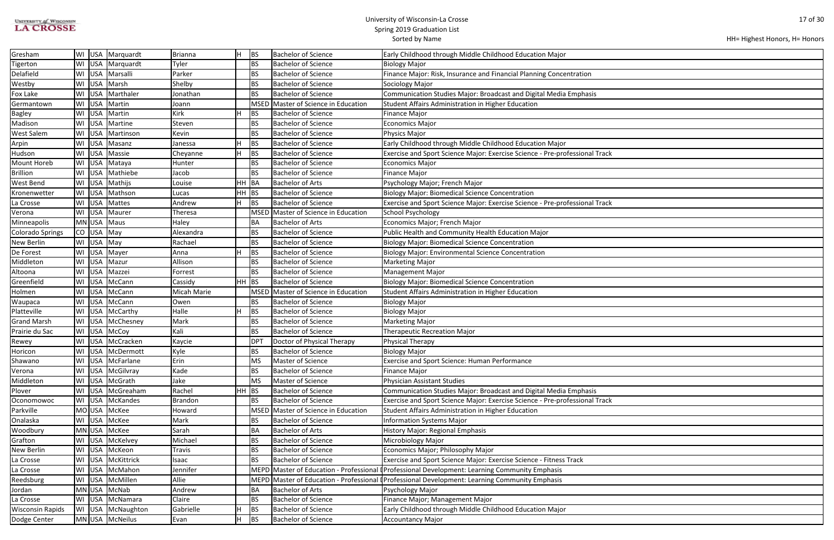| <b>UNIVERSITY of WISCONSIN</b> |
|--------------------------------|
| <b>LA CROSSE</b>               |

| HH= Highest Honors, H= Honors |  |  |
|-------------------------------|--|--|
|-------------------------------|--|--|

| Gresham                 | WI        |            | USA   Marquardt  | <b>Brianna</b> | lН        | BS          | <b>Bachelor of Science</b>          | Early Childhood through Middle Childhood Education Major                                        |
|-------------------------|-----------|------------|------------------|----------------|-----------|-------------|-------------------------------------|-------------------------------------------------------------------------------------------------|
| Tigerton                | WI        | USA        | Marquardt        | Tyler          |           | BS          | <b>Bachelor of Science</b>          | <b>Biology Major</b>                                                                            |
| Delafield               | WI        | <b>USA</b> | Marsalli         | Parker         |           | BS          | Bachelor of Science                 | Finance Major: Risk, Insurance and Financial Planning Concentration                             |
| Westby                  | WI        | USA        | Marsh            | Shelby         |           | BS          | Bachelor of Science                 | Sociology Major                                                                                 |
| <b>Fox Lake</b>         | WI        | <b>USA</b> | Marthaler        | Jonathan       |           | BS          | <b>Bachelor of Science</b>          | Communication Studies Major: Broadcast and Digital Media Emphasis                               |
| Germantown              | WI        | <b>USA</b> | Martin           | Joann          |           | <b>MSED</b> | Master of Science in Education      | Student Affairs Administration in Higher Education                                              |
| <b>Bagley</b>           | WI        | USA        | Martin           | Kirk           | H         | BS          | <b>Bachelor of Science</b>          | <b>Finance Major</b>                                                                            |
| Madison                 | WI        | <b>USA</b> | Martine          | Steven         |           | BS          | <b>Bachelor of Science</b>          | <b>Economics Major</b>                                                                          |
| <b>West Salem</b>       | WI        | <b>USA</b> | Martinson        | Kevin          |           | BS          | <b>Bachelor of Science</b>          | Physics Major                                                                                   |
| Arpin                   | WI        | <b>USA</b> | Masanz           | Janessa        | lн        | BS          | <b>Bachelor of Science</b>          | Early Childhood through Middle Childhood Education Major                                        |
| Hudson                  | WI        | <b>USA</b> | Massie           | Cheyanne       | IH.       | BS          | <b>Bachelor of Science</b>          | Exercise and Sport Science Major: Exercise Science - Pre-professional Track                     |
| <b>Mount Horeb</b>      | WI        | <b>USA</b> | Mataya           | Hunter         |           | BS          | <b>Bachelor of Science</b>          | <b>Economics Major</b>                                                                          |
| <b>Brillion</b>         | WI        | <b>USA</b> | Mathiebe         | Jacob          |           | BS          | <b>Bachelor of Science</b>          | <b>Finance Major</b>                                                                            |
| <b>West Bend</b>        | WI        | <b>USA</b> | Mathijs          | Louise         | <b>HH</b> | BA          | <b>Bachelor of Arts</b>             | Psychology Major; French Major                                                                  |
| Kronenwetter            | WI        | USA        | Mathson          | Lucas          | HH        | BS          | <b>Bachelor of Science</b>          | <b>Biology Major: Biomedical Science Concentration</b>                                          |
| La Crosse               | WI        | <b>USA</b> | Mattes           | Andrew         | lн.       | <b>BS</b>   | <b>Bachelor of Science</b>          | Exercise and Sport Science Major: Exercise Science - Pre-professional Track                     |
| Verona                  | WI        | USA        | Maurer           | Theresa        |           |             | MSED Master of Science in Education | School Psychology                                                                               |
| Minneapolis             |           | MN USA     | Maus             | Haley          |           | ∣BA         | <b>Bachelor of Arts</b>             | Economics Major; French Major                                                                   |
| <b>Colorado Springs</b> | <b>CO</b> | <b>USA</b> | May              | Alexandra      |           | BS          | <b>Bachelor of Science</b>          | Public Health and Community Health Education Major                                              |
| <b>New Berlin</b>       | WI        | <b>USA</b> | May              | Rachael        |           | BS          | <b>Bachelor of Science</b>          | <b>Biology Major: Biomedical Science Concentration</b>                                          |
| De Forest               | WI        | USA        | Mayer            | Anna           | lн        | BS          | <b>Bachelor of Science</b>          | <b>Biology Major: Environmental Science Concentration</b>                                       |
| Middleton               | WI        | <b>USA</b> | Mazur            | Allison        |           | BS          | <b>Bachelor of Science</b>          | <b>Marketing Major</b>                                                                          |
| Altoona                 | WI        | USA        | Mazzei           | Forrest        |           | BS          | <b>Bachelor of Science</b>          | <b>Management Major</b>                                                                         |
| Greenfield              | WI        | <b>USA</b> | McCann           | Cassidy        | HH BS     |             | <b>Bachelor of Science</b>          | <b>Biology Major: Biomedical Science Concentration</b>                                          |
| Holmen                  | WI        | <b>USA</b> | McCann           | Micah Marie    |           | <b>MSED</b> | Master of Science in Education      | Student Affairs Administration in Higher Education                                              |
| Waupaca                 | WI        | <b>USA</b> | McCann           | Owen           |           | BS          | <b>Bachelor of Science</b>          | <b>Biology Major</b>                                                                            |
| Platteville             | WI        | <b>USA</b> | McCarthy         | Halle          | Н         | BS          | <b>Bachelor of Science</b>          | <b>Biology Major</b>                                                                            |
| <b>Grand Marsh</b>      | WI        | <b>USA</b> | McChesney        | Mark           |           | BS          | Bachelor of Science                 | <b>Marketing Major</b>                                                                          |
| Prairie du Sac          | WI        |            | USA   McCoy      | Kali           |           | BS          | <b>Bachelor of Science</b>          | <b>Therapeutic Recreation Major</b>                                                             |
| Rewey                   | WI        |            | USA   McCracken  | Kaycie         |           | <b>DPT</b>  | Doctor of Physical Therapy          | <b>Physical Therapy</b>                                                                         |
| Horicon                 |           |            | WI USA McDermott | Kyle           |           | BS          | <b>Bachelor of Science</b>          | <b>Biology Major</b>                                                                            |
| Shawano                 | WI        |            | USA McFarlane    | Erin           |           | MS          | Master of Science                   | <b>Exercise and Sport Science: Human Performance</b>                                            |
| Verona                  | WI        | <b>USA</b> | McGilvray        | Kade           |           | BS          | <b>Bachelor of Science</b>          | <b>Finance Major</b>                                                                            |
| Middleton               | WI        | <b>USA</b> | McGrath          | Jake           |           | MS          | Master of Science                   | <b>Physician Assistant Studies</b>                                                              |
| Plover                  | WI        | <b>USA</b> | McGreaham        | Rachel         | HH BS     |             | <b>Bachelor of Science</b>          | Communication Studies Major: Broadcast and Digital Media Emphasis                               |
| Oconomowoc              | WI        | <b>USA</b> | McKandes         | <b>Brandon</b> |           | BS          | <b>Bachelor of Science</b>          | Exercise and Sport Science Major: Exercise Science - Pre-professional Track                     |
| Parkville               |           | MO USA     | McKee            | Howard         |           | <b>MSED</b> | Master of Science in Education      | Student Affairs Administration in Higher Education                                              |
| Onalaska                | WI        | <b>USA</b> | McKee            | Mark           |           | BS          | <b>Bachelor of Science</b>          | <b>Information Systems Major</b>                                                                |
| Woodbury                |           | MN USA     | McKee            | Sarah          |           | BA          | <b>Bachelor of Arts</b>             | <b>History Major: Regional Emphasis</b>                                                         |
| Grafton                 | WI        | USA        | McKelvey         | Michael        |           | BS          | <b>Bachelor of Science</b>          | Microbiology Major                                                                              |
| New Berlin              | WI        | <b>USA</b> | McKeon           | Travis         |           | BS          | <b>Bachelor of Science</b>          | Economics Major; Philosophy Major                                                               |
| La Crosse               | WI        | <b>USA</b> | McKittrick       | Isaac          |           | BS          | <b>Bachelor of Science</b>          | Exercise and Sport Science Major: Exercise Science - Fitness Track                              |
| La Crosse               | WI        | USA        | McMahon          | Jennifer       |           |             |                                     | MEPD Master of Education - Professional I Professional Development: Learning Community Emphasis |
| Reedsburg               | WI        | <b>USA</b> | McMillen         | Allie          |           |             |                                     | MEPD Master of Education - Professional (Professional Development: Learning Community Emphasis  |
| Jordan                  |           |            | MN USA McNab     | Andrew         |           | BA          | <b>Bachelor of Arts</b>             | Psychology Major                                                                                |
| La Crosse               | WI        | <b>USA</b> | McNamara         | Claire         |           | BS          | <b>Bachelor of Science</b>          | Finance Major; Management Major                                                                 |
| <b>Wisconsin Rapids</b> | WI        | USA        | McNaughton       | Gabrielle      | lн        | BS          | <b>Bachelor of Science</b>          | Early Childhood through Middle Childhood Education Major                                        |
| Dodge Center            |           |            | MN USA McNeilus  | Evan           | lН        | BS          | <b>Bachelor of Science</b>          | <b>Accountancy Major</b>                                                                        |
|                         |           |            |                  |                |           |             |                                     |                                                                                                 |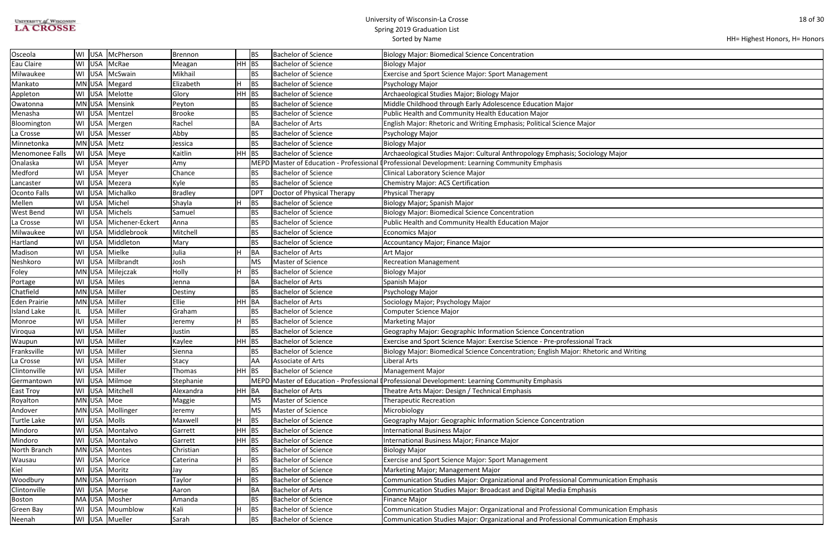| <b>STVERSITY of WISCONSIN</b> |
|-------------------------------|
| <b>LA CROSSE</b>              |

| Aajor          |  |
|----------------|--|
|                |  |
|                |  |
|                |  |
|                |  |
|                |  |
|                |  |
|                |  |
|                |  |
|                |  |
|                |  |
|                |  |
|                |  |
|                |  |
|                |  |
|                |  |
|                |  |
|                |  |
|                |  |
|                |  |
|                |  |
|                |  |
|                |  |
|                |  |
|                |  |
|                |  |
|                |  |
|                |  |
|                |  |
|                |  |
|                |  |
|                |  |
|                |  |
|                |  |
| and Writing    |  |
|                |  |
|                |  |
|                |  |
|                |  |
|                |  |
|                |  |
|                |  |
|                |  |
|                |  |
|                |  |
|                |  |
|                |  |
|                |  |
|                |  |
|                |  |
|                |  |
|                |  |
|                |  |
|                |  |
|                |  |
|                |  |
| ation Emphasis |  |
|                |  |
|                |  |
|                |  |
|                |  |
|                |  |
| ation Emphasis |  |
| ation Emphasis |  |
|                |  |
|                |  |

| Osceola                |    |            | WI USA McPherson   | <b>Brennon</b> |         | BS              | <b>Bachelor of Science</b> | Biology Major: Biomedical Science Concentration                                                 |
|------------------------|----|------------|--------------------|----------------|---------|-----------------|----------------------------|-------------------------------------------------------------------------------------------------|
| Eau Claire             | WI | <b>USA</b> | McRae              | Meagan         | $HH$ BS |                 | <b>Bachelor of Science</b> | Biology Major                                                                                   |
| Milwaukee              | WI | USA        | McSwain            | Mikhail        |         | <b>BS</b>       | <b>Bachelor of Science</b> | <b>Exercise and Sport Science Major: Sport Management</b>                                       |
| Mankato                |    | MN USA     | Megard             | Elizabeth      |         | <b>BS</b>       | <b>Bachelor of Science</b> | Psychology Major                                                                                |
| Appleton               |    | WI USA     | Melotte            | Glory          | $HH$ BS |                 | <b>Bachelor of Science</b> | Archaeological Studies Major; Biology Major                                                     |
| Owatonna               |    | MN USA     | Mensink            | Peyton         |         | <b>BS</b>       | <b>Bachelor of Science</b> | Middle Childhood through Early Adolescence Education Major                                      |
| Menasha                |    | WI USA     | Mentzel            | <b>Brooke</b>  |         | <b>BS</b>       | <b>Bachelor of Science</b> | Public Health and Community Health Education Major                                              |
| Bloomington            | WI | <b>USA</b> | Mergen             | Rachel         |         | BA              | <b>Bachelor of Arts</b>    | English Major: Rhetoric and Writing Emphasis; Political Science Major                           |
| La Crosse              | WI | <b>USA</b> | Messer             | Abby           |         | <b>BS</b>       | <b>Bachelor of Science</b> | Psychology Major                                                                                |
| Minnetonka             |    |            | MN USA Metz        | Jessica        |         | <b>BS</b>       | <b>Bachelor of Science</b> | Biology Major                                                                                   |
| <b>Menomonee Falls</b> |    | WI USA     | Meye               | Kaitlin        | $HH$ BS |                 | <b>Bachelor of Science</b> | Archaeological Studies Major: Cultural Anthropology Emphasis; Sociology Major                   |
| Onalaska               |    |            | WI USA Meyer       | Amy            |         |                 |                            | MEPD Master of Education - Professional I Professional Development: Learning Community Emphasis |
| Medford                | WI | USA        | Meyer              | Chance         |         | BS              | <b>Bachelor of Science</b> | Clinical Laboratory Science Major                                                               |
| Lancaster              | WI | <b>USA</b> | Mezera             | Kyle           |         | BS              | <b>Bachelor of Science</b> | Chemistry Major: ACS Certification                                                              |
| <b>Oconto Falls</b>    | WI | USA        | Michalko           | <b>Bradley</b> |         | DP <sub>1</sub> | Doctor of Physical Therapy | <b>Physical Therapy</b>                                                                         |
| Mellen                 | WI | USA        | Michel             | Shayla         |         | BS              | <b>Bachelor of Science</b> | Biology Major; Spanish Major                                                                    |
| <b>West Bend</b>       |    |            | WI   USA   Michels | Samuel         |         | BS              | <b>Bachelor of Science</b> | <b>Biology Major: Biomedical Science Concentration</b>                                          |
| La Crosse              | WI | <b>USA</b> | Michener-Eckert    | Anna           |         | <b>BS</b>       | <b>Bachelor of Science</b> | Public Health and Community Health Education Major                                              |
| Milwaukee              | WI | <b>USA</b> | Middlebrook        | Mitchell       |         | <b>BS</b>       | <b>Bachelor of Science</b> | <b>Economics Major</b>                                                                          |
| Hartland               | WI | <b>USA</b> | Middleton          | Mary           |         | <b>BS</b>       | <b>Bachelor of Science</b> | Accountancy Major; Finance Major                                                                |
| Madison                | WI | <b>USA</b> | Mielke             | Julia          |         | BA              | <b>Bachelor of Arts</b>    | Art Major                                                                                       |
| Neshkoro               | WI | <b>USA</b> | Milbrandt          | Josh           |         | MS              | Master of Science          | <b>Recreation Management</b>                                                                    |
| Foley                  |    | MN USA     | Milejczak          | Holly          |         | <b>BS</b>       | <b>Bachelor of Science</b> | <b>Biology Major</b>                                                                            |
| Portage                |    | WI USA     | Miles              | Jenna          |         | BA              | <b>Bachelor of Arts</b>    | Spanish Major                                                                                   |
| Chatfield              |    | MN USA     | Miller             | Destiny        |         | <b>BS</b>       | <b>Bachelor of Science</b> | Psychology Major                                                                                |
| <b>Eden Prairie</b>    |    | MN USA     | Miller             | Ellie          | HH BA   |                 | <b>Bachelor of Arts</b>    | Sociology Major; Psychology Major                                                               |
| <b>Island Lake</b>     |    | <b>USA</b> | Miller             | Graham         |         | <b>BS</b>       | <b>Bachelor of Science</b> | <b>Computer Science Major</b>                                                                   |
| Monroe                 | WI | <b>USA</b> | Miller             | Jeremy         |         | <b>BS</b>       | <b>Bachelor of Science</b> | <b>Marketing Major</b>                                                                          |
| Viroqua                | WI | <b>USA</b> | Miller             | Justin         |         | <b>BS</b>       | <b>Bachelor of Science</b> | Geography Major: Geographic Information Science Concentration                                   |
| Waupun                 | WI |            | USA Miller         | Kaylee         | $HH$ BS |                 | <b>Bachelor of Science</b> | Exercise and Sport Science Major: Exercise Science - Pre-professional Track                     |
| Franksville            |    |            | WI USA Miller      | Sienna         |         | <b>BS</b>       | <b>Bachelor of Science</b> | Biology Major: Biomedical Science Concentration; English Major: Rhetoric and Writing            |
| La Crosse              |    |            | WI USA Miller      | Stacy          |         | AA              | Associate of Arts          | Liberal Arts                                                                                    |
| Clintonville           | WI | USA        | Miller             | Thomas         | $HH$ BS |                 | <b>Bachelor of Science</b> | <b>Management Major</b>                                                                         |
| Germantown             |    | WI USA     | Milmoe             | Stephanie      |         |                 |                            | MEPD Master of Education - Professional (Professional Development: Learning Community Emphasis  |
| <b>East Troy</b>       |    | WI USA     | Mitchell           | Alexandra      | HH BA   |                 | <b>Bachelor of Arts</b>    | Theatre Arts Major: Design / Technical Emphasis                                                 |
| Royalton               |    | MN USA Moe |                    | Maggie         |         | MS              | Master of Science          | <b>Therapeutic Recreation</b>                                                                   |
| Andover                |    | MN USA     | Mollinger          | Jeremy         |         | MS              | Master of Science          | Microbiology                                                                                    |
| <b>Turtle Lake</b>     |    |            | WI USA Molls       | Maxwell        |         | BS              | <b>Bachelor of Science</b> | Geography Major: Geographic Information Science Concentration                                   |
| Mindoro                |    | WI USA     | Montalvo           | Garrett        | $HH$ BS |                 | <b>Bachelor of Science</b> | <b>International Business Major</b>                                                             |
| Mindoro                | WI | <b>USA</b> | Montalvo           | Garrett        | $HH$ BS |                 | <b>Bachelor of Science</b> | International Business Major; Finance Major                                                     |
| North Branch           |    | MN USA     | Montes             | Christian      |         | BS              | <b>Bachelor of Science</b> | <b>Biology Major</b>                                                                            |
| Wausau                 |    | WI USA     | Morice             | Caterina       |         | <b>BS</b>       | <b>Bachelor of Science</b> | <b>Exercise and Sport Science Major: Sport Management</b>                                       |
| Kiel                   |    |            | WI USA Moritz      | Jay            |         | <b>BS</b>       | <b>Bachelor of Science</b> | Marketing Major; Management Major                                                               |
| Woodbury               |    |            | MN USA Morrison    | Taylor         |         | <b>BS</b>       | <b>Bachelor of Science</b> | Communication Studies Major: Organizational and Professional Communication Emphasis             |
| Clintonville           |    | WI USA     | Morse              | Aaron          |         | BA              | <b>Bachelor of Arts</b>    | Communication Studies Major: Broadcast and Digital Media Emphasis                               |
| <b>Boston</b>          |    | MA USA     | Mosher             | Amanda         |         | <b>BS</b>       | <b>Bachelor of Science</b> | <b>Finance Major</b>                                                                            |
| Green Bay              | WI | USA        | Moumblow           | Kali           |         | BS              | <b>Bachelor of Science</b> | Communication Studies Major: Organizational and Professional Communication Emphasis             |
| Neenah                 |    |            | WI USA Mueller     | Sarah          |         | <b>BS</b>       | <b>Bachelor of Science</b> | Communication Studies Major: Organizational and Professional Communication Emphasis             |
|                        |    |            |                    |                |         |                 |                            |                                                                                                 |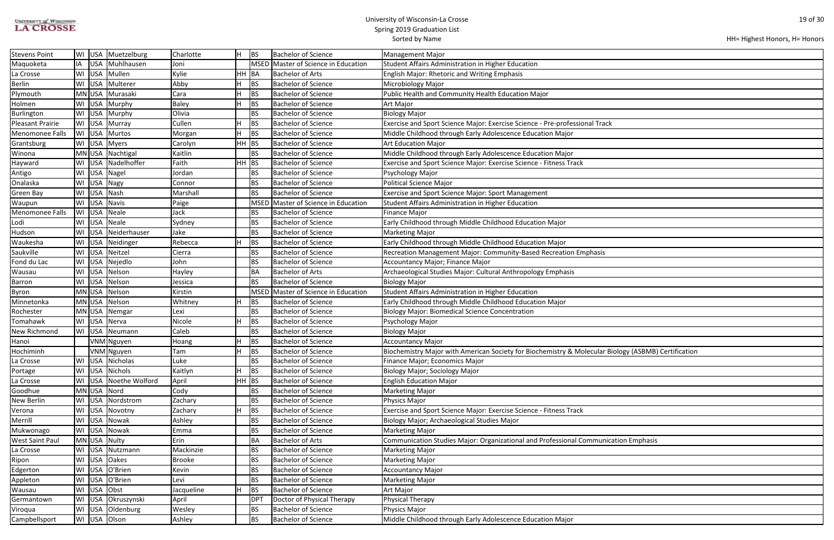| <b>UNIVERSITY of WISCONSIN</b> |  |
|--------------------------------|--|
| <b>LA CROSSE</b>               |  |

| HH= Highest Honors, H= Honors |  |  |
|-------------------------------|--|--|
|-------------------------------|--|--|

| ology (ASBMB) Certification |
|-----------------------------|
|                             |
|                             |
|                             |
|                             |
|                             |
|                             |
|                             |
|                             |
| ation Emphasis              |
|                             |
|                             |
|                             |
|                             |
|                             |
|                             |
|                             |
|                             |

| <b>Stevens Point</b>    | WI               | USA Muetzelburg       | Charlotte     |            | <b>BS</b>       | <b>Bachelor of Science</b>          | <b>Management Major</b>                                                                             |
|-------------------------|------------------|-----------------------|---------------|------------|-----------------|-------------------------------------|-----------------------------------------------------------------------------------------------------|
| Maquoketa               | IA               | USA Muhlhausen        | Joni          |            |                 | MSED Master of Science in Education | Student Affairs Administration in Higher Education                                                  |
| La Crosse               | WI               | USA Mullen            | Kylie         | HH BA      |                 | <b>Bachelor of Arts</b>             | <b>English Major: Rhetoric and Writing Emphasis</b>                                                 |
| <b>Berlin</b>           |                  | WI USA Multerer       | Abby          |            | <b>BS</b>       | <b>Bachelor of Science</b>          | Microbiology Major                                                                                  |
| Plymouth                |                  | MN USA Murasaki       | Cara          |            | BS              | <b>Bachelor of Science</b>          | Public Health and Community Health Education Major                                                  |
| Holmen                  |                  | WI USA Murphy         | <b>Baley</b>  |            | BS              | <b>Bachelor of Science</b>          | Art Major                                                                                           |
| Burlington              | USA<br>WI        | Murphy                | Olivia        |            | <b>BS</b>       | <b>Bachelor of Science</b>          | Biology Major                                                                                       |
| <b>Pleasant Prairie</b> | WI USA Murray    |                       | Cullen        |            | <b>BS</b>       | <b>Bachelor of Science</b>          | Exercise and Sport Science Major: Exercise Science - Pre-professional Track                         |
| <b>Menomonee Falls</b>  | WI USA Murtos    |                       | Morgan        |            | BS              | <b>Bachelor of Science</b>          | Middle Childhood through Early Adolescence Education Major                                          |
| Grantsburg              | WI USA Myers     |                       | Carolyn       | $HH$ $ BS$ |                 | <b>Bachelor of Science</b>          | <b>Art Education Major</b>                                                                          |
| Winona                  |                  | MN USA Nachtigal      | Kaitlin       |            | <b>BS</b>       | <b>Bachelor of Science</b>          | Middle Childhood through Early Adolescence Education Major                                          |
| Hayward                 |                  | WI USA Nadelhoffer    | Faith         | $HH$ BS    |                 | <b>Bachelor of Science</b>          | Exercise and Sport Science Major: Exercise Science - Fitness Track                                  |
| Antigo                  | WI USA Nagel     |                       | Jordan        |            | <b>BS</b>       | <b>Bachelor of Science</b>          | Psychology Major                                                                                    |
| Onalaska                | WI USA Nagy      |                       | Connor        |            | <b>BS</b>       | <b>Bachelor of Science</b>          | <b>Political Science Major</b>                                                                      |
| <b>Green Bay</b>        | WI               | USA Nash              | Marshall      |            | <b>BS</b>       | <b>Bachelor of Science</b>          | <b>Exercise and Sport Science Major: Sport Management</b>                                           |
| Waupun                  | WI USA           | Navis                 | Paige         |            | <b>MSED</b>     | Master of Science in Education      | Student Affairs Administration in Higher Education                                                  |
| Menomonee Falls         | WI USA Neale     |                       | Jack          |            | <b>BS</b>       | <b>Bachelor of Science</b>          | <b>Finance Major</b>                                                                                |
| Lodi                    | WI USA Neale     |                       | Sydney        |            | <b>BS</b>       | <b>Bachelor of Science</b>          | Early Childhood through Middle Childhood Education Major                                            |
| Hudson                  | <b>USA</b><br>WI | Neiderhauser          | Jake          |            | <b>BS</b>       | <b>Bachelor of Science</b>          | <b>Marketing Major</b>                                                                              |
| Waukesha                | WI USA           | Neidinger             | Rebecca       |            | <b>BS</b>       | <b>Bachelor of Science</b>          | Early Childhood through Middle Childhood Education Major                                            |
| Saukville               | WI USA           | Neitzel               | Cierra        |            | <b>BS</b>       | <b>Bachelor of Science</b>          | Recreation Management Major: Community-Based Recreation Emphasis                                    |
| Fond du Lac             | WI               | USA Nejedlo           | John          |            | <b>BS</b>       | <b>Bachelor of Science</b>          | Accountancy Major; Finance Major                                                                    |
| Wausau                  | WI USA Nelson    |                       | Hayley        |            | BA              | <b>Bachelor of Arts</b>             | Archaeological Studies Major: Cultural Anthropology Emphasis                                        |
| <b>Barron</b>           | WI               | USA Nelson            | Jessica       |            | <b>BS</b>       | <b>Bachelor of Science</b>          | <b>Biology Major</b>                                                                                |
| Byron                   | MN USA Nelson    |                       | Kirstin       |            | <b>MSED</b>     | Master of Science in Education      | Student Affairs Administration in Higher Education                                                  |
| Minnetonka              | MN USA           | Nelson                | Whitney       |            | BS              | <b>Bachelor of Science</b>          | Early Childhood through Middle Childhood Education Major                                            |
| Rochester               |                  | MN USA Nemgar         | Lexi          |            | BS              | <b>Bachelor of Science</b>          | <b>Biology Major: Biomedical Science Concentration</b>                                              |
| Tomahawk                | WI USA Nerva     |                       | Nicole        |            | <b>BS</b>       | <b>Bachelor of Science</b>          | Psychology Major                                                                                    |
| New Richmond            | l WI             | USA Neumann           | Caleb         |            | <b>BS</b>       | <b>Bachelor of Science</b>          | <b>Biology Major</b>                                                                                |
| Hanoi                   |                  | VNM Nguyen            | Hoang         |            | <b>BS</b>       | <b>Bachelor of Science</b>          | <b>Accountancy Major</b>                                                                            |
| Hochiminh               |                  | VNM Nguyen            | Tam           |            | BS              | <b>Bachelor of Science</b>          | Biochemistry Major with American Society for Biochemistry & Molecular Biology (ASBMB) Certification |
| La Crosse               |                  | WI   USA   Nicholas   | Luke          |            | BS              | <b>Bachelor of Science</b>          | Finance Major; Economics Major                                                                      |
| Portage                 |                  | WI USA Nichols        | Kaitlyn       |            | <b>BS</b>       | <b>Bachelor of Science</b>          | Biology Major; Sociology Major                                                                      |
| La Crosse               |                  | WI USA Noethe Wolford | April         | $HH$ BS    |                 | <b>Bachelor of Science</b>          | <b>English Education Major</b>                                                                      |
| Goodhue                 | MN USA Nord      |                       | Cody          |            | BS              | <b>Bachelor of Science</b>          | <b>Marketing Major</b>                                                                              |
| New Berlin              |                  | WI USA Nordstrom      | Zachary       |            | BS              | <b>Bachelor of Science</b>          | Physics Major                                                                                       |
| Verona                  |                  | WI USA Novotny        | Zachary       |            | BS              | <b>Bachelor of Science</b>          | Exercise and Sport Science Major: Exercise Science - Fitness Track                                  |
| Merrill                 | WI USA Nowak     |                       | Ashley        |            | BS              | <b>Bachelor of Science</b>          | Biology Major; Archaeological Studies Major                                                         |
| Mukwonago               | WI USA Nowak     |                       | Emma          |            | <b>BS</b>       | <b>Bachelor of Science</b>          | <b>Marketing Major</b>                                                                              |
| <b>West Saint Paul</b>  | MN USA Nulty     |                       | Erin          |            | BA              | <b>Bachelor of Arts</b>             | Communication Studies Major: Organizational and Professional Communication Emphasis                 |
| La Crosse               |                  | WI USA Nutzmann       | Mackinzie     |            | <b>BS</b>       | <b>Bachelor of Science</b>          | <b>Marketing Major</b>                                                                              |
| Ripon                   | WI USA Oakes     |                       | <b>Brooke</b> |            | BS              | <b>Bachelor of Science</b>          | Marketing Major                                                                                     |
| Edgerton                |                  | WI USA O'Brien        | Kevin         |            | <b>BS</b>       | <b>Bachelor of Science</b>          | <b>Accountancy Major</b>                                                                            |
| Appleton                |                  | WI USA O'Brien        | Levi          |            | <b>BS</b>       | <b>Bachelor of Science</b>          | <b>Marketing Major</b>                                                                              |
| Wausau                  | WI USA Obst      |                       | Jacqueline    |            | <b>BS</b>       | <b>Bachelor of Science</b>          | Art Major                                                                                           |
| Germantown              |                  | WI USA Okruszynski    | April         |            | DP <sub>1</sub> | Doctor of Physical Therapy          | <b>Physical Therapy</b>                                                                             |
| Viroqua                 |                  | WI USA Oldenburg      | Wesley        |            | BS              | <b>Bachelor of Science</b>          | Physics Major                                                                                       |
| Campbellsport           | WI USA Olson     |                       | Ashley        |            | BS              | <b>Bachelor of Science</b>          | Middle Childhood through Early Adolescence Education Major                                          |
|                         |                  |                       |               |            |                 |                                     |                                                                                                     |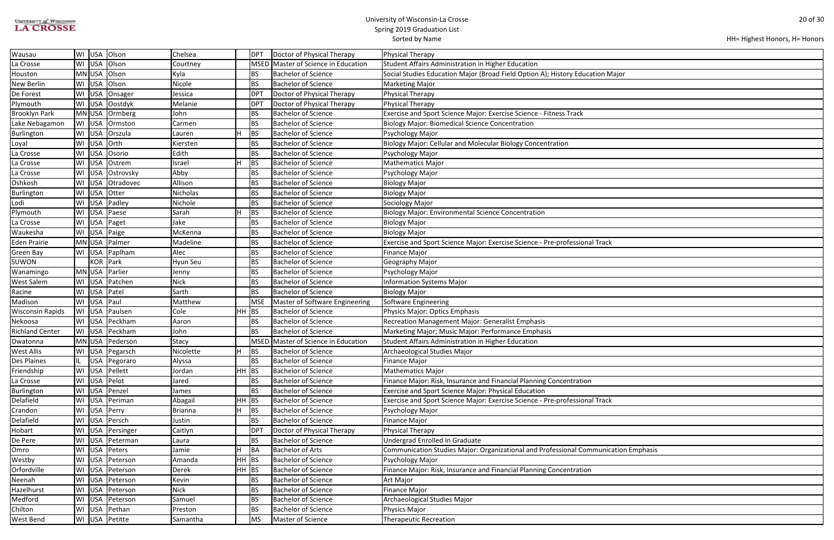| <b>UNIVERSITY of WISCONSIN</b> |  |
|--------------------------------|--|
| <b>LA CROSSE</b>               |  |

| HH= Highest Honors, H= Honors |  |  |  |
|-------------------------------|--|--|--|
|-------------------------------|--|--|--|

| lajor          |
|----------------|
|                |
|                |
|                |
|                |
|                |
|                |
|                |
|                |
|                |
|                |
|                |
|                |
|                |
|                |
|                |
|                |
|                |
|                |
|                |
|                |
|                |
|                |
|                |
|                |
|                |
|                |
|                |
|                |
|                |
|                |
|                |
|                |
|                |
|                |
|                |
|                |
|                |
|                |
|                |
|                |
|                |
|                |
|                |
|                |
|                |
| ation Emphasis |
|                |
|                |
|                |
|                |
|                |
|                |
|                |
|                |

| Wausau                  | WI USA      | Olson               | Chelsea        |         | <b>DPT</b>      | Doctor of Physical Therapy          | Physical Therapy                                                                    |
|-------------------------|-------------|---------------------|----------------|---------|-----------------|-------------------------------------|-------------------------------------------------------------------------------------|
| La Crosse               | WI USA      | Olson               | Courtney       |         | <b>MSED</b>     | Master of Science in Education      | Student Affairs Administration in Higher Education                                  |
| Houston                 | MN USA      | Olson               | Kyla           |         | BS              | <b>Bachelor of Science</b>          | Social Studies Education Major (Broad Field Option A); History Education Major      |
| New Berlin              | WI USA      | Olson               | Nicole         |         | <b>BS</b>       | <b>Bachelor of Science</b>          | <b>Marketing Major</b>                                                              |
| De Forest               | WI USA      | Onsager             | Jessica        |         | DP1             | Doctor of Physical Therapy          | Physical Therapy                                                                    |
| Plymouth                | WI USA      | Oostdyk             | Melanie        |         | DP <sub>1</sub> | Doctor of Physical Therapy          | <b>Physical Therapy</b>                                                             |
| <b>Brooklyn Park</b>    | MN USA      | Ormberg             | John           |         | BS              | <b>Bachelor of Science</b>          | Exercise and Sport Science Major: Exercise Science - Fitness Track                  |
| Lake Nebagamon          | WI USA      | Ormston             | Carmen         |         | <b>BS</b>       | <b>Bachelor of Science</b>          | <b>Biology Major: Biomedical Science Concentration</b>                              |
| Burlington              |             | WI USA Orszula      | Lauren         | н       | BS              | <b>Bachelor of Science</b>          | Psychology Major                                                                    |
| Loyal                   | WI USA Orth |                     | Kiersten       |         | <b>BS</b>       | <b>Bachelor of Science</b>          | <b>Biology Major: Cellular and Molecular Biology Concentration</b>                  |
| La Crosse               | WI USA      | Osorio              | Edith          |         | <b>BS</b>       | <b>Bachelor of Science</b>          | Psychology Major                                                                    |
| La Crosse               | WI USA      | Ostrem              | Israel         |         | BS              | <b>Bachelor of Science</b>          | <b>Mathematics Major</b>                                                            |
| La Crosse               | WI USA      | Ostrovsky           | Abby           |         | <b>BS</b>       | <b>Bachelor of Science</b>          | Psychology Major                                                                    |
| Oshkosh                 | WI USA      | Otradovec           | Allison        |         | <b>BS</b>       | <b>Bachelor of Science</b>          | <b>Biology Major</b>                                                                |
| Burlington              | WI USA      | Otter               | Nicholas       |         | <b>BS</b>       | <b>Bachelor of Science</b>          | <b>Biology Major</b>                                                                |
| Lodi                    | WI USA      | Padley              | Nichole        |         | BS              | <b>Bachelor of Science</b>          | Sociology Major                                                                     |
| Plymouth                |             | WI USA Paese        | Sarah          | н       | BS              | <b>Bachelor of Science</b>          | <b>Biology Major: Environmental Science Concentration</b>                           |
| La Crosse               |             | WI USA   Paget      | Jake           |         | <b>BS</b>       | <b>Bachelor of Science</b>          | <b>Biology Major</b>                                                                |
| Waukesha                |             | WI USA Paige        | McKenna        |         | <b>BS</b>       | <b>Bachelor of Science</b>          | <b>Biology Major</b>                                                                |
| <b>Eden Prairie</b>     |             | MN USA   Palmer     | Madeline       |         | <b>BS</b>       | <b>Bachelor of Science</b>          | Exercise and Sport Science Major: Exercise Science - Pre-professional Track         |
| Green Bay               |             | WI USA Paplham      | Alec           |         | <b>BS</b>       | <b>Bachelor of Science</b>          | <b>Finance Major</b>                                                                |
| <b>SUWON</b>            |             | KOR Park            | Hyun Seu       |         | <b>BS</b>       | <b>Bachelor of Science</b>          | Geography Major                                                                     |
| Wanamingo               | MN USA      | Parlier             | Jenny          |         | <b>BS</b>       | <b>Bachelor of Science</b>          | Psychology Major                                                                    |
| West Salem              |             | WI USA Patchen      | <b>Nick</b>    |         | <b>BS</b>       | <b>Bachelor of Science</b>          | <b>Information Systems Major</b>                                                    |
| Racine                  | WI USA      | Patel               | Sarth          |         | <b>BS</b>       | <b>Bachelor of Science</b>          | <b>Biology Major</b>                                                                |
| Madison                 | WI USA      | Paul                | Matthew        |         | <b>MSE</b>      | Master of Software Engineering      | Software Engineering                                                                |
| <b>Wisconsin Rapids</b> | WI USA      | Paulsen             | Cole           | HH      | BS              | <b>Bachelor of Science</b>          | Physics Major: Optics Emphasis                                                      |
| Nekoosa                 |             | WI   USA   Peckham  | Aaron          |         | <b>BS</b>       | <b>Bachelor of Science</b>          | Recreation Management Major: Generalist Emphasis                                    |
| <b>Richland Center</b>  |             | WI   USA   Peckham  | John           |         | <b>BS</b>       | <b>Bachelor of Science</b>          | Marketing Major; Music Major: Performance Emphasis                                  |
| Owatonna                |             | MN USA Pederson     | <b>Stacy</b>   |         |                 | MSED Master of Science in Education | Student Affairs Administration in Higher Education                                  |
| <b>West Allis</b>       |             | WI USA Pegarsch     | Nicolette      | п.      | <b>BS</b>       | <b>Bachelor of Science</b>          | Archaeological Studies Major                                                        |
| Des Plaines             |             | USA   Pegoraro      | Alyssa         |         | <b>BS</b>       | <b>Bachelor of Science</b>          | <b>Finance Major</b>                                                                |
| Friendship              | WI USA      | Pellett             | Jordan         | $HH$ BS |                 | <b>Bachelor of Science</b>          | <b>Mathematics Major</b>                                                            |
| La Crosse               |             | WI USA Pelot        | Jared          |         | <b>BS</b>       | <b>Bachelor of Science</b>          | Finance Major: Risk, Insurance and Financial Planning Concentration                 |
| Burlington              | WI USA      | Penzel              | James          |         | BS              | <b>Bachelor of Science</b>          | <b>Exercise and Sport Science Major: Physical Education</b>                         |
| Delafield               |             | WI   USA   Periman  | Abagail        | HH.     | BS              | <b>Bachelor of Science</b>          | Exercise and Sport Science Major: Exercise Science - Pre-professional Track         |
| Crandon                 | WI USA      | Perry               | <b>Brianna</b> |         | <b>BS</b>       | <b>Bachelor of Science</b>          | Psychology Major                                                                    |
| Delafield               | WI USA      | Persch              | Justin         |         | BS              | <b>Bachelor of Science</b>          | <b>Finance Major</b>                                                                |
| Hobart                  | WI USA      | Persinger           | Caitlyn        |         | DP <sub>1</sub> | Doctor of Physical Therapy          | <b>Physical Therapy</b>                                                             |
| De Pere                 |             | WI USA Peterman     | Laura          |         | BS              | <b>Bachelor of Science</b>          | Undergrad Enrolled In Graduate                                                      |
| Omro                    |             | WI USA Peters       | Jamie          | H       | BA              | <b>Bachelor of Arts</b>             | Communication Studies Major: Organizational and Professional Communication Emphasis |
| Westby                  | WI USA      | Peterson            | Amanda         | HH      | BS              | <b>Bachelor of Science</b>          | Psychology Major                                                                    |
| Orfordville             |             | WI USA Peterson     | Derek          | $HH$ BS |                 | <b>Bachelor of Science</b>          | Finance Major: Risk, Insurance and Financial Planning Concentration                 |
| Neenah                  |             | WI   USA   Peterson | Kevin          |         | <b>BS</b>       | <b>Bachelor of Science</b>          | Art Major                                                                           |
| Hazelhurst              | WI USA      | Peterson            | <b>Nick</b>    |         | <b>BS</b>       | <b>Bachelor of Science</b>          | <b>Finance Major</b>                                                                |
| Medford                 | WI USA      | Peterson            | Samuel         |         | <b>BS</b>       | <b>Bachelor of Science</b>          | Archaeological Studies Major                                                        |
| Chilton                 |             | WI USA Pethan       | Preston        |         | BS              | <b>Bachelor of Science</b>          | Physics Major                                                                       |
| West Bend               |             | WI USA Petitte      | Samantha       |         | <b>MS</b>       | Master of Science                   | <b>Therapeutic Recreation</b>                                                       |
|                         |             |                     |                |         |                 |                                     |                                                                                     |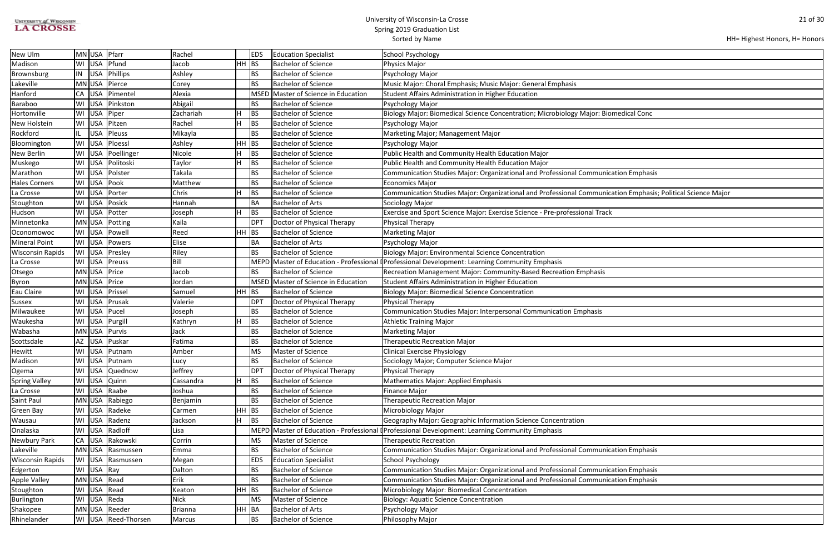| <b>UNIVERSITY of WISCONSIN</b> |
|--------------------------------|
| <b>LA CROSSE</b>               |

| HH= Highest Honors, H= Honors |  |  |  |
|-------------------------------|--|--|--|
|-------------------------------|--|--|--|

| medical Conc                            |
|-----------------------------------------|
|                                         |
|                                         |
|                                         |
|                                         |
|                                         |
| ation Emphasis                          |
| ation Emphasis; Political Science Major |
|                                         |
|                                         |
|                                         |
|                                         |
|                                         |
|                                         |
|                                         |
|                                         |
|                                         |
|                                         |
|                                         |
|                                         |
|                                         |
|                                         |
|                                         |
|                                         |
|                                         |
|                                         |
|                                         |
|                                         |
|                                         |
|                                         |
|                                         |
|                                         |
|                                         |
| ation Emphasis                          |
|                                         |
| ation Emphasis                          |
| ation Emphasis                          |
|                                         |
|                                         |
|                                         |
|                                         |

| New Ulm                 | MN USA Pfarr        | Rachel       | <b>EDS</b>      | <b>Education Specialist</b>         | <b>School Psychology</b>                                                                                     |
|-------------------------|---------------------|--------------|-----------------|-------------------------------------|--------------------------------------------------------------------------------------------------------------|
| Madison                 | WI USA Pfund        | HH<br>Jacob  | <b>BS</b>       | <b>Bachelor of Science</b>          | Physics Major                                                                                                |
| Brownsburg              | IN   USA   Phillips | Ashley       | BS              | <b>Bachelor of Science</b>          | Psychology Major                                                                                             |
| Lakeville               | MN USA Pierce       | Corey        | <b>BS</b>       | <b>Bachelor of Science</b>          | Music Major: Choral Emphasis; Music Major: General Emphasis                                                  |
| Hanford                 | CA   USA   Pimentel | Alexia       | <b>MSED</b>     | Master of Science in Education      | <b>Student Affairs Administration in Higher Education</b>                                                    |
| Baraboo                 | WI USA Pinkston     | Abigail      | <b>BS</b>       | <b>Bachelor of Science</b>          | Psychology Major                                                                                             |
| Hortonville             | WI USA Piper        | Zachariah    | BS              | <b>Bachelor of Science</b>          | Biology Major: Biomedical Science Concentration; Microbiology Major: Biomedical Conc                         |
| New Holstein            | WI USA Pitzen       | Rachel       | BS              | <b>Bachelor of Science</b>          | Psychology Major                                                                                             |
| Rockford                | USA   Pleuss        | Mikayla      | <b>BS</b>       | <b>Bachelor of Science</b>          | Marketing Major; Management Major                                                                            |
| Bloomington             | WI USA Ploessl      | Ashley<br>HH | BS              | <b>Bachelor of Science</b>          | Psychology Major                                                                                             |
| New Berlin              | WI USA Poellinger   | Nicole       | BS              | <b>Bachelor of Science</b>          | Public Health and Community Health Education Major                                                           |
| Muskego                 | WI USA Politoski    | Taylor       | BS              | <b>Bachelor of Science</b>          | Public Health and Community Health Education Major                                                           |
| Marathon                | WI USA Polster      | Takala       | <b>BS</b>       | <b>Bachelor of Science</b>          | Communication Studies Major: Organizational and Professional Communication Emphasis                          |
| <b>Hales Corners</b>    | WI USA Pook         | Matthew      | <b>BS</b>       | <b>Bachelor of Science</b>          | <b>Economics Major</b>                                                                                       |
| La Crosse               | WI USA Porter       | Chris        | BS              | <b>Bachelor of Science</b>          | Communication Studies Major: Organizational and Professional Communication Emphasis; Political Science Major |
| Stoughton               | WI USA Posick       | Hannah       | <b>BA</b>       | <b>Bachelor of Arts</b>             | Sociology Major                                                                                              |
| Hudson                  | WI USA Potter       | Joseph       | BS              | <b>Bachelor of Science</b>          | Exercise and Sport Science Major: Exercise Science - Pre-professional Track                                  |
| Minnetonka              | MN USA Potting      | Kaila        | <b>DPT</b>      | Doctor of Physical Therapy          | Physical Therapy                                                                                             |
| Oconomowoc              | WI USA Powell       | Reed         | $HH$ BS         | <b>Bachelor of Science</b>          | <b>Marketing Major</b>                                                                                       |
| <b>Mineral Point</b>    | WI USA Powers       | Elise        | BA              | <b>Bachelor of Arts</b>             | Psychology Major                                                                                             |
| <b>Wisconsin Rapids</b> | WI USA Presley      | Riley        | BS              | <b>Bachelor of Science</b>          | <b>Biology Major: Environmental Science Concentration</b>                                                    |
| La Crosse               | WI USA Preuss       | Bill         | MEPD            |                                     | Master of Education - Professional [Professional Development: Learning Community Emphasis                    |
| Otsego                  | MN USA Price        | Jacob        | BS              | <b>Bachelor of Science</b>          | Recreation Management Major: Community-Based Recreation Emphasis                                             |
| Byron                   | MN USA Price        | Jordan       |                 | MSED Master of Science in Education | Student Affairs Administration in Higher Education                                                           |
| Eau Claire              | WI USA Prissel      | Samuel       | $HH$ BS         | <b>Bachelor of Science</b>          | <b>Biology Major: Biomedical Science Concentration</b>                                                       |
| Sussex                  | WI USA Prusak       | Valerie      | DP <sub>1</sub> | Doctor of Physical Therapy          | Physical Therapy                                                                                             |
| Milwaukee               | WI USA Pucel        | Joseph       | BS              | <b>Bachelor of Science</b>          | Communication Studies Major: Interpersonal Communication Emphasis                                            |
| Waukesha                | WI   USA   Purgill  | Kathryn      | BS              | <b>Bachelor of Science</b>          | <b>Athletic Training Major</b>                                                                               |
| Wabasha                 | MN USA Purvis       | Jack         | <b>BS</b>       | <b>Bachelor of Science</b>          | <b>Marketing Major</b>                                                                                       |
| Scottsdale              | AZ USA Puskar       | Fatima       | <b>BS</b>       | <b>Bachelor of Science</b>          | Therapeutic Recreation Major                                                                                 |
| Hewitt                  | WI USA Putnam       | Amber        | MS              | Master of Science                   | <b>Clinical Exercise Physiology</b>                                                                          |
| Madison                 | WI   USA   Putnam   | Lucy         | <b>BS</b>       | <b>Bachelor of Science</b>          | Sociology Major; Computer Science Major                                                                      |
| Ogema                   | WI USA Quednow      | Jeffrey      | <b>DPT</b>      | Doctor of Physical Therapy          | Physical Therapy                                                                                             |
| <b>Spring Valley</b>    | WI USA Quinn        | Cassandra    | BS              | <b>Bachelor of Science</b>          | Mathematics Major: Applied Emphasis                                                                          |
| La Crosse               | WI USA Raabe        | Joshua       | <b>BS</b>       | <b>Bachelor of Science</b>          | <b>Finance Major</b>                                                                                         |
| Saint Paul              | MN USA Rabiego      | Benjamin     | <b>BS</b>       | <b>Bachelor of Science</b>          | <b>Therapeutic Recreation Major</b>                                                                          |
| Green Bay               | WI USA Radeke       | ΗН<br>Carmen | BS              | <b>Bachelor of Science</b>          | Microbiology Major                                                                                           |
| Wausau                  | WI USA Radenz       | Jackson      | <b>BS</b>       | <b>Bachelor of Science</b>          | Geography Major: Geographic Information Science Concentration                                                |
| Onalaska                | WI USA Radloff      | Lisa         | <b>MEPD</b>     | Master of Education - Professional  | Professional Development: Learning Community Emphasis                                                        |
| Newbury Park            | CA USA Rakowski     | Corrin       | <b>MS</b>       | Master of Science                   | <b>Therapeutic Recreation</b>                                                                                |
| Lakeville               | MN USA Rasmussen    | Emma         | <b>BS</b>       | <b>Bachelor of Science</b>          | Communication Studies Major: Organizational and Professional Communication Emphasis                          |
| <b>Wisconsin Rapids</b> | WI USA Rasmussen    | Megan        | <b>EDS</b>      | <b>Education Specialist</b>         | <b>School Psychology</b>                                                                                     |
| Edgerton                | WI USA Ray          | Dalton       | <b>BS</b>       | <b>Bachelor of Science</b>          | Communication Studies Major: Organizational and Professional Communication Emphasis                          |
| Apple Valley            | MN USA Read         | Erik         | BS              | <b>Bachelor of Science</b>          | Communication Studies Major: Organizational and Professional Communication Emphasis                          |
| Stoughton               | WI USA Read         | Keaton       | $HH$ BS         | <b>Bachelor of Science</b>          | Microbiology Major: Biomedical Concentration                                                                 |
| <b>Burlington</b>       | WI USA Reda         | <b>Nick</b>  | <b>MS</b>       | Master of Science                   | <b>Biology: Aquatic Science Concentration</b>                                                                |
| Shakopee                | MN USA Reeder       | Brianna      | HH  BA          | <b>Bachelor of Arts</b>             | Psychology Major                                                                                             |
| Rhinelander             | WI USA Reed-Thorsen | Marcus       | BS              | <b>Bachelor of Science</b>          | Philosophy Major                                                                                             |
|                         |                     |              |                 |                                     |                                                                                                              |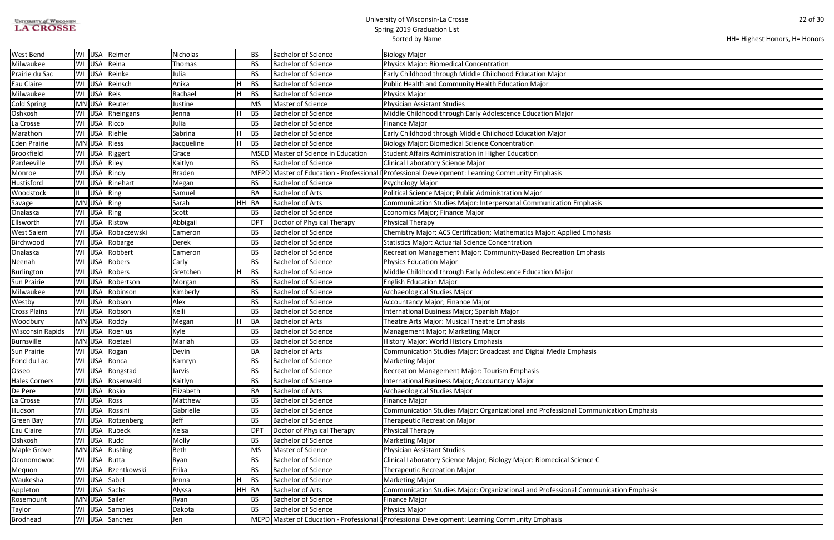| UNIVERSITY of WISCONSIN |  |
|-------------------------|--|
| <b>LA CROSSE</b>        |  |

| HH= Highest Honors, H= Honors |  |
|-------------------------------|--|
|-------------------------------|--|

| ation Emphasis |  |
|----------------|--|
|                |  |
|                |  |
|                |  |
|                |  |
|                |  |
|                |  |
|                |  |
| ation Emphasis |  |
|                |  |
|                |  |
|                |  |

| West Bend               | WI USA       |          | Reimer             | Nicholas      |           | <b>BS</b>       | <b>Bachelor of Science</b>          | Biology Major                                                                                   |
|-------------------------|--------------|----------|--------------------|---------------|-----------|-----------------|-------------------------------------|-------------------------------------------------------------------------------------------------|
| Milwaukee               |              |          | WI USA Reina       | Thomas        |           | <b>BS</b>       | <b>Bachelor of Science</b>          | Physics Major: Biomedical Concentration                                                         |
| Prairie du Sac          |              |          | WI USA Reinke      | Julia         |           | <b>BS</b>       | <b>Bachelor of Science</b>          | Early Childhood through Middle Childhood Education Major                                        |
| Eau Claire              | WI USA       |          | Reinsch            | Anika         |           | <b>BS</b>       | <b>Bachelor of Science</b>          | Public Health and Community Health Education Major                                              |
| Milwaukee               | WI USA       |          | Reis               | Rachael       | н         | <b>BS</b>       | <b>Bachelor of Science</b>          | Physics Major                                                                                   |
| <b>Cold Spring</b>      | MN USA       |          | Reuter             | Justine       |           | <b>MS</b>       | Master of Science                   | <b>Physician Assistant Studies</b>                                                              |
| Oshkosh                 | WI USA       |          | Rheingans          | Jenna         | н         | BS              | <b>Bachelor of Science</b>          | Middle Childhood through Early Adolescence Education Major                                      |
| La Crosse               | WI USA       |          | Ricco              | Julia         |           | <b>BS</b>       | <b>Bachelor of Science</b>          | <b>Finance Major</b>                                                                            |
| Marathon                |              |          | WI USA Riehle      | Sabrina       | н         | <b>BS</b>       | <b>Bachelor of Science</b>          | Early Childhood through Middle Childhood Education Major                                        |
| <b>Eden Prairie</b>     | MN USA Riess |          |                    | Jacqueline    | H         | <b>BS</b>       | <b>Bachelor of Science</b>          | <b>Biology Major: Biomedical Science Concentration</b>                                          |
| <b>Brookfield</b>       | WI USA       |          | Riggert            | Grace         |           |                 | MSED Master of Science in Education | Student Affairs Administration in Higher Education                                              |
| Pardeeville             |              |          | WI USA Riley       | Kaitlyn       |           | BS              | <b>Bachelor of Science</b>          | Clinical Laboratory Science Major                                                               |
| Monroe                  | WI USA       |          | Rindy              | <b>Braden</b> |           |                 |                                     | MEPD Master of Education - Professional (Professional Development: Learning Community Emphasis  |
| Hustisford              | WI USA       |          | Rinehart           | Megan         |           | BS              | <b>Bachelor of Science</b>          | Psychology Major                                                                                |
| Woodstock               |              | USA Ring |                    | Samuel        |           | BA              | <b>Bachelor of Arts</b>             | Political Science Major; Public Administration Major                                            |
| Savage                  | MN USA Ring  |          |                    | Sarah         | <b>HH</b> | BA              | <b>Bachelor of Arts</b>             | Communication Studies Major: Interpersonal Communication Emphasis                               |
| Onalaska                | WI USA Ring  |          |                    | Scott         |           | <b>BS</b>       | <b>Bachelor of Science</b>          | Economics Major; Finance Major                                                                  |
| Ellsworth               |              |          | WI USA Ristow      | Abbigail      |           | DP <sub>1</sub> | Doctor of Physical Therapy          | <b>Physical Therapy</b>                                                                         |
| West Salem              |              |          | WI USA Robaczewski | Cameron       |           | <b>BS</b>       | <b>Bachelor of Science</b>          | Chemistry Major: ACS Certification; Mathematics Major: Applied Emphasis                         |
| Birchwood               |              |          | WI   USA   Robarge | Derek         |           | <b>BS</b>       | <b>Bachelor of Science</b>          | <b>Statistics Major: Actuarial Science Concentration</b>                                        |
| Onalaska                |              |          | WI USA Robbert     | Cameron       |           | <b>BS</b>       | <b>Bachelor of Science</b>          | Recreation Management Major: Community-Based Recreation Emphasis                                |
| Neenah                  |              |          | WI USA Robers      | Carly         |           | <b>BS</b>       | <b>Bachelor of Science</b>          | <b>Physics Education Major</b>                                                                  |
| Burlington              |              |          | WI USA Robers      | Gretchen      |           | <b>BS</b>       | <b>Bachelor of Science</b>          | Middle Childhood through Early Adolescence Education Major                                      |
| Sun Prairie             |              |          | WI USA Robertson   | Morgan        |           | <b>BS</b>       | <b>Bachelor of Science</b>          | <b>English Education Major</b>                                                                  |
| Milwaukee               | WI USA       |          | Robinson           | Kimberly      |           | <b>BS</b>       | <b>Bachelor of Science</b>          | Archaeological Studies Major                                                                    |
| Westby                  | WI USA       |          | Robson             | Alex          |           | <b>BS</b>       | <b>Bachelor of Science</b>          | Accountancy Major; Finance Major                                                                |
| <b>Cross Plains</b>     | WI USA       |          | Robson             | Kelli         |           | <b>BS</b>       | <b>Bachelor of Science</b>          | International Business Major; Spanish Major                                                     |
| Woodbury                |              |          | MN USA Roddy       | Megan         |           | BA              | <b>Bachelor of Arts</b>             | Theatre Arts Major: Musical Theatre Emphasis                                                    |
| <b>Wisconsin Rapids</b> |              |          | WI USA Roenius     | Kyle          |           | <b>BS</b>       | <b>Bachelor of Science</b>          | Management Major; Marketing Major                                                               |
| <b>Burnsville</b>       |              |          | MN USA   Roetzel   | Mariah        |           | <b>BS</b>       | <b>Bachelor of Science</b>          | History Major: World History Emphasis                                                           |
| Sun Prairie             |              |          | WI USA Rogan       | Devin         |           | <b>BA</b>       | <b>Bachelor of Arts</b>             | Communication Studies Major: Broadcast and Digital Media Emphasis                               |
| Fond du Lac             |              |          | WI USA Ronca       | Kamryn        |           | BS              | <b>Bachelor of Science</b>          | <b>Marketing Major</b>                                                                          |
| Osseo                   |              |          | WI USA Rongstad    | Jarvis        |           | BS              | <b>Bachelor of Science</b>          | <b>Recreation Management Major: Tourism Emphasis</b>                                            |
| <b>Hales Corners</b>    |              |          | WI USA Rosenwald   | Kaitlyn       |           | <b>BS</b>       | <b>Bachelor of Science</b>          | International Business Major; Accountancy Major                                                 |
| De Pere                 |              |          | WI USA Rosio       | Elizabeth     |           | BA              | <b>Bachelor of Arts</b>             | Archaeological Studies Major                                                                    |
| La Crosse               | WI USA Ross  |          |                    | Matthew       |           | <b>BS</b>       | <b>Bachelor of Science</b>          | <b>Finance Major</b>                                                                            |
| Hudson                  | WI USA       |          | Rossini            | Gabrielle     |           | <b>BS</b>       | <b>Bachelor of Science</b>          | Communication Studies Major: Organizational and Professional Communication Emphasis             |
| Green Bay               |              |          | WI USA Rotzenberg  | Jeff          |           | <b>BS</b>       | <b>Bachelor of Science</b>          | <b>Therapeutic Recreation Major</b>                                                             |
| Eau Claire              | WI USA       |          | Rubeck             | Kelsa         |           | <b>DPT</b>      | Doctor of Physical Therapy          | <b>Physical Therapy</b>                                                                         |
| Oshkosh                 |              |          | WI USA Rudd        | Molly         |           | BS              | <b>Bachelor of Science</b>          | <b>Marketing Major</b>                                                                          |
| Maple Grove             |              |          | MN USA Rushing     | Beth          |           | <b>MS</b>       | Master of Science                   | Physician Assistant Studies                                                                     |
| Oconomowoc              |              |          | WI USA Rutta       | Ryan          |           | BS              | <b>Bachelor of Science</b>          | Clinical Laboratory Science Major; Biology Major: Biomedical Science C                          |
| Mequon                  |              |          | WI USA Rzentkowski | Erika         |           | BS              | <b>Bachelor of Science</b>          | <b>Therapeutic Recreation Major</b>                                                             |
| Waukesha                |              |          | WI USA Sabel       | Jenna         |           | BS              | <b>Bachelor of Science</b>          | <b>Marketing Major</b>                                                                          |
| Appleton                |              |          | WI USA Sachs       | Alyssa        | HH.       | BA              | <b>Bachelor of Arts</b>             | Communication Studies Major: Organizational and Professional Communication Emphasis             |
| Rosemount               |              |          | MN USA Sailer      | Ryan          |           | <b>BS</b>       | <b>Bachelor of Science</b>          | <b>Finance Major</b>                                                                            |
| Taylor                  |              |          | WI   USA   Samples | Dakota        |           | BS              | <b>Bachelor of Science</b>          | Physics Major                                                                                   |
| <b>Brodhead</b>         |              |          | WI USA Sanchez     | Jen           |           |                 |                                     | MEPD Master of Education - Professional I Professional Development: Learning Community Emphasis |
|                         |              |          |                    |               |           |                 |                                     |                                                                                                 |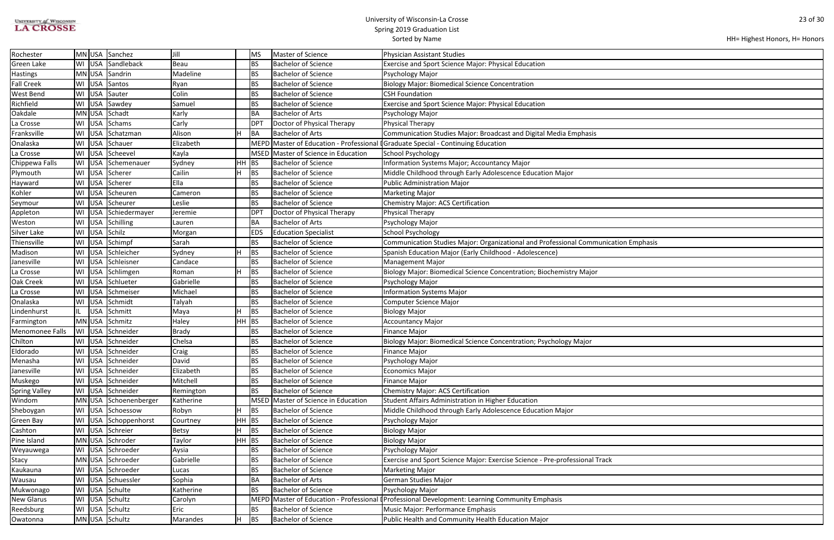| <b>UNIVERSITY of WISCONSIN</b> |  |
|--------------------------------|--|
| <b>LA CROSSE</b>               |  |

| HH= Highest Honors, H= Honors |  |
|-------------------------------|--|
|-------------------------------|--|

| ation Emphasis |  |
|----------------|--|
|                |  |
|                |  |
|                |  |
|                |  |
|                |  |
|                |  |
|                |  |
|                |  |
|                |  |
|                |  |
|                |  |
|                |  |
|                |  |
|                |  |
|                |  |
|                |  |
|                |  |
|                |  |
|                |  |
|                |  |
|                |  |
|                |  |
|                |  |
|                |  |
|                |  |
|                |  |
|                |  |
|                |  |
|                |  |
|                |  |
|                |  |

| Rochester            |    |        | MN USA Sanchez         | Jill         |           | MS              | Master of Science              | Physician Assistant Studies                                                                    |
|----------------------|----|--------|------------------------|--------------|-----------|-----------------|--------------------------------|------------------------------------------------------------------------------------------------|
| Green Lake           |    |        | WI USA Sandleback      | Beau         |           | <b>BS</b>       | <b>Bachelor of Science</b>     | Exercise and Sport Science Major: Physical Education                                           |
| <b>Hastings</b>      |    |        | MN USA Sandrin         | Madeline     |           | BS              | <b>Bachelor of Science</b>     | Psychology Major                                                                               |
| <b>Fall Creek</b>    |    |        | WI USA Santos          | Ryan         |           | BS              | <b>Bachelor of Science</b>     | <b>Biology Major: Biomedical Science Concentration</b>                                         |
| West Bend            |    | WI USA | Sauter                 | Colin        |           | <b>BS</b>       | <b>Bachelor of Science</b>     | <b>CSH Foundation</b>                                                                          |
| Richfield            |    |        | WI USA Sawdey          | Samuel       |           | <b>BS</b>       | <b>Bachelor of Science</b>     | Exercise and Sport Science Major: Physical Education                                           |
| Oakdale              |    | MN USA | Schadt                 | Karly        |           | BA              | <b>Bachelor of Arts</b>        | Psychology Major                                                                               |
| La Crosse            |    | WI USA | Schams                 | Carly        |           | DP <sub>1</sub> | Doctor of Physical Therapy     | Physical Therapy                                                                               |
| Franksville          |    |        | WI USA Schatzman       | Alison       |           | BA              | <b>Bachelor of Arts</b>        | Communication Studies Major: Broadcast and Digital Media Emphasis                              |
| Onalaska             |    |        | WI USA Schauer         | Elizabeth    |           |                 |                                | MEPD Master of Education - Professional I Graduate Special - Continuing Education              |
| La Crosse            |    | WI USA | Scheevel               | Kayla        |           | MSED            | Master of Science in Education | School Psychology                                                                              |
| Chippewa Falls       |    |        | WI   USA   Schemenauer | Sydney       | HН        | <b>BS</b>       | <b>Bachelor of Science</b>     | Information Systems Major; Accountancy Major                                                   |
| Plymouth             |    | WI USA | Scherer                | Cailin       |           | <b>BS</b>       | <b>Bachelor of Science</b>     | Middle Childhood through Early Adolescence Education Major                                     |
| Hayward              |    |        | WI USA Scherer         | Ella         |           | <b>BS</b>       | <b>Bachelor of Science</b>     | <b>Public Administration Major</b>                                                             |
| Kohler               | WI |        | USA Scheuren           | Cameron      |           | <b>BS</b>       | <b>Bachelor of Science</b>     | <b>Marketing Major</b>                                                                         |
| Seymour              |    |        | WI USA Scheurer        | Leslie       |           | <b>BS</b>       | <b>Bachelor of Science</b>     | <b>Chemistry Major: ACS Certification</b>                                                      |
| Appleton             |    |        | WI USA Schiedermayer   | Jeremie      |           | DP <sub>1</sub> | Doctor of Physical Therapy     | Physical Therapy                                                                               |
| Weston               | WI | USA    | Schilling              | Lauren       |           | ВA              | <b>Bachelor of Arts</b>        | Psychology Major                                                                               |
| Silver Lake          |    |        | WI USA Schilz          | Morgan       |           | <b>EDS</b>      | <b>Education Specialist</b>    | <b>School Psychology</b>                                                                       |
| Thiensville          |    |        | WI USA Schimpf         | Sarah        |           | BS              | <b>Bachelor of Science</b>     | Communication Studies Major: Organizational and Professional Communication Emphasis            |
| Madison              | WI |        | USA Schleicher         | Sydney       |           | <b>BS</b>       | <b>Bachelor of Science</b>     | Spanish Education Major (Early Childhood - Adolescence)                                        |
| Janesville           |    |        | WI USA Schleisner      | Candace      |           | <b>BS</b>       | <b>Bachelor of Science</b>     | <b>Management Major</b>                                                                        |
| La Crosse            | WI |        | USA Schlimgen          | Roman        |           | <b>BS</b>       | <b>Bachelor of Science</b>     | Biology Major: Biomedical Science Concentration; Biochemistry Major                            |
| Oak Creek            | WI |        | USA Schlueter          | Gabrielle    |           | <b>BS</b>       | <b>Bachelor of Science</b>     | Psychology Major                                                                               |
| La Crosse            |    | WI USA | Schmeiser              | Michael      |           | <b>BS</b>       | <b>Bachelor of Science</b>     | <b>Information Systems Major</b>                                                               |
| Onalaska             | WI |        | USA Schmidt            | Talyah       |           | <b>BS</b>       | <b>Bachelor of Science</b>     | <b>Computer Science Major</b>                                                                  |
| Lindenhurst          |    |        | USA Schmitt            | Maya         |           | <b>BS</b>       | <b>Bachelor of Science</b>     | <b>Biology Major</b>                                                                           |
| Farmington           |    |        | MN USA Schmitz         | Haley        | <b>HH</b> | BS              | <b>Bachelor of Science</b>     | <b>Accountancy Major</b>                                                                       |
| Menomonee Falls      |    |        | WI USA Schneider       | <b>Brady</b> |           | BS              | <b>Bachelor of Science</b>     | <b>Finance Major</b>                                                                           |
| Chilton              |    |        | WI USA Schneider       | Chelsa       |           | <b>BS</b>       | <b>Bachelor of Science</b>     | Biology Major: Biomedical Science Concentration; Psychology Major                              |
| Eldorado             |    |        | WI USA Schneider       | Craig        |           | <b>BS</b>       | <b>Bachelor of Science</b>     | Finance Major                                                                                  |
| Menasha              |    |        | WI USA Schneider       | David        |           | BS              | <b>Bachelor of Science</b>     | Psychology Major                                                                               |
| Janesville           |    |        | WI USA Schneider       | Elizabeth    |           | <b>BS</b>       | <b>Bachelor of Science</b>     | <b>Economics Major</b>                                                                         |
| Muskego              |    |        | WI USA Schneider       | Mitchell     |           | <b>BS</b>       | <b>Bachelor of Science</b>     | <b>Finance Major</b>                                                                           |
| <b>Spring Valley</b> |    |        | WI USA Schneider       | Remington    |           | BS              | <b>Bachelor of Science</b>     | <b>Chemistry Major: ACS Certification</b>                                                      |
| Windom               |    |        | MN USA Schoenenberger  | Katherine    |           | <b>MSED</b>     | Master of Science in Education | Student Affairs Administration in Higher Education                                             |
| Sheboygan            |    |        | WI USA Schoessow       | Robyn        | Н         | <b>BS</b>       | <b>Bachelor of Science</b>     | Middle Childhood through Early Adolescence Education Major                                     |
| Green Bay            |    |        | WI USA Schoppenhorst   | Courtney     | HН        | BS              | <b>Bachelor of Science</b>     | Psychology Major                                                                               |
| Cashton              |    |        | WI USA Schreier        | <b>Betsy</b> |           | BS              | <b>Bachelor of Science</b>     | <b>Biology Major</b>                                                                           |
| Pine Island          |    |        | MN USA Schroder        | Taylor       | <b>HH</b> | <b>BS</b>       | <b>Bachelor of Science</b>     | <b>Biology Major</b>                                                                           |
| Weyauwega            |    |        | WI USA Schroeder       | Aysia        |           | <b>BS</b>       | <b>Bachelor of Science</b>     | Psychology Major                                                                               |
| Stacy                |    |        | MN USA Schroeder       | Gabrielle    |           | <b>BS</b>       | <b>Bachelor of Science</b>     | Exercise and Sport Science Major: Exercise Science - Pre-professional Track                    |
| Kaukauna             |    |        | WI USA Schroeder       | Lucas        |           | <b>BS</b>       | <b>Bachelor of Science</b>     | <b>Marketing Major</b>                                                                         |
| Wausau               |    |        | WI USA Schuessler      | Sophia       |           | BA              | <b>Bachelor of Arts</b>        | German Studies Major                                                                           |
| Mukwonago            |    |        | WI USA Schulte         | Katherine    |           | <b>BS</b>       | <b>Bachelor of Science</b>     | Psychology Major                                                                               |
| <b>New Glarus</b>    |    |        | WI USA Schultz         | Carolyn      |           |                 |                                | MEPD Master of Education - Professional (Professional Development: Learning Community Emphasis |
| Reedsburg            |    |        | WI USA Schultz         | Eric         |           | BS              | <b>Bachelor of Science</b>     | Music Major: Performance Emphasis                                                              |
| Owatonna             |    |        | MN USA Schultz         | Marandes     | Η         | <b>BS</b>       | <b>Bachelor of Science</b>     | Public Health and Community Health Education Major                                             |
|                      |    |        |                        |              |           |                 |                                |                                                                                                |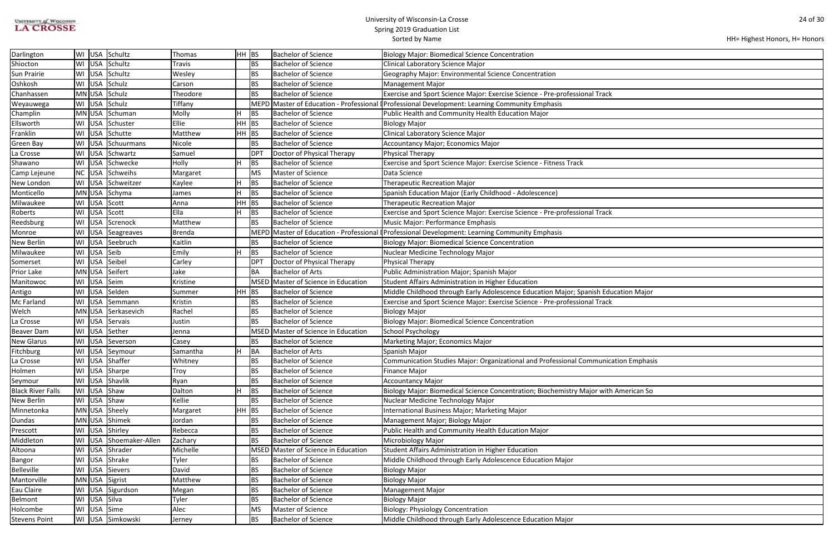| <b>UNIVERSITY OF WISCONSIN</b> |
|--------------------------------|
| <b>LA CROSSE</b>               |

| HH= Highest Honors, H= Honors |  |  |
|-------------------------------|--|--|
|-------------------------------|--|--|

| <b>Ication Major</b> |  |
|----------------------|--|
|                      |  |
|                      |  |
|                      |  |
|                      |  |
|                      |  |
|                      |  |
|                      |  |
|                      |  |
|                      |  |
|                      |  |
| ation Emphasis       |  |
|                      |  |
|                      |  |
|                      |  |
| American So          |  |
|                      |  |
|                      |  |
|                      |  |
|                      |  |
|                      |  |
|                      |  |
|                      |  |
|                      |  |
|                      |  |
|                      |  |
|                      |  |
|                      |  |
|                      |  |
|                      |  |
|                      |  |
|                      |  |

| Darlington               | WI USA Schultz     |                        | Thomas        | $HH$ BS   |                 | <b>Bachelor of Science</b>          | <b>Biology Major: Biomedical Science Concentration</b>                                         |
|--------------------------|--------------------|------------------------|---------------|-----------|-----------------|-------------------------------------|------------------------------------------------------------------------------------------------|
| Shiocton                 | WI USA Schultz     |                        | Travis        |           | <b>BS</b>       | <b>Bachelor of Science</b>          | Clinical Laboratory Science Major                                                              |
| Sun Prairie              | WI   USA   Schultz |                        | Wesley        |           | <b>BS</b>       | <b>Bachelor of Science</b>          | Geography Major: Environmental Science Concentration                                           |
| Oshkosh                  | WI USA Schulz      |                        | Carson        |           | <b>BS</b>       | <b>Bachelor of Science</b>          | <b>Management Major</b>                                                                        |
| Chanhassen               | MN USA Schulz      |                        | Theodore      |           | <b>BS</b>       | <b>Bachelor of Science</b>          | Exercise and Sport Science Major: Exercise Science - Pre-professional Track                    |
| Weyauwega                | WI USA Schulz      |                        | Tiffany       |           |                 |                                     | MEPD Master of Education - Professional (Professional Development: Learning Community Emphasis |
| Champlin                 |                    | MN USA Schuman         | Molly         |           | <b>BS</b>       | <b>Bachelor of Science</b>          | Public Health and Community Health Education Major                                             |
| Ellsworth                |                    | WI USA Schuster        | Ellie         | <b>HH</b> | BS              | <b>Bachelor of Science</b>          | <b>Biology Major</b>                                                                           |
| Franklin                 | WI USA Schutte     |                        | Matthew       | HH        | BS              | <b>Bachelor of Science</b>          | Clinical Laboratory Science Major                                                              |
| Green Bay                |                    | WI   USA   Schuurmans  | Nicole        |           | <b>BS</b>       | <b>Bachelor of Science</b>          | <b>Accountancy Major; Economics Major</b>                                                      |
| La Crosse                |                    | WI USA Schwartz        | Samuel        |           | DP <sub>1</sub> | Doctor of Physical Therapy          | Physical Therapy                                                                               |
| Shawano                  |                    | WI USA Schwecke        | Holly         |           | <b>BS</b>       | <b>Bachelor of Science</b>          | Exercise and Sport Science Major: Exercise Science - Fitness Track                             |
| Camp Lejeune             |                    | NC   USA   Schweihs    | Margaret      |           | <b>MS</b>       | Master of Science                   | Data Science                                                                                   |
| New London               |                    | WI USA Schweitzer      | Kaylee        |           | <b>BS</b>       | <b>Bachelor of Science</b>          | <b>Therapeutic Recreation Major</b>                                                            |
| Monticello               | MN USA Schyma      |                        | James         | н         | <b>BS</b>       | <b>Bachelor of Science</b>          | Spanish Education Major (Early Childhood - Adolescence)                                        |
| Milwaukee                | WI USA Scott       |                        | Anna          | HН        | <b>BS</b>       | <b>Bachelor of Science</b>          | <b>Therapeutic Recreation Major</b>                                                            |
| Roberts                  | WI USA Scott       |                        | Ella          |           | <b>BS</b>       | Bachelor of Science                 | Exercise and Sport Science Major: Exercise Science - Pre-professional Track                    |
| Reedsburg                |                    | WI USA Screnock        | Matthew       |           | <b>BS</b>       | Bachelor of Science                 | Music Major: Performance Emphasis                                                              |
| Monroe                   |                    | WI   USA   Seagreaves  | <b>Brenda</b> |           |                 |                                     | MEPD Master of Education - Professional (Professional Development: Learning Community Emphasis |
| New Berlin               |                    | WI USA Seebruch        | Kaitlin       |           | <b>BS</b>       | <b>Bachelor of Science</b>          | <b>Biology Major: Biomedical Science Concentration</b>                                         |
| Milwaukee                | WI USA Seib        |                        | Emily         |           | <b>BS</b>       | <b>Bachelor of Science</b>          | Nuclear Medicine Technology Major                                                              |
| Somerset                 | WI USA Seibel      |                        | Carley        |           | DP <sub>1</sub> | Doctor of Physical Therapy          | Physical Therapy                                                                               |
| Prior Lake               | MN USA Seifert     |                        | Jake          |           | BA              | <b>Bachelor of Arts</b>             | Public Administration Major; Spanish Major                                                     |
| Manitowoc                | WI USA Seim        |                        | Kristine      |           | <b>MSED</b>     | Master of Science in Education      | Student Affairs Administration in Higher Education                                             |
| Antigo                   | WI USA Selden      |                        | Summer        | HH        | BS              | <b>Bachelor of Science</b>          | Middle Childhood through Early Adolescence Education Major; Spanish Education Major            |
| Mc Farland               |                    | WI USA Semmann         | Kristin       |           | BS              | Bachelor of Science                 | Exercise and Sport Science Major: Exercise Science - Pre-professional Track                    |
| Welch                    |                    | MN USA Serkasevich     | Rachel        |           | <b>BS</b>       | <b>Bachelor of Science</b>          | <b>Biology Major</b>                                                                           |
| La Crosse                | WI USA Servais     |                        | Justin        |           | <b>BS</b>       | <b>Bachelor of Science</b>          | <b>Biology Major: Biomedical Science Concentration</b>                                         |
| <b>Beaver Dam</b>        | WI USA Sether      |                        | Jenna         |           |                 | MSED Master of Science in Education | School Psychology                                                                              |
| <b>New Glarus</b>        |                    | WI USA Severson        | Casey         |           | <b>BS</b>       | <b>Bachelor of Science</b>          | Marketing Major; Economics Major                                                               |
| Fitchburg                |                    | WI USA Seymour         | Samantha      |           | BA              | <b>Bachelor of Arts</b>             | Spanish Major                                                                                  |
| La Crosse                | WI   USA   Shaffer |                        | Whitney       |           | <b>BS</b>       | <b>Bachelor of Science</b>          | Communication Studies Major: Organizational and Professional Communication Emphasis            |
| Holmen                   | WI USA Sharpe      |                        | Troy          |           | <b>BS</b>       | <b>Bachelor of Science</b>          | <b>Finance Major</b>                                                                           |
| Seymour                  | WI USA Shavlik     |                        | Ryan          |           | <b>BS</b>       | <b>Bachelor of Science</b>          | <b>Accountancy Major</b>                                                                       |
| <b>Black River Falls</b> | WI USA Shaw        |                        | Dalton        |           | <b>BS</b>       | <b>Bachelor of Science</b>          | Biology Major: Biomedical Science Concentration; Biochemistry Major with American So           |
| New Berlin               | WI USA Shaw        |                        | Kellie        |           | <b>BS</b>       | <b>Bachelor of Science</b>          | Nuclear Medicine Technology Major                                                              |
| Minnetonka               | MN USA Sheely      |                        | Margaret      | HH        | <b>BS</b>       | <b>Bachelor of Science</b>          | International Business Major; Marketing Major                                                  |
| Dundas                   | MN USA Shimek      |                        | Jordan        |           | <b>BS</b>       | <b>Bachelor of Science</b>          | Management Major; Biology Major                                                                |
| Prescott                 | WI USA Shirley     |                        | Rebecca       |           | <b>BS</b>       | <b>Bachelor of Science</b>          | Public Health and Community Health Education Major                                             |
| Middleton                |                    | WI USA Shoemaker-Allen | Zachary       |           | BS              | <b>Bachelor of Science</b>          | Microbiology Major                                                                             |
| Altoona                  | WI USA Shrader     |                        | Michelle      |           |                 | MSED Master of Science in Education | Student Affairs Administration in Higher Education                                             |
| Bangor                   | WI USA Shrake      |                        | Tyler         |           | BS              | <b>Bachelor of Science</b>          | Middle Childhood through Early Adolescence Education Major                                     |
| <b>Belleville</b>        | WI USA Sievers     |                        | David         |           | <b>BS</b>       | <b>Bachelor of Science</b>          | <b>Biology Major</b>                                                                           |
| Mantorville              | MN USA Sigrist     |                        | Matthew       |           | BS              | <b>Bachelor of Science</b>          | <b>Biology Major</b>                                                                           |
| Eau Claire               |                    | WI USA Sigurdson       | Megan         |           | <b>BS</b>       | <b>Bachelor of Science</b>          | <b>Management Major</b>                                                                        |
| Belmont                  | WI USA Silva       |                        | Tyler         |           | <b>BS</b>       | <b>Bachelor of Science</b>          | <b>Biology Major</b>                                                                           |
| Holcombe                 | WI USA Sime        |                        | Alec          |           | <b>MS</b>       | Master of Science                   | <b>Biology: Physiology Concentration</b>                                                       |
| <b>Stevens Point</b>     |                    | WI USA Simkowski       | Jerney        |           | <b>BS</b>       | <b>Bachelor of Science</b>          | Middle Childhood through Early Adolescence Education Major                                     |
|                          |                    |                        |               |           |                 |                                     |                                                                                                |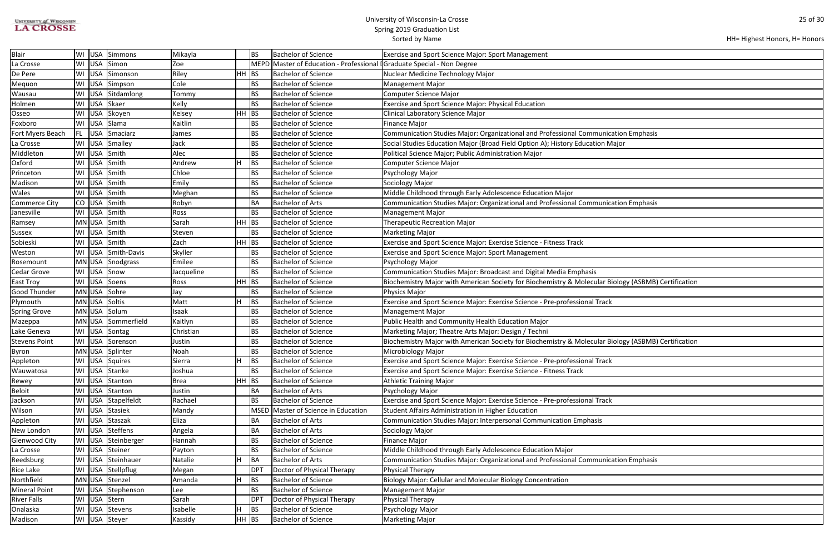| <b>UNIVERSITY of WISCONSIN</b> |
|--------------------------------|
| <b>LA CROSSE</b>               |

| HH= Highest Honors, H= Honors |  |  |  |
|-------------------------------|--|--|--|
|-------------------------------|--|--|--|

| ation Emphasis              |
|-----------------------------|
| ajor                        |
|                             |
|                             |
|                             |
|                             |
|                             |
|                             |
| ation Emphasis              |
|                             |
|                             |
|                             |
|                             |
|                             |
|                             |
|                             |
|                             |
| ology (ASBMB) Certification |
|                             |
|                             |
|                             |
|                             |
|                             |
| ology (ASBMB) Certification |
|                             |
|                             |
|                             |
|                             |
|                             |
|                             |
|                             |
|                             |
|                             |
|                             |
|                             |
|                             |
|                             |
| ation Emphasis              |
|                             |
|                             |
|                             |
|                             |
|                             |
|                             |
|                             |

| <b>Blair</b>         |    | WI USA     | Simmons            | Mikayla    |         | <b>BS</b>   | <b>Bachelor of Science</b>                                              | <b>Exercise and Sport Science Major: Sport Management</b>                                           |
|----------------------|----|------------|--------------------|------------|---------|-------------|-------------------------------------------------------------------------|-----------------------------------------------------------------------------------------------------|
| La Crosse            |    |            | WI USA Simon       | Zoe        |         |             | MEPD Master of Education - Professional I Graduate Special - Non Degree |                                                                                                     |
| De Pere              |    |            | WI USA Simonson    | Riley      | $HH$ BS |             | <b>Bachelor of Science</b>                                              | Nuclear Medicine Technology Major                                                                   |
| Mequon               |    |            | WI USA Simpson     | Cole       |         | <b>BS</b>   | <b>Bachelor of Science</b>                                              | <b>Management Major</b>                                                                             |
| Wausau               | WI |            | USA Sitdamlong     | Tommy      |         | <b>BS</b>   | Bachelor of Science                                                     | <b>Computer Science Major</b>                                                                       |
| Holmen               |    |            | WI USA Skaer       | Kelly      |         | <b>BS</b>   | <b>Bachelor of Science</b>                                              | Exercise and Sport Science Major: Physical Education                                                |
| Osseo                | WI | <b>USA</b> | Skoyen             | Kelsey     | $HH$ BS |             | <b>Bachelor of Science</b>                                              | Clinical Laboratory Science Major                                                                   |
| Foxboro              |    |            | WI USA Slama       | Kaitlin    |         | BS          | Bachelor of Science                                                     | <b>Finance Major</b>                                                                                |
| Fort Myers Beach     |    |            | FL   USA Smaciarz  | James      |         | <b>BS</b>   | <b>Bachelor of Science</b>                                              | Communication Studies Major: Organizational and Professional Communication Emphasis                 |
| La Crosse            |    |            | WI USA Smalley     | Jack       |         | <b>BS</b>   | <b>Bachelor of Science</b>                                              | Social Studies Education Major (Broad Field Option A); History Education Major                      |
| Middleton            |    |            | WI USA Smith       | Alec       |         | <b>BS</b>   | <b>Bachelor of Science</b>                                              | Political Science Major; Public Administration Major                                                |
| Oxford               | WI | <b>USA</b> | Smith              | Andrew     |         | <b>BS</b>   | Bachelor of Science                                                     | Computer Science Major                                                                              |
| Princeton            |    |            | WI USA Smith       | Chloe      |         | BS          | Bachelor of Science                                                     | Psychology Major                                                                                    |
| Madison              |    | WI USA     | Smith              | Emily      |         | <b>BS</b>   | Bachelor of Science                                                     | Sociology Major                                                                                     |
| Wales                |    |            | WI USA Smith       | Meghan     |         | BS          | <b>Bachelor of Science</b>                                              | Middle Childhood through Early Adolescence Education Major                                          |
| Commerce City        |    |            | CO USA Smith       | Robyn      |         | BA          | <b>Bachelor of Arts</b>                                                 | Communication Studies Major: Organizational and Professional Communication Emphasis                 |
| Janesville           |    | WI USA     | Smith              | Ross       |         | BS          | <b>Bachelor of Science</b>                                              | <b>Management Major</b>                                                                             |
| Ramsey               |    |            | MN USA Smith       | Sarah      | $HH$ BS |             | <b>Bachelor of Science</b>                                              | <b>Therapeutic Recreation Major</b>                                                                 |
| Sussex               |    | WI USA     | Smith              | ∣Steven    |         | <b>BS</b>   | Bachelor of Science                                                     | <b>Marketing Major</b>                                                                              |
| Sobieski             |    |            | WI USA Smith       | Zach       | $HH$ BS |             | <b>Bachelor of Science</b>                                              | Exercise and Sport Science Major: Exercise Science - Fitness Track                                  |
| Weston               |    |            | WI USA Smith-Davis | Skyller    |         | BS          | <b>Bachelor of Science</b>                                              | <b>Exercise and Sport Science Major: Sport Management</b>                                           |
| Rosemount            |    |            | MN USA Snodgrass   | Emilee     |         | <b>BS</b>   | <b>Bachelor of Science</b>                                              | Psychology Major                                                                                    |
| Cedar Grove          |    |            | WI USA Snow        | Jacqueline |         | <b>BS</b>   | <b>Bachelor of Science</b>                                              | Communication Studies Major: Broadcast and Digital Media Emphasis                                   |
| East Troy            |    | WI USA     | Soens              | Ross       | $HH$ BS |             | <b>Bachelor of Science</b>                                              | Biochemistry Major with American Society for Biochemistry & Molecular Biology (ASBMB) Certification |
| <b>Good Thunder</b>  |    |            | MN USA Sohre       | Jay        |         | BS          | <b>Bachelor of Science</b>                                              | Physics Major                                                                                       |
| Plymouth             |    |            | MN USA Soltis      | Matt       |         | <b>BS</b>   | Bachelor of Science                                                     | Exercise and Sport Science Major: Exercise Science - Pre-professional Track                         |
| <b>Spring Grove</b>  |    |            | MN USA Solum       | Isaak      |         | BS          | <b>Bachelor of Science</b>                                              | <b>Management Major</b>                                                                             |
| Mazeppa              |    |            | MN USA Sommerfield | Kaitlyn    |         | <b>BS</b>   | <b>Bachelor of Science</b>                                              | Public Health and Community Health Education Major                                                  |
| Lake Geneva          |    |            | WI USA Sontag      | Christian  |         | <b>BS</b>   | <b>Bachelor of Science</b>                                              | Marketing Major; Theatre Arts Major: Design / Techni                                                |
| <b>Stevens Point</b> |    |            | WI USA Sorenson    | Justin     |         | <b>BS</b>   | <b>Bachelor of Science</b>                                              | Biochemistry Major with American Society for Biochemistry & Molecular Biology (ASBMB) Certification |
| Byron                |    |            | MN USA Splinter    | Noah       |         | <b>BS</b>   | <b>Bachelor of Science</b>                                              | Microbiology Major                                                                                  |
| Appleton             |    |            | WI USA Squires     | Sierra     |         | <b>BS</b>   | Bachelor of Science                                                     | Exercise and Sport Science Major: Exercise Science - Pre-professional Track                         |
| Wauwatosa            |    |            | WI USA Stanke      | Joshua     |         | <b>BS</b>   | <b>Bachelor of Science</b>                                              | Exercise and Sport Science Major: Exercise Science - Fitness Track                                  |
| Rewey                |    |            | WI USA Stanton     | Brea       | $HH$ BS |             | <b>Bachelor of Science</b>                                              | <b>Athletic Training Major</b>                                                                      |
| Beloit               |    |            | WI USA Stanton     | Justin     |         | BA          | <b>Bachelor of Arts</b>                                                 | Psychology Major                                                                                    |
| Jackson              |    |            | WI USA Stapelfeldt | Rachael    |         | <b>BS</b>   | <b>Bachelor of Science</b>                                              | Exercise and Sport Science Major: Exercise Science - Pre-professional Track                         |
| Wilson               |    |            | WI USA Stasiek     | Mandy      |         | <b>MSED</b> | Master of Science in Education                                          | Student Affairs Administration in Higher Education                                                  |
| Appleton             |    |            | WI USA Staszak     | Eliza      |         | BA          | Bachelor of Arts                                                        | Communication Studies Major: Interpersonal Communication Emphasis                                   |
| New London           |    |            | WI USA Steffens    | Angela     |         | BA          | <b>Bachelor of Arts</b>                                                 | Sociology Major                                                                                     |
| Glenwood City        |    |            | WI USA Steinberger | Hannah     |         | BS          | <b>Bachelor of Science</b>                                              | <b>Finance Major</b>                                                                                |
| La Crosse            |    |            | WI USA Steiner     | Payton     |         | <b>BS</b>   | <b>Bachelor of Science</b>                                              | Middle Childhood through Early Adolescence Education Major                                          |
| Reedsburg            |    |            | WI USA Steinhauer  | Natalie    |         | BA          | Bachelor of Arts                                                        | Communication Studies Major: Organizational and Professional Communication Emphasis                 |
| Rice Lake            |    |            | WI USA Stellpflug  | Megan      |         | DPT         | Doctor of Physical Therapy                                              | Physical Therapy                                                                                    |
| Northfield           |    |            | MN USA Stenzel     | Amanda     |         | BS          | <b>Bachelor of Science</b>                                              | Biology Major: Cellular and Molecular Biology Concentration                                         |
| <b>Mineral Point</b> |    |            | WI USA Stephenson  | Lee        |         | BS          | <b>Bachelor of Science</b>                                              | <b>Management Major</b>                                                                             |
| <b>River Falls</b>   |    |            | WI USA Stern       | Sarah      |         | DPT         | Doctor of Physical Therapy                                              | Physical Therapy                                                                                    |
| Onalaska             |    |            | WI USA Stevens     | Isabelle   |         | <b>BS</b>   | <b>Bachelor of Science</b>                                              | Psychology Major                                                                                    |
| Madison              |    |            | WI USA Steyer      | Kassidy    | $HH$ BS |             | Bachelor of Science                                                     | Marketing Major                                                                                     |
|                      |    |            |                    |            |         |             |                                                                         |                                                                                                     |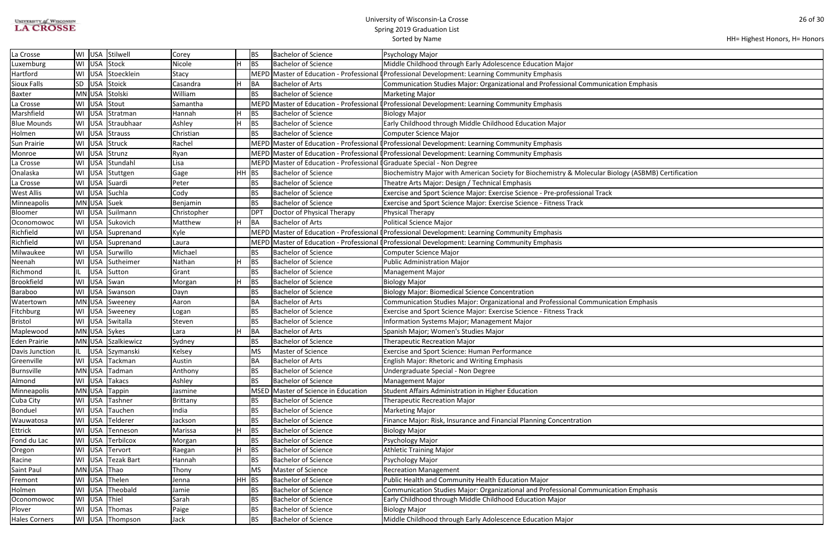| <b>UNIVERSITY of WISCONSIN</b> |
|--------------------------------|
| <b>LA CROSSE</b>               |

| HH= Highest Honors, H= Honors |  |  |  |
|-------------------------------|--|--|--|
|-------------------------------|--|--|--|

| ation Emphasis              |
|-----------------------------|
|                             |
|                             |
|                             |
|                             |
|                             |
|                             |
|                             |
|                             |
|                             |
|                             |
| ology (ASBMB) Certification |
|                             |
|                             |
|                             |
|                             |
|                             |
|                             |
|                             |
|                             |
|                             |
|                             |
|                             |
|                             |
|                             |
| ation Emphasis              |
|                             |
|                             |
|                             |
|                             |
|                             |
|                             |
|                             |
|                             |
|                             |
|                             |
|                             |
|                             |
|                             |
|                             |
|                             |
|                             |
|                             |
|                             |
|                             |
|                             |
|                             |
| ation Emphasis              |
|                             |
|                             |
|                             |

| La Crosse            |     |            | WI USA Stilwell     | Corey       |         | <b>BS</b> | <b>Bachelor of Science</b>                                              | Psychology Major                                                                                    |
|----------------------|-----|------------|---------------------|-------------|---------|-----------|-------------------------------------------------------------------------|-----------------------------------------------------------------------------------------------------|
| Luxemburg            |     |            | WI USA Stock        | Nicole      |         | BS        | Bachelor of Science                                                     | Middle Childhood through Early Adolescence Education Major                                          |
| Hartford             |     |            | WI USA Stoecklein   | Stacy       |         |           |                                                                         | MEPD Master of Education - Professional (Professional Development: Learning Community Emphasis      |
| Sioux Falls          |     |            | SD USA Stoick       | Casandra    |         | BA        | <b>Bachelor of Arts</b>                                                 | Communication Studies Major: Organizational and Professional Communication Emphasis                 |
| <b>Baxter</b>        |     |            | MN USA Stolski      | William     |         | <b>BS</b> | Bachelor of Science                                                     | Marketing Major                                                                                     |
| La Crosse            |     |            | WI USA Stout        | Samantha    |         |           |                                                                         | MEPD Master of Education - Professional I Professional Development: Learning Community Emphasis     |
| Marshfield           |     |            | WI USA Stratman     | Hannah      |         | <b>BS</b> | <b>Bachelor of Science</b>                                              | <b>Biology Major</b>                                                                                |
| <b>Blue Mounds</b>   |     |            | WI USA Straubhaar   | Ashley      |         | BS        | Bachelor of Science                                                     | Early Childhood through Middle Childhood Education Major                                            |
| Holmen               |     |            | WI USA Strauss      | Christian   |         | <b>BS</b> | <b>Bachelor of Science</b>                                              | <b>Computer Science Major</b>                                                                       |
| Sun Prairie          |     |            | WI USA Struck       | Rachel      |         |           |                                                                         | MEPD Master of Education - Professional (Professional Development: Learning Community Emphasis      |
| Monroe               |     |            | WI USA Strunz       | Ryan        |         |           |                                                                         | MEPD Master of Education - Professional (Professional Development: Learning Community Emphasis      |
| La Crosse            |     |            | WI USA Stundahl     | Lisa        |         |           | MEPD Master of Education - Professional I Graduate Special - Non Degree |                                                                                                     |
| Onalaska             |     |            | WI USA Stuttgen     | Gage        | $HH$ BS |           | <b>Bachelor of Science</b>                                              | Biochemistry Major with American Society for Biochemistry & Molecular Biology (ASBMB) Certification |
| La Crosse            |     |            | WI USA Suardi       | Peter       |         | <b>BS</b> | <b>Bachelor of Science</b>                                              | Theatre Arts Major: Design / Technical Emphasis                                                     |
| West Allis           |     |            | WI USA Suchla       | Cody        |         | <b>BS</b> | Bachelor of Science                                                     | Exercise and Sport Science Major: Exercise Science - Pre-professional Track                         |
| Minneapolis          |     |            | MN USA Suek         | Benjamin    |         | BS        | <b>Bachelor of Science</b>                                              | Exercise and Sport Science Major: Exercise Science - Fitness Track                                  |
| Bloomer              |     |            | WI   USA   Suilmann | Christopher |         | DPT       | Doctor of Physical Therapy                                              | Physical Therapy                                                                                    |
| Oconomowoc           |     |            | WI   USA Sukovich   | Matthew     |         | BA        | <b>Bachelor of Arts</b>                                                 | Political Science Major                                                                             |
| Richfield            |     |            | WI USA Suprenand    | Kyle        |         |           |                                                                         | MEPD Master of Education - Professional (Professional Development: Learning Community Emphasis      |
| Richfield            |     |            | WI USA Suprenand    | Laura       |         |           |                                                                         | MEPD Master of Education - Professional I Professional Development: Learning Community Emphasis     |
| Milwaukee            |     |            | WI USA Surwillo     | Michael     |         | <b>BS</b> | <b>Bachelor of Science</b>                                              | Computer Science Major                                                                              |
| Neenah               | WI  |            | USA Sutheimer       | Nathan      |         | <b>BS</b> | <b>Bachelor of Science</b>                                              | Public Administration Major                                                                         |
| Richmond             | IL. | <b>USA</b> | Sutton              | Grant       |         | <b>BS</b> | <b>Bachelor of Science</b>                                              | <b>Management Major</b>                                                                             |
| <b>Brookfield</b>    | WI  |            | USA Swan            | Morgan      |         | <b>BS</b> | <b>Bachelor of Science</b>                                              | <b>Biology Major</b>                                                                                |
| Baraboo              |     |            | WI USA Swanson      | Dayn        |         | BS        | <b>Bachelor of Science</b>                                              | <b>Biology Major: Biomedical Science Concentration</b>                                              |
| Watertown            |     |            | MN USA Sweeney      | Aaron       |         | BA        | Bachelor of Arts                                                        | Communication Studies Major: Organizational and Professional Communication Emphasis                 |
| Fitchburg            |     |            | WI USA Sweeney      | Logan       |         | <b>BS</b> | Bachelor of Science                                                     | Exercise and Sport Science Major: Exercise Science - Fitness Track                                  |
| <b>Bristol</b>       |     |            | WI USA Switalla     | Steven      |         | <b>BS</b> | <b>Bachelor of Science</b>                                              | Information Systems Major; Management Major                                                         |
| Maplewood            |     |            | MN USA Sykes        | Lara        |         | BA        | <b>Bachelor of Arts</b>                                                 | Spanish Major; Women's Studies Major                                                                |
| <b>Eden Prairie</b>  |     |            | MN USA Szalkiewicz  | Sydney      |         | <b>BS</b> | <b>Bachelor of Science</b>                                              | <b>Therapeutic Recreation Major</b>                                                                 |
| Davis Junction       |     |            | USA Szymanski       | Kelsey      |         | lMS.      | Master of Science                                                       | <b>Exercise and Sport Science: Human Performance</b>                                                |
| Greenville           |     |            | WI   USA   Tackman  | Austin      |         | BA        | <b>Bachelor of Arts</b>                                                 | <b>English Major: Rhetoric and Writing Emphasis</b>                                                 |
| <b>Burnsville</b>    |     |            | MN USA Tadman       | Anthony     |         | <b>BS</b> | Bachelor of Science                                                     | Undergraduate Special - Non Degree                                                                  |
| Almond               |     |            | WI USA Takacs       | Ashley      |         | BS        | Bachelor of Science                                                     | <b>Management Major</b>                                                                             |
| Minneapolis          |     |            | MN USA Tappin       | Jasmine     |         |           | MSED Master of Science in Education                                     | Student Affairs Administration in Higher Education                                                  |
| Cuba City            |     | WI USA     | Tashner             | Brittany    |         | BS        | <b>Bachelor of Science</b>                                              | Therapeutic Recreation Major                                                                        |
| Bonduel              |     |            | WI USA Tauchen      | India       |         | BS        | <b>Bachelor of Science</b>                                              | <b>Marketing Major</b>                                                                              |
| Wauwatosa            |     |            | WI USA Telderer     | Jackson     |         | BS        | <b>Bachelor of Science</b>                                              | Finance Major: Risk, Insurance and Financial Planning Concentration                                 |
| <b>Ettrick</b>       |     |            | WI USA Tenneson     | Marissa     |         | <b>BS</b> | <b>Bachelor of Science</b>                                              | <b>Biology Major</b>                                                                                |
| Fond du Lac          |     |            | WI USA Terbilcox    | Morgan      |         | <b>BS</b> | <b>Bachelor of Science</b>                                              | Psychology Major                                                                                    |
| Oregon               |     |            | WI USA Tervort      | Raegan      |         | BS        | <b>Bachelor of Science</b>                                              | <b>Athletic Training Major</b>                                                                      |
| Racine               |     |            | WI USA Tezak Bart   | Hannah      |         | BS        | Bachelor of Science                                                     | Psychology Major                                                                                    |
| Saint Paul           |     |            | MN USA Thao         | Thony       |         | MS        | Master of Science                                                       | <b>Recreation Management</b>                                                                        |
| Fremont              |     |            | WI USA Thelen       | Jenna       | $HH$ BS |           | <b>Bachelor of Science</b>                                              | Public Health and Community Health Education Major                                                  |
| Holmen               |     |            | WI USA Theobald     | Jamie       |         | BS        | <b>Bachelor of Science</b>                                              | Communication Studies Major: Organizational and Professional Communication Emphasis                 |
| Oconomowoc           |     |            | WI USA Thiel        | Sarah       |         | <b>BS</b> | <b>Bachelor of Science</b>                                              | Early Childhood through Middle Childhood Education Major                                            |
| Plover               |     |            | WI USA Thomas       | Paige       |         | BS        | <b>Bachelor of Science</b>                                              | <b>Biology Major</b>                                                                                |
| <b>Hales Corners</b> |     |            | WI USA Thompson     | Jack        |         | <b>BS</b> | <b>Bachelor of Science</b>                                              | Middle Childhood through Early Adolescence Education Major                                          |
|                      |     |            |                     |             |         |           |                                                                         |                                                                                                     |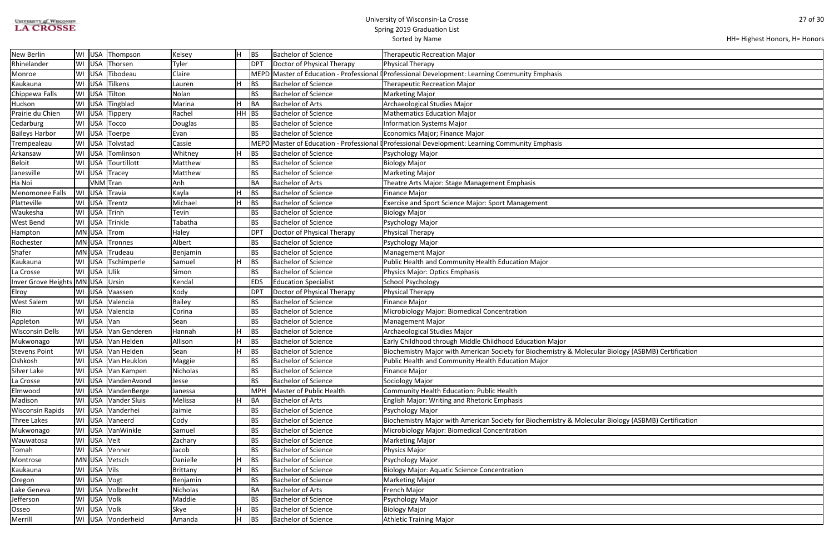| <b>UNIVERSITY of WISCONSIN</b> |
|--------------------------------|
| <b>LA CROSSE</b>               |

| HH= Highest Honors, H= Honors |  |  |
|-------------------------------|--|--|
|-------------------------------|--|--|

| ology (ASBMB) Certification |  |
|-----------------------------|--|
|                             |  |
|                             |  |
|                             |  |
|                             |  |
|                             |  |
|                             |  |
|                             |  |
|                             |  |
|                             |  |
|                             |  |
|                             |  |
|                             |  |
| ology (ASBMB) Certification |  |
|                             |  |
|                             |  |
|                             |  |
|                             |  |
|                             |  |
|                             |  |
|                             |  |
|                             |  |
|                             |  |
|                             |  |
|                             |  |
|                             |  |
|                             |  |
|                             |  |
|                             |  |
|                             |  |
|                             |  |
|                             |  |
|                             |  |
|                             |  |

| New Berlin                       | WI               | USA Thompson           | Kelsey   |       | BS          | <b>Bachelor of Science</b>  | <b>Therapeutic Recreation Major</b>                                                                 |
|----------------------------------|------------------|------------------------|----------|-------|-------------|-----------------------------|-----------------------------------------------------------------------------------------------------|
| Rhinelander                      |                  | WI USA Thorsen         | Tyler    |       | DPT         | Doctor of Physical Therapy  | Physical Therapy                                                                                    |
| Monroe                           | WI               | USA Tibodeau           | Claire   |       | MEPD        |                             | Master of Education - Professional (Professional Development: Learning Community Emphasis           |
| Kaukauna                         | WI USA           | Tilkens                | Lauren   |       | BS          | <b>Bachelor of Science</b>  | <b>Therapeutic Recreation Major</b>                                                                 |
| Chippewa Falls                   | USA<br>WI        | Tilton                 | Nolan    |       | BS          | <b>Bachelor of Science</b>  | <b>Marketing Major</b>                                                                              |
| Hudson                           | <b>USA</b><br>WI | Tingblad               | Marina   |       | BA          | <b>Bachelor of Arts</b>     | Archaeological Studies Major                                                                        |
| Prairie du Chien                 | WI<br>USA        | Tippery                | Rachel   | HH BS |             | Bachelor of Science         | <b>Mathematics Education Major</b>                                                                  |
| Cedarburg                        | USA<br>WI        | Tocco                  | Douglas  |       | <b>BS</b>   | <b>Bachelor of Science</b>  | <b>Information Systems Major</b>                                                                    |
| <b>Baileys Harbor</b>            | WI USA           | Toerpe                 | Evan     |       | <b>BS</b>   | <b>Bachelor of Science</b>  | Economics Major; Finance Major                                                                      |
| Trempealeau                      | USA<br>WI        | Tolvstad               | Cassie   |       | <b>MEPD</b> |                             | Master of Education - Professional (Professional Development: Learning Community Emphasis           |
| Arkansaw                         | WI USA           | Tomlinson              | Whitney  |       | BS          | <b>Bachelor of Science</b>  | Psychology Major                                                                                    |
| <b>Beloit</b>                    | WI               | USA Tourtillott        | Matthew  |       | <b>BS</b>   | <b>Bachelor of Science</b>  | <b>Biology Major</b>                                                                                |
| Janesville                       | WI               | USA Tracey             | Matthew  |       | <b>BS</b>   | <b>Bachelor of Science</b>  | <b>Marketing Major</b>                                                                              |
| Ha Noi                           |                  | VNM Tran               | Anh      |       | BA          | <b>Bachelor of Arts</b>     | Theatre Arts Major: Stage Management Emphasis                                                       |
| <b>Menomonee Falls</b>           | WI               | USA Travia             | Kayla    |       | <b>BS</b>   | <b>Bachelor of Science</b>  | <b>Finance Major</b>                                                                                |
| Platteville                      | WI USA Trentz    |                        | Michael  |       | <b>BS</b>   | Bachelor of Science         | <b>Exercise and Sport Science Major: Sport Management</b>                                           |
| Waukesha                         | WI USA Trinh     |                        | Tevin    |       | BS          | <b>Bachelor of Science</b>  | Biology Major                                                                                       |
| West Bend                        | WI USA           | Trinkle                | Tabatha  |       | <b>BS</b>   | <b>Bachelor of Science</b>  | Psychology Major                                                                                    |
| Hampton                          | MN USA Trom      |                        | Haley    |       | DPT         | Doctor of Physical Therapy  | Physical Therapy                                                                                    |
| Rochester                        |                  | MN USA Tronnes         | Albert   |       | <b>BS</b>   | <b>Bachelor of Science</b>  | Psychology Major                                                                                    |
| Shafer                           |                  | MN USA Trudeau         | Benjamin |       | BS          | <b>Bachelor of Science</b>  | <b>Management Major</b>                                                                             |
| Kaukauna                         |                  | WI USA Tschimperle     | Samuel   |       | <b>BS</b>   | <b>Bachelor of Science</b>  | Public Health and Community Health Education Major                                                  |
| La Crosse                        | WI USA Ulik      |                        | Simon    |       | <b>BS</b>   | <b>Bachelor of Science</b>  | Physics Major: Optics Emphasis                                                                      |
| Inver Grove Heights MN USA Ursin |                  |                        | Kendal   |       | <b>EDS</b>  | <b>Education Specialist</b> | School Psychology                                                                                   |
| Elroy                            | USA<br>WI        | Vaassen                | Kody     |       | DP1         | Doctor of Physical Therapy  | <b>Physical Therapy</b>                                                                             |
| <b>West Salem</b>                | USA<br>WI        | Valencia               | Bailey   |       | <b>BS</b>   | <b>Bachelor of Science</b>  | <b>Finance Major</b>                                                                                |
| Rio                              | <b>USA</b><br>WI | Valencia               | Corina   |       | <b>BS</b>   | <b>Bachelor of Science</b>  | Microbiology Major: Biomedical Concentration                                                        |
| Appleton                         | WI USA Van       |                        | Sean     |       | <b>BS</b>   | <b>Bachelor of Science</b>  | <b>Management Major</b>                                                                             |
| <b>Wisconsin Dells</b>           | WI               | USA Van Genderen       | Hannah   |       | <b>BS</b>   | <b>Bachelor of Science</b>  | Archaeological Studies Major                                                                        |
| Mukwonago                        |                  | WI USA Van Helden      | Allison  |       | <b>BS</b>   | <b>Bachelor of Science</b>  | Early Childhood through Middle Childhood Education Major                                            |
| <b>Stevens Point</b>             |                  | WI USA Van Helden      | Sean     |       | BS          | <b>Bachelor of Science</b>  | Biochemistry Major with American Society for Biochemistry & Molecular Biology (ASBMB) Certification |
| Oshkosh                          |                  | WI   USA   Van Heuklon | Maggie   |       | BS          | <b>Bachelor of Science</b>  | Public Health and Community Health Education Major                                                  |
| Silver Lake                      |                  | WI   USA   Van Kampen  | Nicholas |       | BS          | <b>Bachelor of Science</b>  | <b>Finance Major</b>                                                                                |
| La Crosse                        |                  | WI USA VandenAvond     | Jesse    |       | BS          | <b>Bachelor of Science</b>  | Sociology Major                                                                                     |
| Elmwood                          |                  | WI USA VandenBerge     | Janessa  |       | <b>MPH</b>  | Master of Public Health     | <b>Community Health Education: Public Health</b>                                                    |
| Madison                          |                  | WI USA Vander Sluis    | Melissa  |       | BA          | <b>Bachelor of Arts</b>     | <b>English Major: Writing and Rhetoric Emphasis</b>                                                 |
| <b>Wisconsin Rapids</b>          |                  | WI USA Vanderhei       | Jaimie   |       | BS          | <b>Bachelor of Science</b>  | Psychology Major                                                                                    |
| <b>Three Lakes</b>               |                  | WI USA Vaneerd         | Cody     |       | <b>BS</b>   | <b>Bachelor of Science</b>  | Biochemistry Major with American Society for Biochemistry & Molecular Biology (ASBMB) Certification |
| Mukwonago                        |                  | WI USA VanWinkle       | Samuel   |       | <b>BS</b>   | <b>Bachelor of Science</b>  | Microbiology Major: Biomedical Concentration                                                        |
| Wauwatosa                        | WI USA Veit      |                        | Zachary  |       | BS          | <b>Bachelor of Science</b>  | <b>Marketing Major</b>                                                                              |
| Tomah                            | WI USA Venner    |                        | Jacob    |       | BS          | <b>Bachelor of Science</b>  | Physics Major                                                                                       |
| Montrose                         | MN USA Vetsch    |                        | Danielle |       | BS          | <b>Bachelor of Science</b>  | Psychology Major                                                                                    |
| Kaukauna                         | WI USA Vils      |                        | Brittany |       | BS          | <b>Bachelor of Science</b>  | <b>Biology Major: Aquatic Science Concentration</b>                                                 |
| Oregon                           | WI USA Vogt      |                        | Benjamin |       | <b>BS</b>   | <b>Bachelor of Science</b>  | <b>Marketing Major</b>                                                                              |
| Lake Geneva                      |                  | WI USA Volbrecht       | Nicholas |       | BA          | <b>Bachelor of Arts</b>     | French Major                                                                                        |
| Jefferson                        | WI               | USA Volk               | Maddie   |       | BS          | <b>Bachelor of Science</b>  | Psychology Major                                                                                    |
| Osseo                            | WI USA Volk      |                        | Skye     |       | BS          | <b>Bachelor of Science</b>  | <b>Biology Major</b>                                                                                |
| Merrill                          |                  | WI USA Vonderheid      | Amanda   |       | BS          | <b>Bachelor of Science</b>  | Athletic Training Major                                                                             |
|                                  |                  |                        |          |       |             |                             |                                                                                                     |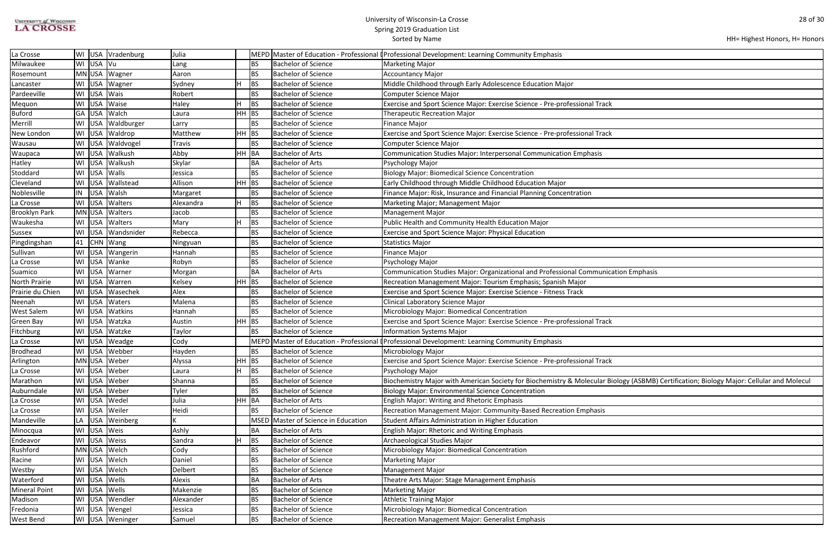| <b>UNIVERSITY of WISCONSIN</b> |
|--------------------------------|
| <b>LA CROSSE</b>               |

| HH= Highest Honors, H= Honors |  |  |
|-------------------------------|--|--|
|-------------------------------|--|--|

| ation Emphasis                                                    |
|-------------------------------------------------------------------|
|                                                                   |
|                                                                   |
|                                                                   |
|                                                                   |
|                                                                   |
|                                                                   |
|                                                                   |
|                                                                   |
|                                                                   |
|                                                                   |
|                                                                   |
|                                                                   |
|                                                                   |
| iology (ASBMB) Certification; Biology Major: Cellular and Molecul |
|                                                                   |
|                                                                   |
|                                                                   |
|                                                                   |
|                                                                   |
|                                                                   |
|                                                                   |
|                                                                   |
|                                                                   |
|                                                                   |
|                                                                   |
|                                                                   |
|                                                                   |
|                                                                   |
|                                                                   |
|                                                                   |
|                                                                   |
|                                                                   |

| La Crosse            |    | WI USA Vradenburg  | Julia     |                 |                                | MEPD Master of Education - Professional (Professional Development: Learning Community Emphasis                                          |
|----------------------|----|--------------------|-----------|-----------------|--------------------------------|-----------------------------------------------------------------------------------------------------------------------------------------|
| Milwaukee            |    | WI USA Vu          | Lang      | <b>BS</b>       | <b>Bachelor of Science</b>     | Marketing Major                                                                                                                         |
| Rosemount            |    | MN USA Wagner      | Aaron     | <b>BS</b>       | <b>Bachelor of Science</b>     | Accountancy Major                                                                                                                       |
| Lancaster            |    | WI USA Wagner      | Sydney    | н<br>IBS.       | <b>Bachelor of Science</b>     | Middle Childhood through Early Adolescence Education Major                                                                              |
| Pardeeville          |    | WI USA Wais        | Robert    | <b>BS</b>       | <b>Bachelor of Science</b>     | Computer Science Major                                                                                                                  |
| Mequon               |    | WI USA Waise       | Haley     | H.<br><b>BS</b> | <b>Bachelor of Science</b>     | Exercise and Sport Science Major: Exercise Science - Pre-professional Track                                                             |
| <b>Buford</b>        |    | GA USA Walch       | Laura     | HH BS           | <b>Bachelor of Science</b>     | <b>Therapeutic Recreation Major</b>                                                                                                     |
| Merrill              |    | WI USA Waldburger  | Larry     | BS              | <b>Bachelor of Science</b>     | Finance Major                                                                                                                           |
| New London           |    | WI USA Waldrop     | Matthew   | HH BS           | <b>Bachelor of Science</b>     | Exercise and Sport Science Major: Exercise Science - Pre-professional Track                                                             |
| Wausau               |    | WI USA Waldvogel   | Travis    | <b>BS</b>       | <b>Bachelor of Science</b>     | Computer Science Major                                                                                                                  |
| Waupaca              |    | WI USA Walkush     | Abby      | HH BA           | <b>Bachelor of Arts</b>        | Communication Studies Major: Interpersonal Communication Emphasis                                                                       |
| Hatley               |    | WI USA Walkush     | Skylar    | BA              | <b>Bachelor of Arts</b>        | Psychology Major                                                                                                                        |
| Stoddard             |    | WI USA Walls       | Jessica   | IBS.            | <b>Bachelor of Science</b>     | Biology Major: Biomedical Science Concentration                                                                                         |
| Cleveland            |    | WI USA Wallstead   | Allison   | $HH$ BS         | Bachelor of Science            | Early Childhood through Middle Childhood Education Major                                                                                |
| Noblesville          |    | IN USA Walsh       | Margaret  | BS              | <b>Bachelor of Science</b>     | Finance Major: Risk, Insurance and Financial Planning Concentration                                                                     |
| La Crosse            |    | WI   USA   Walters | Alexandra | H.<br><b>BS</b> | <b>Bachelor of Science</b>     | Marketing Major; Management Major                                                                                                       |
| <b>Brooklyn Park</b> |    | MN USA Walters     | Jacob     | <b>BS</b>       | <b>Bachelor of Science</b>     | Management Major                                                                                                                        |
| Waukesha             |    | WI USA Walters     | Mary      | BS              | <b>Bachelor of Science</b>     | Public Health and Community Health Education Major                                                                                      |
| Sussex               |    | WI USA Wandsnider  | Rebecca   | <b>BS</b>       | <b>Bachelor of Science</b>     | <b>Exercise and Sport Science Major: Physical Education</b>                                                                             |
| Pingdingshan         |    | 41   CHN   Wang    | Ningyuan  | <b>BS</b>       | <b>Bachelor of Science</b>     | Statistics Major                                                                                                                        |
| Sullivan             |    | WI USA Wangerin    | Hannah    | <b>BS</b>       | <b>Bachelor of Science</b>     | Finance Major                                                                                                                           |
| La Crosse            |    | WI USA Wanke       | Robyn     | <b>BS</b>       | <b>Bachelor of Science</b>     | Psychology Major                                                                                                                        |
| Suamico              |    | WI USA Warner      | Morgan    | BA              | <b>Bachelor of Arts</b>        | Communication Studies Major: Organizational and Professional Communication Emphasis                                                     |
| North Prairie        |    | WI USA Warren      | Kelsey    | $HH$ BS         | <b>Bachelor of Science</b>     | Recreation Management Major: Tourism Emphasis; Spanish Major                                                                            |
| Prairie du Chien     |    | WI USA Wasechek    | Alex      | <b>BS</b>       | <b>Bachelor of Science</b>     | Exercise and Sport Science Major: Exercise Science - Fitness Track                                                                      |
| Neenah               |    | WI USA Waters      | Malena    | <b>BS</b>       | Bachelor of Science            | Clinical Laboratory Science Major                                                                                                       |
| <b>West Salem</b>    |    | WI USA Watkins     | Hannah    | <b>BS</b>       | <b>Bachelor of Science</b>     | Microbiology Major: Biomedical Concentration                                                                                            |
| Green Bay            |    | WI USA Watzka      | Austin    | HH BS           | <b>Bachelor of Science</b>     | Exercise and Sport Science Major: Exercise Science - Pre-professional Track                                                             |
| Fitchburg            |    | WI USA Watzke      | Taylor    | <b>BS</b>       | <b>Bachelor of Science</b>     | Information Systems Major                                                                                                               |
| La Crosse            |    | WI USA Weadge      | Cody      |                 |                                | MEPD Master of Education - Professional (Professional Development: Learning Community Emphasis                                          |
| Brodhead             |    | WI USA Webber      | Hayden    | <b>BS</b>       | <b>Bachelor of Science</b>     | Microbiology Major                                                                                                                      |
| Arlington            |    | MN USA Weber       | Alyssa    | $HH$ BS         | Bachelor of Science            | Exercise and Sport Science Major: Exercise Science - Pre-professional Track                                                             |
| La Crosse            |    | WI USA Weber       | Laura     | H.<br><b>BS</b> | <b>Bachelor of Science</b>     | Psychology Major                                                                                                                        |
| Marathon             |    | WI USA Weber       | Shanna    | <b>BS</b>       | <b>Bachelor of Science</b>     | Biochemistry Major with American Society for Biochemistry & Molecular Biology (ASBMB) Certification; Biology Major: Cellular and Molecu |
| Auburndale           |    | WI USA Weber       | Tyler     | <b>BS</b>       | <b>Bachelor of Science</b>     | Biology Major: Environmental Science Concentration                                                                                      |
| La Crosse            |    | WI USA Wedel       | Julia     | HH BA           | <b>Bachelor of Arts</b>        | <b>English Major: Writing and Rhetoric Emphasis</b>                                                                                     |
| La Crosse            |    | WI USA Weiler      | Heidi     | BS.             | <b>Bachelor of Science</b>     | Recreation Management Major: Community-Based Recreation Emphasis                                                                        |
| Mandeville           | LA | USA Weinberg       |           | MSED            | Master of Science in Education | Student Affairs Administration in Higher Education                                                                                      |
| Minocqua             |    | WI USA Weis        | Ashly     | BA              | <b>Bachelor of Arts</b>        | <b>English Major: Rhetoric and Writing Emphasis</b>                                                                                     |
| Endeavor             |    | WI USA Weiss       | Sandra    | BS              | <b>Bachelor of Science</b>     | <b>Archaeological Studies Major</b>                                                                                                     |
| Rushford             |    | MN USA Welch       | Cody      | BS              | <b>Bachelor of Science</b>     | Microbiology Major: Biomedical Concentration                                                                                            |
| Racine               |    | WI USA Welch       | Daniel    | <b>BS</b>       | <b>Bachelor of Science</b>     | Marketing Major                                                                                                                         |
| Westby               |    | WI USA Welch       | Delbert   | <b>BS</b>       | <b>Bachelor of Science</b>     | <b>Management Major</b>                                                                                                                 |
| Waterford            |    | WI USA Wells       | Alexis    | BA              | <b>Bachelor of Arts</b>        | Theatre Arts Major: Stage Management Emphasis                                                                                           |
| <b>Mineral Point</b> |    | WI USA Wells       | Makenzie  | ВS              | <b>Bachelor of Science</b>     | Marketing Major                                                                                                                         |
| Madison              |    | WI USA Wendler     | Alexander | <b>BS</b>       | <b>Bachelor of Science</b>     | Athletic Training Major                                                                                                                 |
| Fredonia             |    | WI USA Wengel      | Jessica   | <b>BS</b>       | <b>Bachelor of Science</b>     | Microbiology Major: Biomedical Concentration                                                                                            |
| <b>West Bend</b>     |    | WI USA Weninger    | Samuel    | <b>BS</b>       | <b>Bachelor of Science</b>     | <b>Recreation Management Major: Generalist Emphasis</b>                                                                                 |
|                      |    |                    |           |                 |                                |                                                                                                                                         |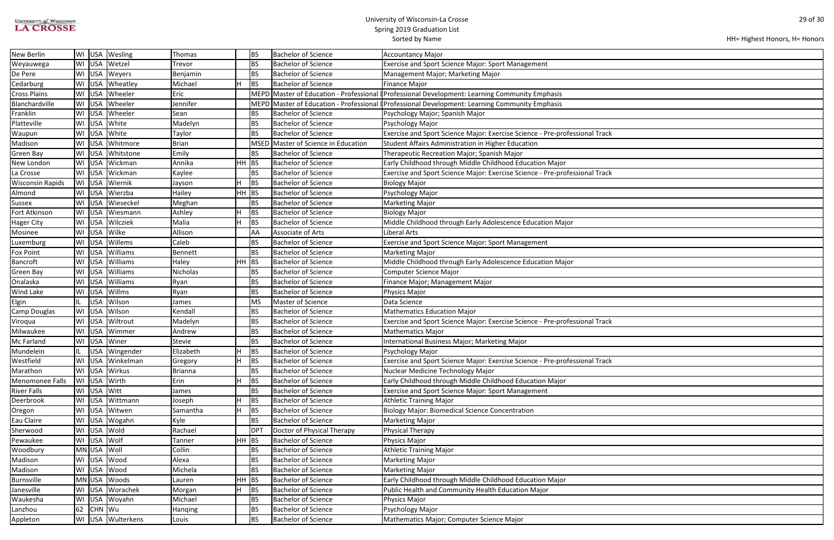| <b>UNIVERSITY of WISCONSIN</b> |
|--------------------------------|
| <b>LA CROSSE</b>               |

```
HH= Highest Honors, H= Honors
```

| <b>New Berlin</b>       | WI |             | USA   Wesling         | Thomas         |    | <b>BS</b>   | <b>Bachelor of Science</b>     | <b>Accountancy Major</b>                                                                       |
|-------------------------|----|-------------|-----------------------|----------------|----|-------------|--------------------------------|------------------------------------------------------------------------------------------------|
| Weyauwega               |    | WI USA      | Wetzel                | Trevor         |    | BS          | <b>Bachelor of Science</b>     | <b>Exercise and Sport Science Major: Sport Management</b>                                      |
| De Pere                 |    |             | WI USA Weyers         | Benjamin       |    | <b>BS</b>   | <b>Bachelor of Science</b>     | Management Major; Marketing Major                                                              |
| Cedarburg               | WI |             | USA Wheatley          | Michael        |    | <b>BS</b>   | <b>Bachelor of Science</b>     | <b>Finance Major</b>                                                                           |
| <b>Cross Plains</b>     | WI | <b>USA</b>  | Wheeler               | Eric           |    |             |                                | MEPD Master of Education - Professional (Professional Development: Learning Community Emphasis |
| Blanchardville          |    | WI USA      | Wheeler               | Jennifer       |    |             |                                | MEPD Master of Education - Professional (Professional Development: Learning Community Emphasis |
| Franklin                |    | WI USA      | Wheeler               | Sean           |    | <b>BS</b>   | <b>Bachelor of Science</b>     | Psychology Major; Spanish Major                                                                |
| Platteville             |    | WI USA      | White                 | Madelyn        |    | <b>BS</b>   | <b>Bachelor of Science</b>     | Psychology Major                                                                               |
| Waupun                  | WI | USA         | White                 | Taylor         |    | <b>BS</b>   | <b>Bachelor of Science</b>     | Exercise and Sport Science Major: Exercise Science - Pre-professional Track                    |
| Madison                 | WI | <b>USA</b>  | Whitmore              | <b>Brian</b>   |    | <b>MSED</b> | Master of Science in Education | Student Affairs Administration in Higher Education                                             |
| <b>Green Bay</b>        | WI | <b>USA</b>  | Whitstone             | Emily          |    | BS          | <b>Bachelor of Science</b>     | Therapeutic Recreation Major; Spanish Major                                                    |
| New London              | WI |             | USA Wickman           | Annika         | HH | BS          | <b>Bachelor of Science</b>     | Early Childhood through Middle Childhood Education Major                                       |
| La Crosse               |    | WI USA      | Wickman               | Kaylee         |    | <b>BS</b>   | <b>Bachelor of Science</b>     | Exercise and Sport Science Major: Exercise Science - Pre-professional Track                    |
| <b>Wisconsin Rapids</b> |    | WI USA      | Wiernik               | Jayson         |    | BS          | <b>Bachelor of Science</b>     | <b>Biology Major</b>                                                                           |
| Almond                  | WI | <b>USA</b>  | Wierzba               | Hailey         | HН | BS          | <b>Bachelor of Science</b>     | Psychology Major                                                                               |
| <b>Sussex</b>           | WI | USA         | Wieseckel             | Meghan         |    | <b>BS</b>   | <b>Bachelor of Science</b>     | <b>Marketing Major</b>                                                                         |
| Fort Atkinson           | WI | <b>USA</b>  | Wiesmann              | Ashley         |    | BS          | <b>Bachelor of Science</b>     | <b>Biology Major</b>                                                                           |
| <b>Hager City</b>       |    | WI USA      | Wilcziek              | Malia          | H  | BS          | <b>Bachelor of Science</b>     | Middle Childhood through Early Adolescence Education Major                                     |
| Mosinee                 |    |             | WI USA Wilke          | Allison        |    | AA          | Associate of Arts              | Liberal Arts                                                                                   |
| Luxemburg               | WI | <b>USA</b>  | Willems               | Caleb          |    | BS          | <b>Bachelor of Science</b>     | <b>Exercise and Sport Science Major: Sport Management</b>                                      |
| <b>Fox Point</b>        | WI | <b>USA</b>  | Williams              | Bennett        |    | BS          | <b>Bachelor of Science</b>     | <b>Marketing Major</b>                                                                         |
| <b>Bancroft</b>         | WI | <b>USA</b>  | Williams              | Haley          | HH | BS          | <b>Bachelor of Science</b>     | Middle Childhood through Early Adolescence Education Major                                     |
| <b>Green Bay</b>        | WI | <b>USA</b>  | Williams              | Nicholas       |    | <b>BS</b>   | <b>Bachelor of Science</b>     | <b>Computer Science Major</b>                                                                  |
| Onalaska                | WI | USA         | Williams              | Ryan           |    | BS          | <b>Bachelor of Science</b>     | Finance Major; Management Major                                                                |
| <b>Wind Lake</b>        | WI | <b>USA</b>  | Willms                | Ryan           |    | BS          | <b>Bachelor of Science</b>     | Physics Major                                                                                  |
| Elgin                   | IL | <b>USA</b>  | Wilson                | James          |    | MS          | Master of Science              | Data Science                                                                                   |
| <b>Camp Douglas</b>     | WI | <b>USA</b>  | Wilson                | Kendall        |    | <b>BS</b>   | <b>Bachelor of Science</b>     | <b>Mathematics Education Major</b>                                                             |
| Viroqua                 | WI | <b>USA</b>  | Wiltrout              | Madelyn        |    | <b>BS</b>   | <b>Bachelor of Science</b>     | Exercise and Sport Science Major: Exercise Science - Pre-professional Track                    |
| Milwaukee               | WI | <b>USA</b>  | Wimmer                | Andrew         |    | <b>BS</b>   | <b>Bachelor of Science</b>     | <b>Mathematics Major</b>                                                                       |
| Mc Farland              |    |             | WI USA Winer          | <b>Stevie</b>  |    | BS          | <b>Bachelor of Science</b>     | International Business Major; Marketing Major                                                  |
| Mundelein               | IL |             | USA   Wingender       | Elizabeth      | H. | BS          | <b>Bachelor of Science</b>     | Psychology Major                                                                               |
| Westfield               | WI |             | USA Winkelman         | Gregory        | н  | <b>BS</b>   | <b>Bachelor of Science</b>     | Exercise and Sport Science Major: Exercise Science - Pre-professional Track                    |
| Marathon                |    | WI USA      | Wirkus                | <b>Brianna</b> |    | BS          | <b>Bachelor of Science</b>     | Nuclear Medicine Technology Major                                                              |
| Menomonee Falls         |    | WI USA      | Wirth                 | Erin           |    | BS          | <b>Bachelor of Science</b>     | Early Childhood through Middle Childhood Education Major                                       |
| <b>River Falls</b>      |    | WI USA      | Witt                  | James          |    | <b>BS</b>   | <b>Bachelor of Science</b>     | <b>Exercise and Sport Science Major: Sport Management</b>                                      |
| Deerbrook               | WI | USA         | Wittmann              | Joseph         |    | BS          | <b>Bachelor of Science</b>     | <b>Athletic Training Major</b>                                                                 |
| Oregon                  |    | WI USA      | Witwen                | Samantha       | H  | BS          | <b>Bachelor of Science</b>     | <b>Biology Major: Biomedical Science Concentration</b>                                         |
| Eau Claire              |    |             | WI USA Wogahn         | Kyle           |    | BS          | <b>Bachelor of Science</b>     | <b>Marketing Major</b>                                                                         |
| Sherwood                |    | WI USA      | Wold                  | Rachael        |    | DPT         | Doctor of Physical Therapy     | <b>Physical Therapy</b>                                                                        |
| Pewaukee                |    | WI USA Wolf |                       | Tanner         | HH | BS          | <b>Bachelor of Science</b>     | Physics Major                                                                                  |
| Woodbury                |    | MN USA      | Woll                  | Collin         |    | <b>BS</b>   | <b>Bachelor of Science</b>     | <b>Athletic Training Major</b>                                                                 |
| Madison                 |    | WI USA      | Wood                  | Alexa          |    | <b>BS</b>   | <b>Bachelor of Science</b>     | Marketing Major                                                                                |
| Madison                 |    |             | WI USA Wood           | Michela        |    | <b>BS</b>   | <b>Bachelor of Science</b>     | <b>Marketing Major</b>                                                                         |
| Burnsville              |    | MN USA      | Woods                 | Lauren         | HH | BS          | <b>Bachelor of Science</b>     | Early Childhood through Middle Childhood Education Major                                       |
| Janesville              |    |             | WI USA Worachek       | Morgan         |    | <b>BS</b>   | <b>Bachelor of Science</b>     | Public Health and Community Health Education Major                                             |
| Waukesha                | WI | <b>USA</b>  | Woyahn                | Michael        |    | BS          | <b>Bachelor of Science</b>     | Physics Major                                                                                  |
| Lanzhou                 | 62 | CHN Wu      |                       | Hanqing        |    | BS          | <b>Bachelor of Science</b>     | Psychology Major                                                                               |
| Appleton                |    |             | WI   USA   Wulterkens | Louis          |    | BS          | <b>Bachelor of Science</b>     | Mathematics Major; Computer Science Major                                                      |
|                         |    |             |                       |                |    |             |                                |                                                                                                |